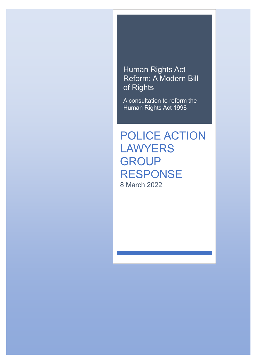## Human Rights Act Reform: A Modern Bill of Rights

A consultation to reform the Human Rights Act 1998

POLICE ACTION LAWYERS **GROUP** RESPONSE 8 March 2022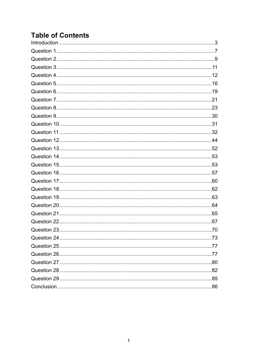## **Table of Contents**

| Question 10……………………………………………………………………………………………31 |  |
|--------------------------------------------------|--|
|                                                  |  |
|                                                  |  |
|                                                  |  |
|                                                  |  |
|                                                  |  |
|                                                  |  |
|                                                  |  |
|                                                  |  |
|                                                  |  |
|                                                  |  |
|                                                  |  |
|                                                  |  |
|                                                  |  |
|                                                  |  |
|                                                  |  |
|                                                  |  |
|                                                  |  |
|                                                  |  |
|                                                  |  |
|                                                  |  |
|                                                  |  |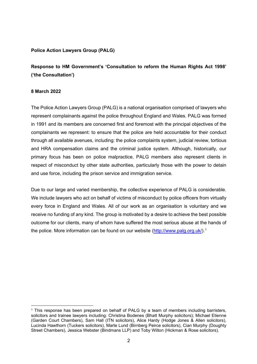### **Police Action Lawyers Group (PALG)**

**Response to HM Government's 'Consultation to reform the Human Rights Act 1998' ('the Consultation')**

#### **8 March 2022**

The Police Action Lawyers Group (PALG) is a national organisation comprised of lawyers who represent complainants against the police throughout England and Wales. PALG was formed in 1991 and its members are concerned first and foremost with the principal objectives of the complainants we represent: to ensure that the police are held accountable for their conduct through all available avenues, including: the police complaints system, judicial review, tortious and HRA compensation claims and the criminal justice system. Although, historically, our primary focus has been on police malpractice, PALG members also represent clients in respect of misconduct by other state authorities, particularly those with the power to detain and use force, including the prison service and immigration service.

Due to our large and varied membership, the collective experience of PALG is considerable. We include lawyers who act on behalf of victims of misconduct by police officers from virtually every force in England and Wales. All of our work as an organisation is voluntary and we receive no funding of any kind. The group is motivated by a desire to achieve the best possible outcome for our clients, many of whom have suffered the most serious abuse at the hands of the police. More information can be found on our website [\(http://www.palg.org.uk/\)](http://www.palg.org.uk/).<sup>[1](#page-2-0)</sup>

<span id="page-2-0"></span><sup>&</sup>lt;sup>1</sup> This response has been prepared on behalf of PALG by a team of members including barristers, solicitors and trainee lawyers including: Christina Bodenes (Bhatt Murphy solicitors); Michael Etienne (Garden Court Chambers), Sam Hall (ITN solicitors), Alice Hardy (Hodge Jones & Allen solicitors), Lucinda Hawthorn (Tuckers solicitors), Marte Lund (Birnberg Peirce solicitors), Cian Murphy (Doughty Street Chambers), Jessica Webster (Bindmans LLP) and Toby Wilton (Hickman & Rose solicitors).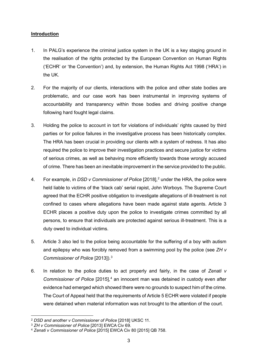### <span id="page-3-0"></span>**Introduction**

- 1. In PALG's experience the criminal justice system in the UK is a key staging ground in the realisation of the rights protected by the European Convention on Human Rights ('ECHR' or 'the Convention') and, by extension, the Human Rights Act 1998 ('HRA') in the UK.
- 2. For the majority of our clients, interactions with the police and other state bodies are problematic, and our case work has been instrumental in improving systems of accountability and transparency within those bodies and driving positive change following hard fought legal claims.
- 3. Holding the police to account in tort for violations of individuals' rights caused by third parties or for police failures in the investigative process has been historically complex. The HRA has been crucial in providing our clients with a system of redress. It has also required the police to improve their investigation practices and secure justice for victims of serious crimes, as well as behaving more efficiently towards those wrongly accused of crime. There has been an inevitable improvement in the service provided to the public.
- 4. For example, in *DSD v Commissioner of Police* [[2](#page-3-1)018],<sup>2</sup> under the HRA, the police were held liable to victims of the 'black cab' serial rapist, John Worboys. The Supreme Court agreed that the ECHR positive obligation to investigate allegations of ill-treatment is not confined to cases where allegations have been made against state agents. Article 3 ECHR places a positive duty upon the police to investigate crimes committed by all persons, to ensure that individuals are protected against serious ill-treatment. This is a duty owed to individual victims.
- 5. Article 3 also led to the police being accountable for the suffering of a boy with autism and epilepsy who was forcibly removed from a swimming pool by the police (see *ZH v Commissioner of Police* [2013]).[3](#page-3-2)
- 6. In relation to the police duties to act properly and fairly, in the case of *Zenati v Commissioner of Police* [2015],<sup>[4](#page-3-3)</sup> an innocent man was detained in custody even after evidence had emerged which showed there were no grounds to suspect him of the crime. The Court of Appeal held that the requirements of Article 5 ECHR were violated if people were detained when material information was not brought to the attention of the court.

<span id="page-3-1"></span><sup>2</sup> *DSD and another v Commissioner of Police* [2018] UKSC 11.

<span id="page-3-2"></span><sup>3</sup> *ZH v Commissioner of Police* [2013] EWCA Civ 69.

<span id="page-3-3"></span><sup>4</sup> *Zenati v Commissioner of Police* [2015] EWCA Civ 80 [2015] QB 758.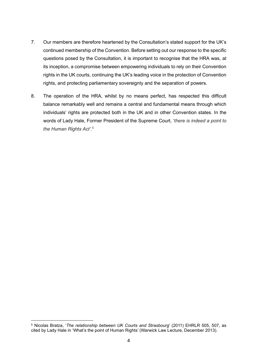- 7. Our members are therefore heartened by the Consultation's stated support for the UK's continued membership of the Convention. Before setting out our response to the specific questions posed by the Consultation, it is important to recognise that the HRA was, at its inception, a compromise between empowering individuals to rely on their Convention rights in the UK courts, continuing the UK's leading voice in the protection of Convention rights, and protecting parliamentary sovereignty and the separation of powers.
- 8. The operation of the HRA, whilst by no means perfect, has respected this difficult balance remarkably well and remains a central and fundamental means through which individuals' rights are protected both in the UK and in other Convention states. In the words of Lady Hale, Former President of the Supreme Court, '*there is indeed a point to the Human Rights Act'*. [5](#page-4-0)

<span id="page-4-0"></span><sup>5</sup> Nicolas Bratza, '*The relationship between UK Courts and Strasbourg*' (2011) EHRLR 505, 507, as cited by Lady Hale in 'What's the point of Human Rights' (Warwick Law Lecture, December 2013).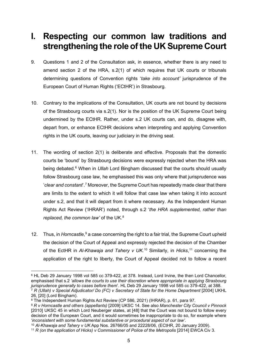# **I. Respecting our common law traditions and strengthening the role of the UK Supreme Court**

- 9. Questions 1 and 2 of the Consultation ask, in essence, whether there is any need to amend section 2 of the HRA, s.2(1) of which requires that UK courts or tribunals determining questions of Convention rights '*take into account'* jurisprudence of the European Court of Human Rights ('ECtHR') in Strasbourg.
- 10. Contrary to the implications of the Consultation, UK courts are not bound by decisions of the Strasbourg courts via s.2(1). Nor is the position of the UK Supreme Court being undermined by the ECtHR. Rather, under s.2 UK courts can, and do, disagree with, depart from, or enhance ECtHR decisions when interpreting and applying Convention rights in the UK courts, leaving our judiciary in the driving seat.
- 11. The wording of section 2(1) is deliberate and effective. Proposals that the domestic courts be 'bound' by Strasbourg decisions were expressly rejected when the HRA was being debated.[6](#page-5-0) When in *Ullah* Lord Bingham discussed that the courts should usually follow Strasbourg case law, he emphasised this was only where that jurisprudence was '*clear and constant*'. [7](#page-5-1) Moreover, the Supreme Court has repeatedly made clear that there are limits to the extent to which it will follow that case law when taking it into account under s.2, and that it will depart from it where necessary. As the Independent Human Rights Act Review ('IHRAR') noted, through s.2 '*the HRA supplemented, rather than replaced, the common law'* of the UK.<sup>[8](#page-5-2)</sup>
- 12. Thus, in *Horncastle*, [9](#page-5-3) a case concerning the right to a fair trial, the Supreme Court upheld the decision of the Court of Appeal and expressly rejected the decision of the Chamber of the EctHR in *Al-Khawaja and Tahery v UK*. [10](#page-5-4) Similarly, in *Hicks*, [11](#page-5-5) concerning the application of the right to liberty, the Court of Appeal decided not to follow a recent

<span id="page-5-0"></span><sup>6</sup> HL Deb 29 January 1998 vol 585 cc 379-422, at 378. Instead, Lord Irvine, the then Lord Chancellor, emphasised that s.2 *'allows the courts to use their discretion where appropriate in applying Strasbourg jurisprudence generally to cases before them*'. HL Deb 29 January 1998 vol 585 cc 379-422, at 388. <sup>7</sup> *R* (Ullah) v Special Adjudicator/ Do (FC) v Secretary of State for the Home Department [2004] UKHL 26, [20] (Lord Bingham).

<span id="page-5-2"></span><span id="page-5-1"></span><sup>8</sup> The Independent Human Rights Act Review (CP 586, 2021) (IHRAR), p. 61, para 97.

<span id="page-5-3"></span><sup>9</sup> *R v Horncastle and others (appellants)* [2009] UKSC 14. See also *Manchester City Council v Pinnock* [2010] UKSC 45 in which Lord Neuberger states, at [48] that the Court was not bound to follow every decision of the European Court, and it would sometimes be inappropriate to do so, for example where 'inconsistent with some fundamental substantive or procedural aspect of our law'.

<span id="page-5-4"></span><sup>&#</sup>x27;*inconsistent with some fundamental substantive or procedural aspect of our law'*. 10 *Al-Khawaja and Tahery v UK* App Nos. 26766/05 and 22228/06, (ECtHR, 20 January 2009).

<span id="page-5-5"></span><sup>11</sup> *R (on the application of Hicks) v Commissioner of Police of the Metropolis* [2014] EWCA Civ 3.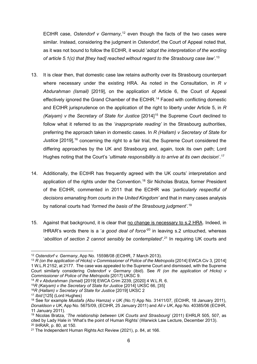ECtHR case, *Ostendorf v Germany*, [12](#page-6-0) even though the facts of the two cases were similar. Instead, considering the judgment in *Ostendorf*, the Court of Appeal noted that, as it was not bound to follow the ECtHR, it would '*adopt the interpretation of the wording of article 5.1(c) that [they had] reached without regard to the Strasbourg case law'*. [13](#page-6-1)

- 13. It is clear then, that domestic case law retains authority over its Strasbourg counterpart where necessary under the existing HRA. As noted in the Consultation, in *R v Abdurahman (Ismail)* [2019], on the application of Article 6, the Court of Appeal effectively ignored the Grand Chamber of the ECtHR.<sup>[14](#page-6-2)</sup> Faced with conflicting domestic and ECtHR jurisprudence on the application of the right to liberty under Article 5, in *R (Kaiyam) v the Secretary of State for Justice* [2014]<sup>[15](#page-6-3)</sup> the Supreme Court declined to follow what it referred to as the '*inappropriate reading'* in the Strasbourg authorities, preferring the approach taken in domestic cases. In *R (Hallam) v Secretary of State for*  Justice [2019],<sup>[16](#page-6-4)</sup> concerning the right to a fair trial, the Supreme Court considered the differing approaches by the UK and Strasbourg and, again, took its own path; Lord Hughes noting that the Court's '*ultimate responsibility is to arrive at its own decision*'. [17](#page-6-5)
- 14. Additionally, the ECtHR has frequently agreed with the UK courts' interpretation and application of the rights under the Convention.<sup>[18](#page-6-6)</sup> Sir Nicholas Bratza, former President of the ECtHR, commented in 2011 that the ECtHR was '*particularly respectful of decisions emanating from courts in the United Kingdom'* and that in many cases analysis by national courts had '*formed the basis of the Strasbourg judgment'*. [19](#page-6-7)
- 15. Against that background, it is clear that no change is necessary to s.2 HRA. Indeed, in IHRAR's words there is a '*a good deal of force'* [20](#page-6-8) in leaving s.2 untouched, whereas '*abolition of section 2 cannot sensibly be contemplated'*. [21](#page-6-9) In requiring UK courts and

<span id="page-6-0"></span><sup>12</sup> *Ostendorf v. Germany*, App No. 15598/08 (ECtHR, 7 March 2013).

<span id="page-6-1"></span><sup>13</sup> *R (on the application of Hicks) v Commissioner of Police of the Metropolis* [2014] EWCA Civ 3, [2014] 1 W.L.R 2152, at 2177. The case was appealed to the Supreme Court and dismissed, with the Supreme Court similarly considering *Ostendorf v Germany* (ibid). See *R (on the application of Hicks) v Commissioner of Police of the Metropolis* [2017] UKSC 9.

<span id="page-6-2"></span><sup>14</sup> *R v Abdurahman (Ismail)* [2019] EWCA Crim 2239, [2020] 4 W.L.R. 6.

<span id="page-6-3"></span><sup>15</sup>*R (Kaiyam) v the Secretary of State for Justice* [2014] UKSC 66, [35]

<span id="page-6-4"></span><sup>16</sup>*R (Hallam) v Secretary of State for Justice* [2019] UKSC 2

<span id="page-6-5"></span><sup>17</sup> *Ibid* [125] (Lord Hughes)

<span id="page-6-6"></span><sup>18</sup> See for example *Mustafa (Abu Hamza) v UK (No.1)* App No. 31411/07, (ECtHR, 18 January 2011), *Donaldson v UK*, App No. 5675/09, (ECtHR, 25 January 2011) and *Ali v UK*, App No. 40385/06 (ECtHR, 11 January 2011).

<span id="page-6-7"></span><sup>19</sup> Nicolas Bratza, '*The relationship between UK Courts and Strasbourg*' (2011) EHRLR 505, 507, as cited by Lady Hale in 'What's the point of Human Rights' (Warwick Law Lecture, December 2013). <sup>20</sup> IHRAR, p. 80, at 150.

<span id="page-6-9"></span><span id="page-6-8"></span><sup>21</sup> The Independent Human Rights Act Review (2021), p. 84, at 166.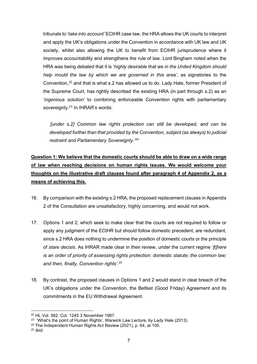tribunals to '*take into account'* ECtHR case law, the HRA allows the UK courts to interpret and apply the UK's obligations under the Convention in accordance with UK law and UK society, whilst also allowing the UK to benefit from ECtHR jurisprudence where it improves accountability and strengthens the rule of law. Lord Bingham noted when the HRA was being debated that it is '*highly desirable that we in the United Kingdom should help mould the law by which we are governed in this area'*, as signatories to the Convention,[22](#page-7-1) and that is what s.2 has allowed us to do. Lady Hale, former President of the Supreme Court, has rightly described the existing HRA (in part through s.2) as an '*ingenious solution'* to combining enforceable Convention rights with parliamentary sovereignty.<sup>[23](#page-7-2)</sup> In IHRAR's words:

*'[under s.2] Common law rights protection can still be developed, and can be developed further than that provided by the Convention, subject (as always) to judicial restraint and Parliamentary Sovereignty.'* [24](#page-7-3)

### <span id="page-7-0"></span>**Question 1: We believe that the domestic courts should be able to draw on a wide range of law when reaching decisions on human rights issues. We would welcome your thoughts on the illustrative draft clauses found after paragraph 4 of Appendix 2, as a means of achieving this.**

- 16. By comparison with the existing s.2 HRA, the proposed replacement clauses in Appendix 2 of the Consultation are unsatisfactory, highly concerning, and would not work.
- 17. Options 1 and 2, which seek to make clear that the courts are not required to follow or apply any judgment of the ECtHR but should follow domestic precedent, are redundant, since s.2 HRA does nothing to undermine the position of domestic courts or the principle of *stare decisis*. As IHRAR made clear in their review, under the current regime '*[t]here is an order of priority of assessing rights protection: domestic statute; the common law; and then, finally, Convention rights'*. [25](#page-7-4)
- 18. By contrast, the proposed clauses in Options 1 and 2 would stand in clear breach of the UK's obligations under the Convention, the Belfast (Good Friday) Agreement and its commitments in the EU Withdrawal Agreement.

<span id="page-7-1"></span><sup>22</sup> HL Vol. 582. Col. 1245 3 November 1997.

<span id="page-7-2"></span><sup>&</sup>lt;sup>23</sup> 'What's the point of Human Rights', Warwick Law Lecture, by Lady Hale (2013).

<span id="page-7-3"></span><sup>24</sup> The Independent Human Rights Act Review (2021), p. 64, at 105.

<span id="page-7-4"></span><sup>25</sup> *Ibid*.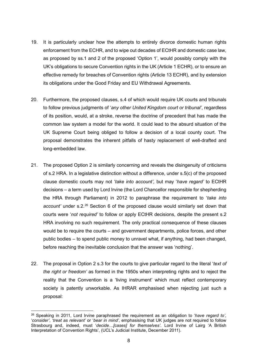- 19. It is particularly unclear how the attempts to entirely divorce domestic human rights enforcement from the ECHR, and to wipe out decades of ECtHR and domestic case law, as proposed by ss.1 and 2 of the proposed 'Option 1', would possibly comply with the UK's obligations to secure Convention rights in the UK (Article 1 ECHR), or to ensure an effective remedy for breaches of Convention rights (Article 13 ECHR), and by extension its obligations under the Good Friday and EU Withdrawal Agreements.
- 20. Furthermore, the proposed clauses, s.4 of which would require UK courts and tribunals to follow previous judgments of '*any other United Kingdom court or tribunal'*, regardless of its position, would, at a stroke, reverse the doctrine of precedent that has made the common law system a model for the world. It could lead to the absurd situation of the UK Supreme Court being obliged to follow a decision of a local county court. The proposal demonstrates the inherent pitfalls of hasty replacement of well-drafted and long-embedded law.
- 21. The proposed Option 2 is similarly concerning and reveals the disingenuity of criticisms of s.2 HRA. In a legislative distinction without a difference, under s.5(c) of the proposed clause domestic courts may not '*take into account',* but may '*have regard'* to ECtHR decisions – a term used by Lord Irvine (the Lord Chancellor responsible for shepherding the HRA through Parliament) in 2012 to paraphrase the requirement to '*take into*  account' under s.2.<sup>[26](#page-8-0)</sup> Section 6 of the proposed clause would similarly set down that courts were '*not required'* to follow or apply ECtHR decisions, despite the present s.2 HRA involving no such requirement. The only practical consequence of these clauses would be to require the courts – and government departments, police forces, and other public bodies – to spend public money to unravel what, if anything, had been changed, before reaching the inevitable conclusion that the answer was 'nothing'.
- 22. The proposal in Option 2 s.3 for the courts to give particular regard to the literal '*text of the right or freedom'* as formed in the 1950s when interpreting rights and to reject the reality that the Convention is a 'living instrument' which must reflect contemporary society is patently unworkable. As IHRAR emphasised when rejecting just such a proposal:

<span id="page-8-0"></span><sup>26</sup> Speaking in 2011, Lord Irvine paraphrased the requirement as an obligation to '*have regard to'*, '*consider'*, '*treat as relevant'* or '*bear in mind'*, emphasising that UK judges are not required to follow Strasbourg and, indeed, must '*decide…[cases] for themselves'*. Lord Irvine of Lairg 'A British Interpretation of Convention Rights', (UCL's Judicial Institute, December 2011).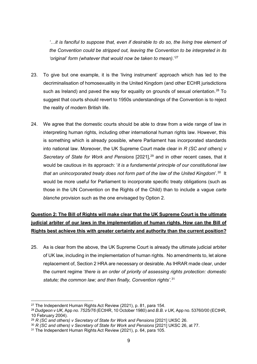*'…it is fanciful to suppose that, even if desirable to do so, the living tree element of the Convention could be stripped out, leaving the Convention to be interpreted in its 'original' form (whatever that would now be taken to mean)*.' [27](#page-9-1)

- 23. To give but one example, it is the 'living instrument' approach which has led to the decriminalisation of homosexuality in the United Kingdom (and other ECHR jurisdictions such as Ireland) and paved the way for equality on grounds of sexual orientation.<sup>[28](#page-9-2)</sup> To suggest that courts should revert to 1950s understandings of the Convention is to reject the reality of modern British life.
- 24. We agree that the domestic courts should be able to draw from a wide range of law in interpreting human rights, including other international human rights law. However, this is something which is already possible, where Parliament has incorporated standards into national law. Moreover, the UK Supreme Court made clear in *R (SC and others) v Secretary of State for Work and Pensions* [2021], [29](#page-9-3) and in other recent cases, that it would be cautious in its approach: '*it is a fundamental principle of our constitutional law that an unincorporated treaty does not form part of the law of the United Kingdom*'. [30](#page-9-4) It would be more useful for Parliament to incorporate specific treaty obligations (such as those in the UN Convention on the Rights of the Child) than to include a vague *carte blanche* provision such as the one envisaged by Option 2.

### <span id="page-9-0"></span>**Question 2: The Bill of Rights will make clear that the UK Supreme Court is the ultimate judicial arbiter of our laws in the implementation of human rights. How can the Bill of Rights best achieve this with greater certainty and authority than the current position?**

25. As is clear from the above, the UK Supreme Court is already the ultimate judicial arbiter of UK law, including in the implementation of human rights. No amendments to, let alone replacement of, Section 2 HRA are necessary or desirable. As IHRAR made clear, under the current regime '*there is an order of priority of assessing rights protection: domestic statute; the common law; and then finally, Convention rights'*. [31](#page-9-5)

<span id="page-9-1"></span><sup>27</sup> The Independent Human Rights Act Review (2021), p. 81, para 154.

<span id="page-9-2"></span><sup>28</sup> *Dudgeon v UK,* App *no. 7525/76* (ECtHR, 10 October 1980) and *B.B. v UK,* App no. 53760/00 (ECtHR, 10 February 2004).

<span id="page-9-3"></span><sup>&</sup>lt;sup>29</sup> *R* (SC and others) v Secretary of State for Work and Pensions [2021] UKSC 26.

<span id="page-9-4"></span><sup>30</sup> *R (SC and others) v Secretary of State for Work and Pensions* [2021] UKSC 26, at 77.

<span id="page-9-5"></span><sup>&</sup>lt;sup>31</sup> The Independent Human Rights Act Review (2021), p. 64, para 105.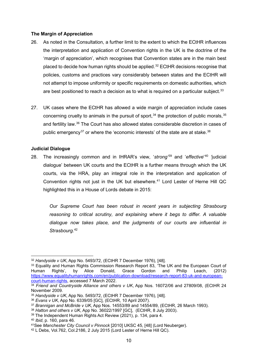### **The Margin of Appreciation**

- 26. As noted in the Consultation, a further limit to the extent to which the ECtHR influences the interpretation and application of Convention rights in the UK is the doctrine of the 'margin of appreciation', which recognises that Convention states are in the main best placed to decide how human rights should be applied.<sup>[32](#page-10-0)</sup> ECtHR decisions recognise that policies, customs and practices vary considerably between states and the ECtHR will not attempt to impose uniformity or specific requirements on domestic authorities, which are best positioned to reach a decision as to what is required on a particular subject.<sup>[33](#page-10-1)</sup>
- 27. UK cases where the ECtHR has allowed a wide margin of appreciation include cases concerning cruelty to animals in the pursuit of sport,  $34$  the protection of public morals,  $35$ and fertility law.[36](#page-10-4) The Court has also allowed states considerable discretion in cases of public emergency<sup>[37](#page-10-5)</sup> or where the 'economic interests' of the state are at stake.<sup>[38](#page-10-6)</sup>

### **Judicial Dialogue**

28. The increasingly common and in IHRAR's view, '*strong'* [39](#page-10-7) and '*effective*' [40](#page-10-8) *'*judicial dialogue' between UK courts and the ECtHR is a further means through which the UK courts, via the HRA, play an integral role in the interpretation and application of Convention rights not just in the UK but elsewhere.<sup>[41](#page-10-9)</sup> Lord Lester of Herne Hill QC highlighted this in a House of Lords debate in 2015:

*Our Supreme Court has been robust in recent years in subjecting Strasbourg reasoning to critical scrutiny, and explaining where it begs to differ. A valuable dialogue now takes place, and the judgments of our courts are influential in Strasbourg*. [42](#page-10-10)

- <span id="page-10-6"></span><sup>38</sup> *Hatton and others v UK*, App No. 36022/1997 [GC], (ECtHR, 8 July 2003).
- <span id="page-10-7"></span><sup>39</sup> The Independent Human Rights Act Review (2021), p. 134, para 4.
- <span id="page-10-8"></span><sup>40</sup> *Ibid*, p. 160, para 46.

<span id="page-10-0"></span><sup>32</sup> *Handyside v UK*, App No. 5493/72, (ECtHR 7 December 1976), [48].

<span id="page-10-1"></span><sup>33</sup> Equality and Human Rights Commission Research Report 83, 'The UK and the European Court of Human Rights', by Alice Donald, Grace Gordon and Philip Leach, (2012) [https://www.equalityhumanrights.com/en/publication-download/research-report-83-uk-and-european](https://www.equalityhumanrights.com/en/publication-download/research-report-83-uk-and-european-court-human-rights)[court-human-rights,](https://www.equalityhumanrights.com/en/publication-download/research-report-83-uk-and-european-court-human-rights) accessed 7 March 2022.

<span id="page-10-2"></span><sup>34</sup> *Friend and Countryside Alliance and others v UK*, App Nos. 16072/06 and 27809/08, (ECtHR 24 November 2009.

<span id="page-10-3"></span><sup>35</sup> *Handyside v UK*, App No. 5493/72, (ECtHR 7 December 1976), [48].

<span id="page-10-4"></span><sup>36</sup> *Evans v UK*, App No. 6339/05 [GC], (ECtHR, 10 April 2007).

<span id="page-10-5"></span><sup>37</sup> *Brannigan and McBride v UK*, App Nos. 14553/89 and 14554/89, (ECtHR, 26 March 1993).

<span id="page-10-9"></span><sup>41</sup>See *Manchester City Council v Pinnock* [2010] UKSC 45, [48] (Lord Neuberger).

<span id="page-10-10"></span><sup>42</sup> L Debs, Vol.762, Col.2186, 2 July 2015 (Lord Lester of Herne Hill QC).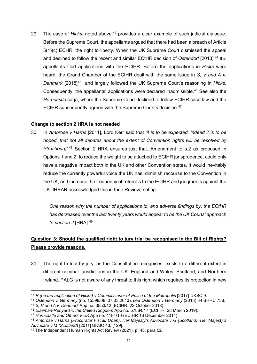29. The case of *Hicks*, noted above,<sup>[43](#page-11-1)</sup> provides a clear example of such judicial dialogue. Before the Supreme Court, the appellants argued that there had been a breach of Article 5(1)(c) ECHR, the right to liberty. When the UK Supreme Court dismissed the appeal and declined to follow the recent and similar ECtHR decision of *Ostendorf* [2013], [44](#page-11-2) the appellants filed applications with the ECtHR. Before the applications in *Hicks* were heard, the Grand Chamber of the ECtHR dealt with the same issue in *S, V and A v. Denmark* [2018][45](#page-11-3) and largely followed the UK Supreme Court's reasoning in *Hicks*. Consequently, the appellants' applications were declared inadmissible.[46](#page-11-4) See also the *Horncastle* saga, where the Supreme Court declined to follow ECtHR case law and the ECtHR subsequently agreed with the Supreme Court's decision.<sup>[47](#page-11-5)</sup>

### **Change to section 2 HRA is not needed**

30. In *Ambrose v Harris* [2011], Lord Kerr said that '*it is to be expected, indeed it is to be hoped, that not all debates about the extent of Convention rights will be resolved by*  Strasbourg<sup>'.[48](#page-11-6)</sup> Section 2 HRA ensures just that. Amendment to s.2 as proposed in Options 1 and 2, to reduce the weight to be attached to ECtHR jurisprudence, could only have a negative impact both in the UK and other Convention states. It would inevitably reduce the currently powerful voice the UK has, diminish recourse to the Convention in the UK, and increase the frequency of referrals to the ECtHR and judgments against the UK. IHRAR acknowledged this in their Review, noting:

*One reason why the number of applications to, and adverse findings by, the ECtHR has decreased over the last twenty years would appear to be the UK Courts' approach to section 2* [HRA]. [49](#page-11-7)

### <span id="page-11-0"></span>**Question 3: Should the qualified right to jury trial be recognised in the Bill of Rights? Please provide reasons.**

31. The right to trial by jury, as the Consultation recognises, exists to a different extent in different criminal jurisdictions in the UK: England and Wales, Scotland, and Northern Ireland. PALG is not aware of any threat to this right which requires its protection in new

<span id="page-11-1"></span><sup>&</sup>lt;sup>43</sup> *R* (on the application of Hicks) *v* Commissioner of Police of the Metropolis [2017] UKSC 9.

<span id="page-11-2"></span><sup>44</sup> *Ostendorf v. Germany* (no. 15598/08, 07.03.2013), see *Ostendorf v Germany* (2013) 34 BHRC 738.

<span id="page-11-3"></span><sup>45</sup> *S, V and A v. Denmark* App no. 3553/12 (ECtHR, 22 October 2018).

<span id="page-11-4"></span><sup>46</sup> *Eiseman-Renyard v. the United Kingdom* App no. 57884/17 (ECtHR, 28 March 2019).

<span id="page-11-5"></span><sup>47</sup> *Horncastle and Others v UK* App no. 4184/10 (ECtHR 16 December 2014).

<span id="page-11-6"></span><sup>48</sup> *Ambrose v Harris (Procurator Fiscal, Oban)*, *Her Majesty's Advocate v G (Scotland); Her Majesty's Advocate v M (Scotland*) [2011] UKSC 43, [129].

<span id="page-11-7"></span><sup>49</sup> The Independent Human Rights Act Review (2021), p. 45, para 52.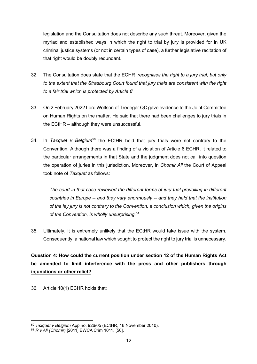legislation and the Consultation does not describe any such threat. Moreover, given the myriad and established ways in which the right to trial by jury is provided for in UK criminal justice systems (or not in certain types of case), a further legislative recitation of that right would be doubly redundant.

- 32. The Consultation does state that the ECHR '*recognises the right to a jury trial, but only to the extent that the Strasbourg Court found that jury trials are consistent with the right to a fair trial which is protected by Article 6*'.
- 33. On 2 February 2022 Lord Wolfson of Tredegar QC gave evidence to the Joint Committee on Human Rights on the matter. He said that there had been challenges to jury trials in the ECtHR – although they were unsuccessful.
- 34. In *Taxquet v Belgium*[50](#page-12-1) the ECtHR held that jury trials were not contrary to the Convention. Although there was a finding of a violation of Article 6 ECHR, it related to the particular arrangements in that State and the judgment does not call into question the operation of juries in this jurisdiction. Moreover, in *Chomir Ali* the Court of Appeal took note of *Taxquet* as follows:

*The court in that case reviewed the different forms of jury trial prevailing in different countries in Europe -- and they vary enormously -- and they held that the institution of the lay jury is not contrary to the Convention, a conclusion which, given the origins of the Convention, is wholly unsurprising*. [51](#page-12-2)

35. Ultimately, it is extremely unlikely that the ECtHR would take issue with the system. Consequently, a national law which sought to protect the right to jury trial is unnecessary.

### <span id="page-12-0"></span>**Question 4: How could the current position under section 12 of the Human Rights Act be amended to limit interference with the press and other publishers through injunctions or other relief?**

36. Article 10(1) ECHR holds that:

<span id="page-12-1"></span><sup>50</sup> *Taxquet v Belgium* App no. 926/05 (ECtHR, 16 November 2010).

<span id="page-12-2"></span><sup>51</sup> *R v Ali (Chomir)* [2011] EWCA Crim 1011, [50].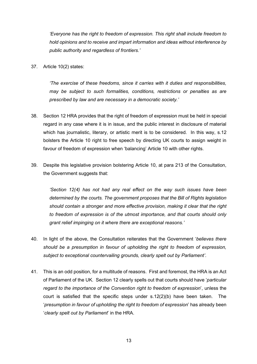*'Everyone has the right to freedom of expression. This right shall include freedom to hold opinions and to receive and impart information and ideas without interference by public authority and regardless of frontiers.'*

37. Article 10(2) states:

*'The exercise of these freedoms, since it carries with it duties and responsibilities, may be subject to such formalities, conditions, restrictions or penalties as are prescribed by law and are necessary in a democratic society.'*

- 38. Section 12 HRA provides that the right of freedom of expression must be held in special regard in any case where it is in issue, and the public interest in disclosure of material which has journalistic, literary, or artistic merit is to be considered. In this way, s.12 bolsters the Article 10 right to free speech by directing UK courts to assign weight in favour of freedom of expression when 'balancing' Article 10 with other rights.
- 39. Despite this legislative provision bolstering Article 10, at para 213 of the Consultation, the Government suggests that:

*'Section 12(4) has not had any real effect on the way such issues have been determined by the courts. The government proposes that the Bill of Rights legislation should contain a stronger and more effective provision, making it clear that the right to freedom of expression is of the utmost importance, and that courts should only grant relief impinging on it where there are exceptional reasons.'*

- 40. In light of the above, the Consultation reiterates that the Government '*believes there should be a presumption in favour of upholding the right to freedom of expression, subject to exceptional countervailing grounds, clearly spelt out by Parliament'*.
- 41. This is an odd position, for a multitude of reasons. First and foremost, the HRA is an Act of Parliament of the UK. Section 12 clearly spells out that courts should have '*particular regard to the importance of the Convention right to freedom of expression*', unless the court is satisfied that the specific steps under  $s.12(2)(b)$  have been taken. The '*presumption in favour of upholding the right to freedom of expression*' has already been '*clearly spelt out by Parliament*' in the HRA.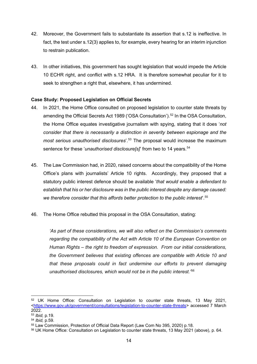- 42. Moreover, the Government fails to substantiate its assertion that s.12 is ineffective. In fact, the test under s.12(3) applies to, for example, every hearing for an interim injunction to restrain publication.
- 43. In other initiatives, this government has sought legislation that would impede the Article 10 ECHR right, and conflict with s.12 HRA. It is therefore somewhat peculiar for it to seek to strengthen a right that, elsewhere, it has undermined.

### **Case Study: Proposed Legislation on Official Secrets**

- 44. In 2021, the Home Office consulted on proposed legislation to counter state threats by amending the Official Secrets Act 1989 ('OSA Consultation').<sup>[52](#page-14-0)</sup> In the OSA Consultation, the Home Office equates investigative journalism with spying, stating that it does '*not consider that there is necessarily a distinction in severity between espionage and the most serious unauthorised disclosures*'. [53](#page-14-1) The proposal would increase the maximum sentence for these '*unauthorised disclosure[s]*' from two to 14 years.<sup>[54](#page-14-2)</sup>
- 45. The Law Commission had, in 2020, raised concerns about the compatibility of the Home Office's plans with journalists' Article 10 rights. Accordingly, they proposed that a statutory public interest defence should be available '*that would enable a defendant to establish that his or her disclosure was in the public interest despite any damage caused: we therefore consider that this affords better protection to the public interest*'. [55](#page-14-3)
- 46. The Home Office rebutted this proposal in the OSA Consultation, stating:

*'As part of these considerations, we will also reflect on the Commission's comments regarding the compatibility of the Act with Article 10 of the European Convention on Human Rights – the right to freedom of expression. From our initial considerations, the Government believes that existing offences are compatible with Article 10 and that these proposals could in fact undermine our efforts to prevent damaging unauthorised disclosures, which would not be in the public interest.'* [56](#page-14-4)

<span id="page-14-0"></span><sup>52</sup> UK Home Office: Consultation on Legislation to counter state threats, 13 May 2021, [<https://www.gov.uk/government/consultations/legislation-to-counter-state-threats>](https://www.gov.uk/government/consultations/legislation-to-counter-state-threats) accessed 7 March 2022.

<span id="page-14-1"></span><sup>53</sup> *Ibid,* p.19.

<span id="page-14-2"></span><sup>54</sup> *Ibid,* p.59.

<span id="page-14-3"></span><sup>55</sup> Law Commission, Protection of Official Data Report (Law Com No 395, 2020) p.18.

<span id="page-14-4"></span><sup>56</sup> UK Home Office: Consultation on Legislation to counter state threats, 13 May 2021 (above), p. 64.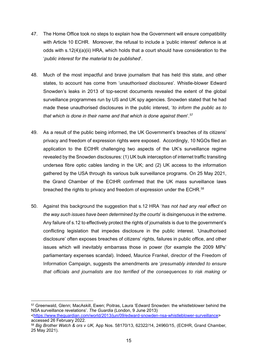- 47. The Home Office took no steps to explain how the Government will ensure compatibility with Article 10 ECHR. Moreover, the refusal to include a 'public interest' defence is at odds with s.12(4)(a)(ii) HRA, which holds that a court should have consideration to the '*public interest for the material to be published*'.
- 48. Much of the most impactful and brave journalism that has held this state, and other states, to account has come from '*unauthorised disclosures*'. Whistle-blower Edward Snowden's leaks in 2013 of top-secret documents revealed the extent of the global surveillance programmes run by US and UK spy agencies. Snowden stated that he had made these unauthorised disclosures in the public interest, '*to inform the public as to that which is done in their name and that which is done against them*'. [57](#page-15-0)
- 49. As a result of the public being informed, the UK Government's breaches of its citizens' privacy and freedom of expression rights were exposed. Accordingly, 10 NGOs filed an application to the ECtHR challenging two aspects of the UK's surveillance regime revealed by the Snowden disclosures: (1) UK bulk interception of internet traffic transiting undersea fibre optic cables landing in the UK; and (2) UK access to the information gathered by the USA through its various bulk surveillance programs. On 25 May 2021, the Grand Chamber of the ECtHR confirmed that the UK mass surveillance laws breached the rights to privacy and freedom of expression under the ECHR.<sup>[58](#page-15-1)</sup>
- 50. Against this background the suggestion that s.12 HRA '*has not had any real effect on the way such issues have been determined by the courts*' is disingenuous in the extreme. Any failure of s.12 to effectively protect the rights of journalists is due to the government's conflicting legislation that impedes disclosure in the public interest. 'Unauthorised disclosure' often exposes breaches of citizens' rights, failures in public office, and other issues which will inevitably embarrass those in power (for example the 2009 MPs' parliamentary expenses scandal). Indeed, Maurice Frankel, director of the Freedom of Information Campaign, suggests the amendments are '*presumably intended to ensure that officials and journalists are too terrified of the consequences to risk making or*

<span id="page-15-0"></span><sup>57</sup> Greenwald, Glenn; MacAskill, Ewen; Poitras, Laura 'Edward Snowden: the whistleblower behind the NSA surveillance revelations'. *The Guardia* (London, 9 June 2013) [<https://www.theguardian.com/world/2013/jun/09/edward-snowden-nsa-whistleblower-surveillance>](https://www.theguardian.com/world/2013/jun/09/edward-snowden-nsa-whistleblower-surveillance) accessed 26 February 2022.

<span id="page-15-1"></span><sup>58</sup> *Big Brother Watch & ors v UK,* App Nos. 58170/13, 62322/14, 24960/15, (ECtHR, Grand Chamber, 25 May 2021).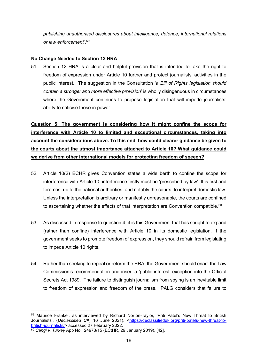*publishing unauthorised disclosures about intelligence, defence, international relations or law enforcement*'. [59](#page-16-1)

### **No Change Needed to Section 12 HRA**

51. Section 12 HRA is a clear and helpful provision that is intended to take the right to freedom of expression under Article 10 further and protect journalists' activities in the public interest. The suggestion in the Consultation '*a Bill of Rights legislation should contain a stronger and more effective provision*' is wholly disingenuous in circumstances where the Government continues to propose legislation that will impede journalists' ability to criticise those in power.

<span id="page-16-0"></span>**Question 5: The government is considering how it might confine the scope for interference with Article 10 to limited and exceptional circumstances, taking into account the considerations above. To this end, how could clearer guidance be given to the courts about the utmost importance attached to Article 10? What guidance could we derive from other international models for protecting freedom of speech?**

- 52. Article 10(2) ECHR gives Convention states a wide berth to confine the scope for interference with Article 10; interference firstly must be 'prescribed by law'. It is first and foremost up to the national authorities, and notably the courts, to interpret domestic law. Unless the interpretation is arbitrary or manifestly unreasonable, the courts are confined to ascertaining whether the effects of that interpretation are Convention compatible. $^{\rm 60}$  $^{\rm 60}$  $^{\rm 60}$
- 53. As discussed in response to question 4, it is this Government that has sought to expand (rather than confine) interference with Article 10 in its domestic legislation. If the government seeks to promote freedom of expression, they should refrain from legislating to impede Article 10 rights.
- 54. Rather than seeking to repeal or reform the HRA, the Government should enact the Law Commission's recommendation and insert a 'public interest' exception into the Official Secrets Act 1989. The failure to distinguish journalism from spying is an inevitable limit to freedom of expression and freedom of the press. PALG considers that failure to

<span id="page-16-1"></span><sup>59</sup> Maurice Frankel, as interviewed by Richard Norton-Taylor, 'Priti Patel's New Threat to British Journalists', (*Declassified UK,* 16 June 2021). [<https://declassifieduk.org/priti-patels-new-threat-to](https://declassifieduk.org/priti-patels-new-threat-to-british-journalists/)[british-journalists/>](https://declassifieduk.org/priti-patels-new-threat-to-british-journalists/) accessed 27 February 2022.

<span id="page-16-2"></span><sup>60</sup> *Cangi v. Turkey* App No. 24973/15 (ECtHR, 29 January 2019), [42].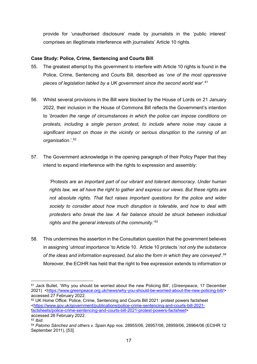provide for 'unauthorised disclosure' made by journalists in the 'public interest' comprises an illegitimate interference with journalists' Article 10 rights.

### **Case Study: Police, Crime, Sentencing and Courts Bill**

- 55. The greatest attempt by this government to interfere with Article 10 rights is found in the Police, Crime, Sentencing and Courts Bill, described as '*one of the most oppressive pieces of legislation tabled by a UK government since the second world war*'. [61](#page-17-0)
- 56. Whilst several provisions in the Bill were blocked by the House of Lords on 21 January 2022, their inclusion in the House of Commons Bill reflects the Government's intention to '*broaden the range of circumstances in which the police can impose conditions on protests, including a single person protest, to include where noise may cause a significant impact on those in the vicinity or serious disruption to the running of an organisation*.'. [62](#page-17-1)
- 57. The Government acknowledge in the opening paragraph of their Policy Paper that they intend to expand interference with the rights to expression and assembly:

*'Protests are an important part of our vibrant and tolerant democracy. Under human rights law, we all have the right to gather and express our views. But these rights are not absolute rights. That fact raises important questions for the police and wider society to consider about how much disruption is tolerable, and how to deal with protesters who break the law. A fair balance should be struck between individual rights and the general interests of the community*.' [63](#page-17-2)

58. This undermines the assertion in the Consultation question that the government believes in assigning '*utmost importance'* to Article 10. Article 10 protects '*not only the substance of the ideas and information expressed, but also the form in which they are conveyed*'. [64](#page-17-3)  Moreover, the ECtHR has held that the right to free expression extends to information or

<span id="page-17-0"></span><sup>61</sup> Jack Bullet, 'Why you should be worried about the new Policing Bill', (*Greenpeace*, 17 December 2021) [<https://www.greenpeace.org.uk/news/why-you-should-be-worried-about-the-new-policing-bill/>](https://www.greenpeace.org.uk/news/why-you-should-be-worried-about-the-new-policing-bill/) accessed 27 February 2022.

<span id="page-17-1"></span><sup>62</sup> UK Home Office: Police, Crime, Sentencing and Courts Bill 2021: protest powers factsheet [<https://www.gov.uk/government/publications/police-crime-sentencing-and-courts-bill-2021](https://www.gov.uk/government/publications/police-crime-sentencing-and-courts-bill-2021-factsheets/police-crime-sentencing-and-courts-bill-2021-protest-powers-factsheet) [factsheets/police-crime-sentencing-and-courts-bill-2021-protest-powers-factsheet>](https://www.gov.uk/government/publications/police-crime-sentencing-and-courts-bill-2021-factsheets/police-crime-sentencing-and-courts-bill-2021-protest-powers-factsheet) accessed 26 February 2022.

<span id="page-17-2"></span><sup>63</sup> *Ibid.* 

<span id="page-17-3"></span><sup>64</sup> *Palomo Sánchez and others v. Spain* App nos. 28955/06, 28957/06, 28959/06, 28964/06 (ECtHR 12 September 2011), [53].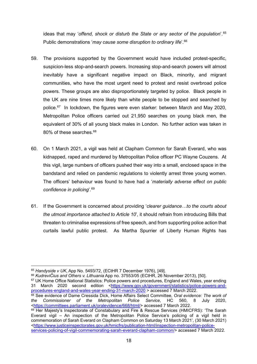ideas that may '*offend, shock or disturb the State or any sector of the population*'. [65](#page-18-0)  Public demonstrations '*may cause some disruption to ordinary life*'. [66](#page-18-1)

- 59. The provisions supported by the Government would have included protest-specific, suspicion-less stop-and-search powers. Increasing stop-and-search powers will almost inevitably have a significant negative impact on Black, minority, and migrant communities, who have the most urgent need to protest and resist overbroad police powers. These groups are also disproportionately targeted by police. Black people in the UK are nine times more likely than white people to be stopped and searched by police.[67](#page-18-2) In lockdown, the figures were even starker: between March and May 2020, Metropolitan Police officers carried out 21,950 searches on young black men, the equivalent of 30% of all young black males in London. No further action was taken in 80% of these searches.<sup>[68](#page-18-3)</sup>
- 60. On 1 March 2021, a vigil was held at Clapham Common for Sarah Everard, who was kidnapped, raped and murdered by Metropolitan Police officer PC Wayne Couzens. At this vigil, large numbers of officers pushed their way into a small, enclosed space in the bandstand and relied on pandemic regulations to violently arrest three young women. The officers' behaviour was found to have had a '*materially adverse effect on public confidence in policing*'.[69](#page-18-4)
- 61. If the Government is concerned about providing '*clearer guidance…to the courts about the utmost importance attached to Article 10*', it should refrain from introducing Bills that threaten to criminalise expressions of free speech, and from supporting police action that curtails lawful public protest. As Martha Spurrier of Liberty Human Rights has

<span id="page-18-0"></span><sup>65</sup> *Handyside v UK*, App No. 5493/72, (ECtHR 7 December 1976), [49].

<span id="page-18-1"></span><sup>66</sup> *KudreviČius and Others v. Lithuania* App no. 37553/05 (ECtHR, 26 November 2013), [50].

<span id="page-18-2"></span><sup>&</sup>lt;sup>67</sup> UK Home Office National Statistics: Police powers and procedures, England and Wales, year ending 31 March 2020 second edition [<https://www.gov.uk/government/statistics/police-powers-and](https://www.gov.uk/government/statistics/police-powers-and-procedures-england-and-wales-year-ending-31-march-2020)[procedures-england-and-wales-year-ending-31-march-2020](https://www.gov.uk/government/statistics/police-powers-and-procedures-england-and-wales-year-ending-31-march-2020) > accessed 7 March 2022.

<span id="page-18-3"></span><sup>68</sup> See evidence of Dame Cressida Dick, Home Affairs Select Committee, *Oral evidence: The work of the Commissioner of the Metropolitan Police Service*, HC 560, 8 July 2020, [<https://committees.parliament.uk/oralevidence/668/html/>](https://committees.parliament.uk/oralevidence/668/html/) accessed 7 March 2022.

<span id="page-18-4"></span><sup>&</sup>lt;sup>69</sup> Her Majesty's Inspectorate of Constabulary and Fire & Rescue Services (HMICFRS): 'The Sarah Everard vigil – An inspection of the Metropolitan Police Service's policing of a vigil held in commemoration of Sarah Everard on Clapham Common on Saturday 13 March 2021', (30 March 2021) [<https://www.justiceinspectorates.gov.uk/hmicfrs/publication-html/inspection-metropolitan-police](https://www.justiceinspectorates.gov.uk/hmicfrs/publication-html/inspection-metropolitan-police-services-policing-of-vigil-commemorating-sarah-everard-clapham-common/)[services-policing-of-vigil-commemorating-sarah-everard-clapham-common/>](https://www.justiceinspectorates.gov.uk/hmicfrs/publication-html/inspection-metropolitan-police-services-policing-of-vigil-commemorating-sarah-everard-clapham-common/) accessed 7 March 2022.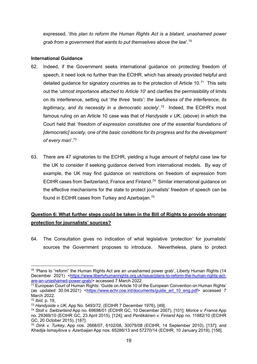expressed, '*this plan to reform the Human Rights Act is a blatant, unashamed power grab from a government that wants to put themselves above the law*'*.* [70](#page-19-1)

### **International Guidance**

- 62. Indeed, if the Government seeks international guidance on protecting freedom of speech, it need look no further than the ECtHR, which has already provided helpful and detailed guidance for signatory countries as to the protection of Article 10. $71$  This sets out the '*utmost importance attached to Article 10*' and clarifies the permissibility of limits on its interference, setting out '*the three 'tests': the lawfulness of the interference, its legitimacy, and its necessity in a democratic society*'. [72](#page-19-3) Indeed, the ECtHR's most famous ruling on an Article 10 case was that of *Handyside v UK*, (above) in which the Court held that '*freedom of expression constitutes one of the essential foundations of [democratic] society, one of the basic conditions for its progress and for the development of every man*'. [73](#page-19-4)
- 63. There are 47 signatories to the ECHR, yielding a huge amount of helpful case law for the UK to consider if seeking guidance derived from international models. By way of example, the UK may find guidance on restrictions on freedom of expression from ECtHR cases from Switzerland, France and Finland.<sup>74</sup> Similar international guidance on the effective mechanisms for the state to protect journalists' freedom of speech can be found in ECtHR cases from Turkey and Azerbaijan.[75](#page-19-6)

### <span id="page-19-0"></span>**Question 6: What further steps could be taken in the Bill of Rights to provide stronger protection for journalists' sources?**

64. The Consultation gives no indication of what legislative 'protection' for journalists' sources the Government proposes to introduce. Nevertheless, plans to protect

<span id="page-19-1"></span> $70$  'Plans to "reform" the Human Rights Act are an unashamed power grab', Liberty Human Rights (14 December 2021) [<https://www.libertyhumanrights.org.uk/issue/plans-to-reform-the-human-rights-act](https://www.libertyhumanrights.org.uk/issue/plans-to-reform-the-human-rights-act-are-an-unashamed-power-grab/)[are-an-unashamed-power-grab/>](https://www.libertyhumanrights.org.uk/issue/plans-to-reform-the-human-rights-act-are-an-unashamed-power-grab/) accessed 7 March 2022.

<span id="page-19-2"></span><sup>71</sup> European Court of Human Rights: 'Guide on Article 10 of the European Convention on Human Rights' (as updated 30.04.2021) <https://www.echr.coe.int/documents/guide art 10 eng.pdf> accessed 7 March 2022.

<span id="page-19-3"></span><sup>72</sup> *Ibid,* p*.* 19.

<span id="page-19-4"></span><sup>73</sup> *Handyside v UK*, App No. 5493/72, (ECtHR 7 December 1976), [49].

<span id="page-19-5"></span><sup>74</sup> *Stoll v. Switzerland* App no. 69698/01 (ECtHR GC, 10 December 2007), [101]; *Morice v. France* App no. 29369/10 (ECtHR GC, 23 April 2015), [124]; and *Pentikäinen v. Finland* App no. 11882/10 (ECtHR GC, 20 October 2015), [187].

<span id="page-19-6"></span><sup>75</sup> *Dink v. Turkey*, App nos. 2668/07, 6102/08, 30079/08 (ECtHR, 14 September 2010), [137]; and *Khadija Ismayilova v. Azerbaijan* App nos. 65286/13 and 57270/14 (ECtHR, 10 January 2019), [158].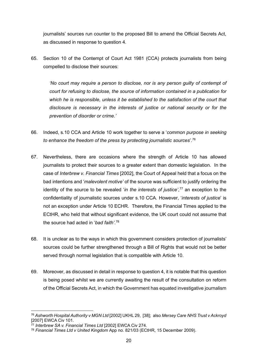journalists' sources run counter to the proposed Bill to amend the Official Secrets Act, as discussed in response to question 4.

65. Section 10 of the Contempt of Court Act 1981 (CCA) protects journalists from being compelled to disclose their sources:

*'No court may require a person to disclose, nor is any person guilty of contempt of court for refusing to disclose, the source of information contained in a publication for which he is responsible, unless it be established to the satisfaction of the court that disclosure is necessary in the interests of justice or national security or for the prevention of disorder or crime.'*

- 66. Indeed, s.10 CCA and Article 10 work together to serve a '*common purpose in seeking to enhance the freedom of the press by protecting journalistic sources*'. [76](#page-20-0)
- 67. Nevertheless, there are occasions where the strength of Article 10 has allowed journalists to protect their sources to a greater extent than domestic legislation. In the case of *Interbrew v. Financial Times* [2002], the Court of Appeal held that a focus on the bad intentions and '*malevolent motive'* of the source was sufficient to justify ordering the identity of the source to be revealed '*in the interests of justice'*, [77](#page-20-1) an exception to the confidentiality of journalistic sources under s.10 CCA. However, '*interests of justice*' is not an exception under Article 10 ECHR. Therefore, the Financial Times applied to the ECtHR, who held that without significant evidence, the UK court could not assume that the source had acted in '*bad faith'*. [78](#page-20-2)
- 68. It is unclear as to the ways in which this government considers protection of journalists' sources could be further strengthened through a Bill of Rights that would not be better served through normal legislation that is compatible with Article 10.
- 69. Moreover, as discussed in detail in response to question 4, it is notable that this question is being posed whilst we are currently awaiting the result of the consultation on reform of the Official Secrets Act, in which the Government has equated investigative journalism

<span id="page-20-0"></span><sup>76</sup> *Ashworth Hospital Authority v MGN Ltd* [2002] UKHL 29, [38]; also *Mersey Care NHS Trust v Ackroyd*  [2007] EWCA Civ 101.

<span id="page-20-1"></span><sup>77</sup> *Interbrew SA v. Financial Times Ltd* [2002] EWCA Civ 274.

<span id="page-20-2"></span><sup>78</sup> *Financial Times Ltd v United Kingdom* App no. 821/03 (ECtHR, 15 December 2009).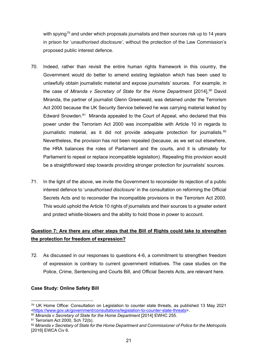with spying<sup>[79](#page-21-1)</sup> and under which proposals journalists and their sources risk up to 14 years in prison for '*unauthorised disclosure'*, without the protection of the Law Commission's proposed public interest defence.

- 70. Indeed, rather than revisit the entire human rights framework in this country, the Government would do better to amend existing legislation which has been used to unlawfully obtain journalistic material and expose journalists' sources. For example, in the case of *Miranda v Secretary of State for the Home Department* [2014], [80](#page-21-2) David Miranda, the partner of journalist Glenn Greenwald, was detained under the Terrorism Act 2000 because the UK Security Service believed he was carrying material leaked by Edward Snowden. $81$  Miranda appealed to the Court of Appeal, who declared that this power under the Terrorism Act 2000 was incompatible with Article 10 in regards to journalistic material, as it did not provide adequate protection for journalists.<sup>82</sup> Nevertheless, the provision has not been repealed (because, as we set out elsewhere, the HRA balances the roles of Parliament and the courts, and it is ultimately for Parliament to repeal or replace incompatible legislation). Repealing this provision would be a straightforward step towards providing stronger protection for journalists' sources.
- 71. In the light of the above, we invite the Government to reconsider its rejection of a public interest defence to '*unauthorised disclosure'* in the consultation on reforming the Official Secrets Acts and to reconsider the incompatible provisions in the Terrorism Act 2000. This would uphold the Article 10 rights of journalists and their sources to a greater extent and protect whistle-blowers and the ability to hold those in power to account.

### <span id="page-21-0"></span>**Question 7: Are there any other steps that the Bill of Rights could take to strengthen the protection for freedom of expression?**

72. As discussed in our responses to questions 4-6, a commitment to strengthen freedom of expression is contrary to current government initiatives. The case studies on the Police, Crime, Sentencing and Courts Bill, and Official Secrets Acts, are relevant here.

### **Case Study: Online Safety Bill**

<span id="page-21-1"></span><sup>79</sup> UK Home Office: Consultation on Legislation to counter state threats, as published 13 May 2021 [<https://www.gov.uk/government/consultations/legislation-to-counter-state-threats>](https://www.gov.uk/government/consultations/legislation-to-counter-state-threats).

<span id="page-21-2"></span><sup>80</sup> *Miranda v Secretary of State for the Home Department* [2014] EWHC 255.

<span id="page-21-3"></span><sup>81</sup> Terrorism Act 2000, Sch 72(b).

<span id="page-21-4"></span><sup>82</sup> *Miranda v Secretary of State for the Home Department and Commissioner of Police for the Metropolis* [2016] EWCA Civ 6.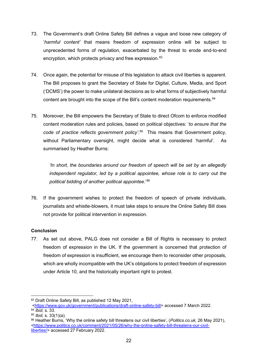- 73. The Government's draft Online Safety Bill defines a vague and loose new category of '*harmful content'* that means freedom of expression online will be subject to unprecedented forms of regulation, exacerbated by the threat to erode end-to-end encryption, which protects privacy and free expression. [83](#page-22-0)
- 74. Once again, the potential for misuse of this legislation to attack civil liberties is apparent. The Bill proposes to grant the Secretary of State for Digital, Culture, Media, and Sport ('DCMS') the power to make unilateral decisions as to what forms of subjectively harmful content are brought into the scope of the Bill's content moderation requirements.<sup>[84](#page-22-1)</sup>
- 75. Moreover, the Bill empowers the Secretary of State to direct Ofcom to enforce modified content moderation rules and policies, based on political objectives: '*to ensure that the code of practice reflects government policy'*. [85](#page-22-2) This means that Government policy, without Parliamentary oversight, might decide what is considered 'harmful'. As summarised by Heather Burns:

*'In short, the boundaries around our freedom of speech will be set by an allegedly independent regulator, led by a political appointee, whose role is to carry out the political bidding of another political appointee*.' [86](#page-22-3)

76. If the government wishes to protect the freedom of speech of private individuals, journalists and whistle-blowers, it must take steps to ensure the Online Safety Bill does not provide for political intervention in expression.

### **Conclusion**

77. As set out above, PALG does not consider a Bill of Rights is necessary to protect freedom of expression in the UK. If the government is concerned that protection of freedom of expression is insufficient, we encourage them to reconsider other proposals, which are wholly incompatible with the UK's obligations to protect freedom of expression under Article 10, and the historically important right to protest.

<span id="page-22-0"></span><sup>83</sup> Draft Online Safety Bill, as published 12 May 2021,

[<sup>&</sup>lt;https://www.gov.uk/government/publications/draft-online-safety-bill>](https://www.gov.uk/government/publications/draft-online-safety-bill) accessed 7 March 2022. <sup>84</sup> *Ibid,* s. 33.

<span id="page-22-2"></span><span id="page-22-1"></span><sup>85</sup> *Ibid,* s. 33(1)(a).

<span id="page-22-3"></span><sup>86</sup> Heather Burns, 'Why the online safety bill threatens our civil liberties', (*Politics.co.uk,* 26 May 2021), [<https://www.politics.co.uk/comment/2021/05/26/why-the-online-safety-bill-threatens-our-civil](https://www.politics.co.uk/comment/2021/05/26/why-the-online-safety-bill-threatens-our-civil-liberties/)[liberties/>](https://www.politics.co.uk/comment/2021/05/26/why-the-online-safety-bill-threatens-our-civil-liberties/) accessed 27 February 2022.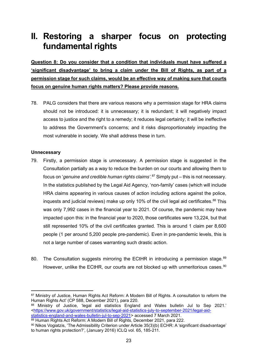# **II. Restoring a sharper focus on protecting fundamental rights**

<span id="page-23-0"></span>**Question 8: Do you consider that a condition that individuals must have suffered a 'significant disadvantage' to bring a claim under the Bill of Rights, as part of a permission stage for such claims, would be an effective way of making sure that courts focus on genuine human rights matters? Please provide reasons.**

78. PALG considers that there are various reasons why a permission stage for HRA claims should not be introduced: it is unnecessary; it is redundant; it will negatively impact access to justice and the right to a remedy; it reduces legal certainty; it will be ineffective to address the Government's concerns; and it risks disproportionately impacting the most vulnerable in society. We shall address these in turn.

### **Unnecessary**

- 79. Firstly, a permission stage is unnecessary. A permission stage is suggested in the Consultation partially as a way to reduce the burden on our courts and allowing them to focus on '*genuine and credible human rights claims'*. [87](#page-23-1) Simply put – this is not necessary. In the statistics published by the Legal Aid Agency, 'non-family' cases (which will include HRA claims appearing in various causes of action including actions against the police, inquests and judicial reviews) make up only 10% of the civil legal aid certificates.<sup>[88](#page-23-2)</sup> This was only 7,992 cases in the financial year to 2021. Of course, the pandemic may have impacted upon this: in the financial year to 2020, those certificates were 13,224, but that still represented 10% of the civil certificates granted. This is around 1 claim per 8,600 people (1 per around 5,200 people pre-pandemic). Even in pre-pandemic levels, this is not a large number of cases warranting such drastic action.
- 80. The Consultation suggests mirroring the ECtHR in introducing a permission stage. $89$ However, unlike the ECtHR, our courts are not blocked up with unmeritorious cases.<sup>[90](#page-23-4)</sup>

<span id="page-23-1"></span><sup>87</sup> Ministry of Justice, Human Rights Act Reform: A Modern Bill of Rights. A consultation to reform the Human Rights Act' (CP 588, December 2021), para 220.

<span id="page-23-2"></span><sup>88</sup> Ministry of Justice, 'legal aid statistics England and Wales bulletin Jul to Sep 2021.' [<https://www.gov.uk/government/statistics/legal-aid-statistics-july-to-september-2021/legal-aid](https://www.gov.uk/government/statistics/legal-aid-statistics-july-to-september-2021/legal-aid-statistics-england-and-wales-bulletin-jul-to-sep-2021)[statistics-england-and-wales-bulletin-jul-to-sep-2021>](https://www.gov.uk/government/statistics/legal-aid-statistics-july-to-september-2021/legal-aid-statistics-england-and-wales-bulletin-jul-to-sep-2021) accessed 7 March 2021.

<span id="page-23-3"></span><sup>89</sup> Human Rights Act Reform: A Modern Bill of Rights, December 2021, para 222.

<span id="page-23-4"></span><sup>90</sup> Nikos Vogiatzis, 'The Admissibility Criterion under Article 35(3)(b) ECHR: A 'significant disadvantage' to human rights protection?', (January 2016) ICLQ vol. 65, 185-211.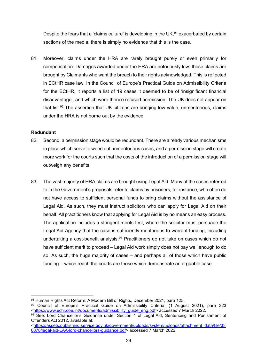Despite the fears that a 'claims culture' is developing in the UK, $91$  exacerbated by certain sections of the media, there is simply no evidence that this is the case.

81. Moreover, claims under the HRA are rarely brought purely or even primarily for compensation. Damages awarded under the HRA are notoriously low: these claims are brought by Claimants who want the breach to their rights acknowledged. This is reflected in ECtHR case law. In the Council of Europe's Practical Guide on Admissibility Criteria for the ECtHR, it reports a list of 19 cases it deemed to be of 'insignificant financial disadvantage', and which were thence refused permission. The UK does not appear on that list.<sup>92</sup> The assertion that UK citizens are bringing low-value, unmeritorious, claims under the HRA is not borne out by the evidence.

### **Redundant**

- 82. Second, a permission stage would be redundant. There are already various mechanisms in place which serve to weed out unmeritorious cases, and a permission stage will create more work for the courts such that the costs of the introduction of a permission stage will outweigh any benefits.
- 83. The vast majority of HRA claims are brought using Legal Aid. Many of the cases referred to in the Government's proposals refer to claims by prisoners, for instance, who often do not have access to sufficient personal funds to bring claims without the assistance of Legal Aid. As such, they must instruct solicitors who can apply for Legal Aid on their behalf. All practitioners know that applying for Legal Aid is by no means an easy process. The application includes a stringent merits test, where the solicitor must persuade the Legal Aid Agency that the case is sufficiently meritorious to warrant funding, including undertaking a cost-benefit analysis.<sup>[93](#page-24-2)</sup> Practitioners do not take on cases which do not have sufficient merit to proceed – Legal Aid work simply does not pay well enough to do so. As such, the huge majority of cases – and perhaps all of those which have public funding – which reach the courts are those which demonstrate an arguable case.

<span id="page-24-0"></span><sup>91</sup> Human Rights Act Reform: A Modern Bill of Rights, December 2021, para 125.

<span id="page-24-1"></span><sup>92</sup> Council of Europe's Practical Guide on Admissibility Criteria, (1 August 2021), para 323 [<https://www.echr.coe.int/documents/admissibility\\_guide\\_eng.pdf>](https://www.echr.coe.int/documents/admissibility_guide_eng.pdf) accessed 7 March 2022.

<span id="page-24-2"></span><sup>93</sup> See: Lord Chancellor's Guidance under Section 4 of Legal Aid, Sentencing and Punishment of Offenders Act 2012, available at:

[<sup>&</sup>lt;https://assets.publishing.service.gov.uk/government/uploads/system/uploads/attachment\\_data/file/33](https://assets.publishing.service.gov.uk/government/uploads/system/uploads/attachment_data/file/330878/legal-aid-LAA-lord-chancellors-guidance.pdf) [0878/legal-aid-LAA-lord-chancellors-guidance.pdf>](https://assets.publishing.service.gov.uk/government/uploads/system/uploads/attachment_data/file/330878/legal-aid-LAA-lord-chancellors-guidance.pdf) accessed 7 March 2022.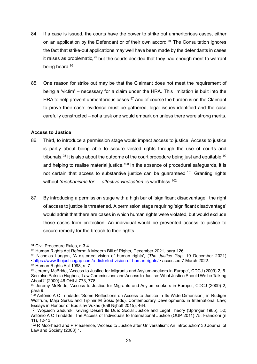- 84. If a case is issued, the courts have the power to strike out unmeritorious cases, either on an application by the Defendant or of their own accord.<sup>[94](#page-25-0)</sup> The Consultation ignores the fact that strike-out applications may well have been made by the defendants in cases it raises as problematic,  $95$  but the courts decided that they had enough merit to warrant being heard.<sup>[96](#page-25-2)</sup>
- 85. One reason for strike out may be that the Claimant does not meet the requirement of being a 'victim' – necessary for a claim under the HRA. This limitation is built into the HRA to help prevent unmeritorious cases.<sup>[97](#page-25-3)</sup> And of course the burden is on the Claimant to prove their case: evidence must be gathered, legal issues identified and the case carefully constructed – not a task one would embark on unless there were strong merits.

### **Access to Justice**

- 86. Third, to introduce a permission stage would impact access to justice. Access to justice is partly about being able to secure vested rights through the use of courts and tribunals.<sup>98</sup> It is also about the outcome of the court procedure being just and equitable,<sup>[99](#page-25-5)</sup> and helping to realise material justice.<sup>[100](#page-25-6)</sup> In the absence of procedural safeguards, it is not certain that access to substantive justice can be quaranteed.<sup>[101](#page-25-7)</sup> Granting rights without *'mechanisms for ... effective vindication'* is worthless.<sup>[102](#page-25-8)</sup>
- 87. By introducing a permission stage with a high bar of 'significant disadvantage', the right of access to justice is threatened. A permission stage requiring 'significant disadvantage' would admit that there are cases in which human rights were violated, but would exclude those cases from protection. An individual would be prevented access to justice to secure remedy for the breach to their rights.

<span id="page-25-0"></span><sup>94</sup> Civil Procedure Rules, r. 3.4.

<span id="page-25-1"></span><sup>95</sup> Human Rights Act Reform: A Modern Bill of Rights, December 2021, para 126.

<span id="page-25-2"></span><sup>96</sup> Nicholas Langen, 'A distorted vision of human rights', (*The Justice Gap,* 19 December 2021) [<https://www.thejusticegap.com/a-distorted-vision-of-human-rights/>](https://www.thejusticegap.com/a-distorted-vision-of-human-rights/) accessed 7 March 2022. <sup>97</sup> Human Rights Act 1998, s. 7.

<span id="page-25-4"></span><span id="page-25-3"></span><sup>98</sup> Jeremy McBride, 'Access to Justice for Migrants and Asylum-seekers in Europe', CDCJ (2009) 2, 6. See also Patricia Hughes, 'Law Commissions and Access to Justice: What Justice Should We be Talking About?' (2009) 46 OHLJ 773, 778.

<span id="page-25-5"></span><sup>99</sup> Jeremy McBride, 'Access to Justice for Migrants and Asylum-seekers in Europe', CDCJ (2009) 2, para 9.

<span id="page-25-6"></span><sup>100</sup> Antônio A C Trindade, 'Some Reflections on Access to Justice in Its Wide Dimension'*,* in Rüdiger Wolfrum, Maja Seršić and Trpimir M Šošić (eds), Contemporary Developments in International Law; Essays in Honour of Budislav Vukas (Brill Nijhoff 2015), 464.

<span id="page-25-7"></span><sup>101</sup> Wojciech Sadurski, Giving Desert Its Due: Social Justice and Legal Theory (Springer 1985), 52; Antônio A C Trindade, The Access of Individuals to International Justice (OUP 2011) 75; Francioni (n 11), 12-13.

<span id="page-25-8"></span><sup>&</sup>lt;sup>102</sup> R Moorhead and P Pleasence, 'Access to Justice after Universalism: An Introduction' 30 Journal of Law and Society (2003) 1.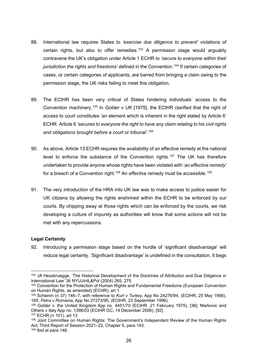- 88. International law requires States to *'exercise due diligence to prevent'* violations of certain rights, but also to offer remedies.<sup>[103](#page-26-0)</sup> A permission stage would arguably contravene the UK's obligation under Article 1 ECHR to *'secure to everyone within their jurisdiction the rights and freedoms'* defined in the Convention.[104](#page-26-1) If certain categories of cases, or certain categories of applicants, are barred from bringing a claim owing to the permission stage, the UK risks failing to meet this obligation.
- 89. The ECtHR has been very critical of States hindering individuals' access to the Convention machinery.[105](#page-26-2) In *Golder v UK* [1975], the ECtHR clarified that the right of access to court constitutes 'an element which is inherent in the right stated by Article 6' ECHR. Article 6 *'secures to everyone the right to have any claim relating to his civil rights and obligations brought before a court or tribunal'*. [106](#page-26-3)
- 90. As above, Article 13 ECHR requires the availability of an effective remedy at the national level to enforce the substance of the Convention rights.<sup>[107](#page-26-4)</sup> The UK has therefore undertaken to provide anyone whose rights have been violated with '*an effective remedy'* for a breach of a Convention right.<sup>[108](#page-26-5)</sup> An *effective* remedy must be accessible.<sup>[109](#page-26-6)</sup>
- 91. The very introduction of the HRA into UK law was to make access to justice easier for UK citizens by allowing the rights enshrined within the ECHR to be enforced by our courts. By chipping away at those rights which can be enforced by the courts, we risk developing a culture of impunity as authorities will know that some actions will not be met with any repercussions.

### **Legal Certainty**

92. Introducing a permission stage based on the hurdle of 'significant disadvantage' will reduce legal certainty. 'Significant disadvantage' is undefined in the consultation. It begs

<span id="page-26-0"></span><sup>103</sup> JA Hessbruegge, 'The Historical Development of the Doctrines of Attribution and Due Diligence in International Law' 36 NYUJIntL&Pol (2004) 265, 275.

<span id="page-26-1"></span><sup>&</sup>lt;sup>104</sup> Convention for the Protection of Human Rights and Fundamental Freedoms (European Convention on Human Rights, as amended) (ECHR), art 1.

<span id="page-26-2"></span><sup>105</sup> Scheinin (n 37) 146–7, with reference to *Kurt v Turkey*, App No 24276/94, (ECtHR, 25 May 1998), 165; *Petra v Romania*, App No 27273/95, (ECtHR, 23 September 1998).

<span id="page-26-3"></span><sup>106</sup> Golder v. the United Kingdom App no. 4451/70 (ECtHR ,21 February 1975), [36]; Markovic and Others v Italy App no. 1398/03 (ECtHR GC, 14 December 2006), [92].

<span id="page-26-4"></span><sup>107</sup> ECHR (n 101), art 13

<span id="page-26-6"></span><span id="page-26-5"></span><sup>&</sup>lt;sup>108</sup> Joint Committee on Human Rights; The Government's Independent Review of the Human Rights Act; Third Report of Session 2021–22, Chapter 5, para 143.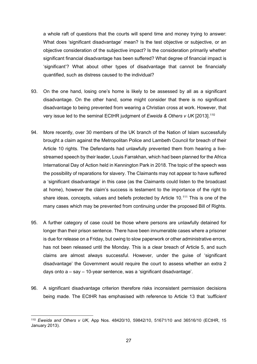a whole raft of questions that the courts will spend time and money trying to answer: What does 'significant disadvantage' mean? Is the test objective or subjective, or an objective consideration of the subjective impact? Is the consideration primarily whether significant financial disadvantage has been suffered? What degree of financial impact is 'significant'? What about other types of disadvantage that cannot be financially quantified, such as distress caused to the individual?

- 93. On the one hand, losing one's home is likely to be assessed by all as a significant disadvantage. On the other hand, some might consider that there is no significant disadvantage to being prevented from wearing a Christian cross at work. However, that very issue led to the seminal ECtHR judgment of *Eweida & Others v UK* [2013]. [110](#page-27-0)
- 94. More recently, over 30 members of the UK branch of the Nation of Islam successfully brought a claim against the Metropolitan Police and Lambeth Council for breach of their Article 10 rights. The Defendants had unlawfully prevented them from hearing a livestreamed speech by their leader, Louis Farrakhan, which had been planned for the Africa International Day of Action held in Kennington Park in 2018. The topic of the speech was the possibility of reparations for slavery. The Claimants may not appear to have suffered a 'significant disadvantage' in this case (as the Claimants could listen to the broadcast at home), however the claim's success is testament to the importance of the right to share ideas, concepts, values and beliefs protected by Article 10.<sup>[111](#page-27-1)</sup> This is one of the many cases which may be prevented from continuing under the proposed Bill of Rights.
- 95. A further category of case could be those where persons are unlawfully detained for longer than their prison sentence. There have been innumerable cases where a prisoner is due for release on a Friday, but owing to slow paperwork or other administrative errors, has not been released until the Monday. This is a clear breach of Article 5, and such claims are almost always successful. However, under the guise of 'significant disadvantage' the Government would require the court to assess whether an extra 2 days onto a – say – 10-year sentence, was a 'significant disadvantage'.
- 96. A significant disadvantage criterion therefore risks inconsistent permission decisions being made. The ECtHR has emphasised with reference to Article 13 that *'sufficient*

<span id="page-27-1"></span><span id="page-27-0"></span><sup>110</sup> *Eweida and Others v UK,* App Nos. 48420/10, 59842/10, 51671/10 and 36516/10 (ECtHR, 15 January 2013).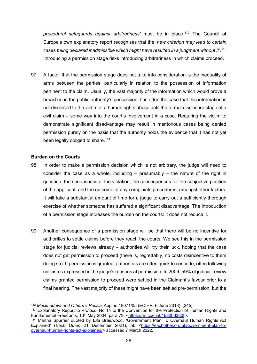*procedural safeguards against arbitrariness'* must be in place.[112](#page-28-0) The Council of Europe's own explanatory report recognises that the *'new criterion may lead to certain cases being declared inadmissible which might have resulted in a judgment without it'*. [113](#page-28-1) Introducing a permission stage risks introducing arbitrariness in which claims proceed.

97. A factor that the permission stage does not take into consideration is the inequality of arms between the parties, particularly in relation to the possession of information pertinent to the claim. Usually, the vast majority of the information which would prove a breach is in the public authority's possession. It is often the case that this information is not disclosed to the victim of a human rights abuse until the formal disclosure stage of a civil claim – some way into the court's involvement in a case. Requiring the victim to demonstrate significant disadvantage may result in meritorious cases being denied permission purely on the basis that the authority holds the evidence that it has not yet been legally obliged to share.<sup>[114](#page-28-2)</sup>

#### **Burden on the Courts**

- 98. In order to make a permission decision which is not arbitrary, the judge will need to consider the case as a whole, including  $-$  presumably  $-$  the nature of the right in question; the seriousness of the violation; the consequences for the subjective position of the applicant; and the outcome of any complaints procedures, amongst other factors. It will take a substantial amount of time for a judge to carry out a sufficiently thorough exercise of whether someone has suffered a significant disadvantage. The introduction of a permission stage increases the burden on the courts: it does not reduce it.
- 99. Another consequence of a permission stage will be that there will be no incentive for authorities to settle claims before they reach the courts. We see this in the permission stage for judicial reviews already – authorities will try their luck, hoping that the case does not get permission to proceed (there is, regrettably, no costs disincentive to them doing so). If permission is granted, authorities are often quick to concede, often following criticisms expressed in the judge's reasons at permission. In 2009, 59% of judicial review claims granted permission to proceed were settled in the Claimant's favour prior to a final hearing. The vast majority of these might have been settled pre-permission, but the

<sup>112</sup> *Maskhadova and Others v Russia*, App no 18071/05 (ECtHR, 6 June 2013), [245].

<span id="page-28-1"></span><span id="page-28-0"></span><sup>113</sup> Explanatory Report to Protocol No 14 to the Convention for the Protection of Human Rights and Fundamental Freedoms, 13th May 2004, para 79. [<https://rm.coe.int/16800d380f>](https://rm.coe.int/16800d380f).

<span id="page-28-2"></span><sup>114</sup> Martha Spurrier quoted by Ella Braidwood, 'Government Plan To Overhaul Human Rights Act Explained' (*Each Other, 21* December 2021), at: [<https://eachother.org.uk/government-plan-to](https://eachother.org.uk/government-plan-to-overhaul-human-rights-act-explained/)[overhaul-human-rights-act-explained/>](https://eachother.org.uk/government-plan-to-overhaul-human-rights-act-explained/) accessed 7 March 2022.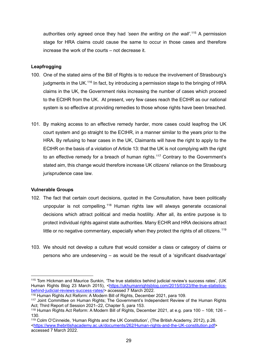authorities only agreed once they had *'seen the writing on the wall'*. [115](#page-29-0) A permission stage for HRA claims could cause the same to occur in those cases and therefore increase the work of the courts – not decrease it.

### **Leapfrogging**

- 100. One of the stated aims of the Bill of Rights is to reduce the involvement of Strasbourg's judgments in the UK.<sup>[116](#page-29-1)</sup> In fact, by introducing a permission stage to the bringing of HRA claims in the UK, the Government risks increasing the number of cases which proceed to the ECtHR from the UK. At present, very few cases reach the ECtHR as our national system is so effective at providing remedies to those whose rights have been breached.
- 101. By making access to an effective remedy harder, more cases could leapfrog the UK court system and go straight to the ECtHR, in a manner similar to the years prior to the HRA. By refusing to hear cases in the UK, Claimants will have the right to apply to the ECtHR on the basis of a violation of Article 13: that the UK is not complying with the right to an effective remedy for a breach of human rights.<sup>[117](#page-29-2)</sup> Contrary to the Government's stated aim, this change would therefore increase UK citizens' reliance on the Strasbourg jurisprudence case law.

### **Vulnerable Groups**

- 102. The fact that certain court decisions, quoted in the Consultation, have been politically unpopular is not compelling.<sup>[118](#page-29-3)</sup> Human rights law will always generate occasional decisions which attract political and media hostility. After all, its entire purpose is to protect individual rights against state authorities. Many ECHR and HRA decisions attract little or no negative commentary, especially when they protect the rights of all citizens.<sup>[119](#page-29-4)</sup>
- 103. We should not develop a culture that would consider a class or category of claims or persons who are undeserving – as would be the result of a 'significant disadvantage'

<span id="page-29-0"></span><sup>115</sup> Tom Hickman and Maurice Sunkin, 'The true statistics behind judicial review's success rates', (UK Human Rights Blog 23 March 2015), [<https://ukhumanrightsblog.com/2015/03/23/the-true-statistics](https://ukhumanrightsblog.com/2015/03/23/the-true-statistics-behind-judicial-reviews-success-rates/)[behind-judicial-reviews-success-rates/>](https://ukhumanrightsblog.com/2015/03/23/the-true-statistics-behind-judicial-reviews-success-rates/) accessed 7 March 2022.

<span id="page-29-1"></span><sup>116</sup> Human Rights Act Reform: A Modern Bill of Rights, December 2021, para 109.

<span id="page-29-2"></span><sup>117</sup> Joint Committee on Human Rights; The Government's Independent Review of the Human Rights Act; Third Report of Session 2021–22, Chapter 5, para 153.

<span id="page-29-3"></span><sup>118</sup> Human Rights Act Reform: A Modern Bill of Rights, December 2021, at e.g. para 100 – 108; 126 – 130.

<span id="page-29-4"></span><sup>119</sup> Colm O'Cinneide, 'Human Rights and the UK Constitution', (The British Academy, 2012), p.26. [<https://www.thebritishacademy.ac.uk/documents/262/Human-rights-and-the-UK-constitution.pdf>](https://www.thebritishacademy.ac.uk/documents/262/Human-rights-and-the-UK-constitution.pdf) accessed 7 March 2022.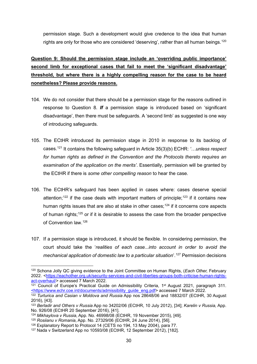permission stage. Such a development would give credence to the idea that human rights are only for those who are considered 'deserving', rather than all human beings.<sup>[120](#page-30-1)</sup>

### <span id="page-30-0"></span>**Question 9: Should the permission stage include an 'overriding public importance' second limb for exceptional cases that fail to meet the 'significant disadvantage' threshold, but where there is a highly compelling reason for the case to be heard nonetheless? Please provide reasons.**

- 104. We do not consider that there should be a permission stage for the reasons outlined in response to Question 8. *If* a permission stage is introduced based on 'significant disadvantage', then there must be safeguards. A 'second limb' as suggested is one way of introducing safeguards.
- 105. The ECtHR introduced its permission stage in 2010 in response to its backlog of cases. [121](#page-30-2) It contains the following safeguard in Article 35(3)(b) ECHR: *'…unless respect for human rights as defined in the Convention and the Protocols thereto requires an examination of the application on the merits'*. Essentially, permission will be granted by the ECtHR if there is *some other compelling reason* to hear the case.
- 106. The ECtHR's safeguard has been applied in cases where: cases deserve special attention;<sup>[122](#page-30-3)</sup> if the case deals with important matters of principle;<sup>[123](#page-30-4)</sup> if it contains new human rights issues that are also at stake in other cases;<sup>[124](#page-30-5)</sup> if it concerns core aspects of human rights;<sup>[125](#page-30-6)</sup> or if it is desirable to assess the case from the broader perspective of Convention law.[126](#page-30-7)
- 107. If a permission stage is introduced, it should be flexible. In considering permission, the court should take the '*realities of each case...into account in order to avoid the mechanical application of domestic law to a particular situation*'. [127](#page-30-8) Permission decisions

<span id="page-30-1"></span><sup>120</sup> Schona Jolly QC giving evidence to the Joint Committee on Human Rights, (*Each Other,* February 2022. [<https://eachother.org.uk/security-services-and-civil-liberties-groups-both-criticise-human-rights](https://eachother.org.uk/security-services-and-civil-liberties-groups-both-criticise-human-rights-act-overhaul/)act-overhaul/ > accessed 7 March 2022.

<span id="page-30-2"></span> $121$  Council of Europe's Practical Guide on Admissibility Criteria, 1<sup>st</sup> August 2021, paragraph 311. [<https://www.echr.coe.int/documents/admissibility\\_guide\\_eng.pdf>](https://www.echr.coe.int/documents/admissibility_guide_eng.pdf) accessed 7 March 2022.

<span id="page-30-3"></span><sup>122</sup> *Turturica and Casian v Moldova and Russia* App nos 28648/06 and 18832/07 (ECtHR, 30 August 2016), [43].

<span id="page-30-4"></span><sup>123</sup> *Berladir and Others v Russia* App no 34202/06 (ECtHR, 10 July 2012), [34]; *Karelin v Russia,* App. No. 926/08 (ECtHR 20 September 2016), [41].

<span id="page-30-5"></span><sup>124</sup> *Mikhaylova v Russia*, App. No. 46998/08 (ECtHR, 19 November 2015), [49].

<span id="page-30-6"></span><sup>125</sup> *Rosiianu v Romania*, App. No. 27329/06 (ECtHR, 24 June 2014), [56].

<span id="page-30-7"></span><sup>126</sup> Explanatory Report to Protocol 14 (CETS no 194, 13 May 2004), para 77.

<span id="page-30-8"></span><sup>127</sup> Nada v Switzerland App no 10593/08 (ECtHR, 12 September 2012), [182].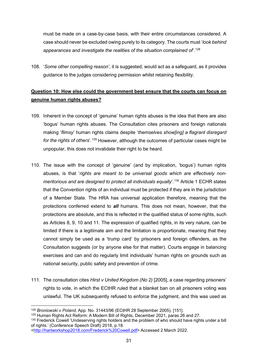must be made on a case-by-case basis, with their entire circumstances considered. A case should never be excluded owing purely to its category. The courts must '*look behind appearances and investigate the realities of the situation complained of*'. [128](#page-31-1)

108. '*Some other compelling reason'*, it is suggested, would act as a safeguard, as it provides guidance to the judges considering permission whilst retaining flexibility.

### <span id="page-31-0"></span>**Question 10: How else could the government best ensure that the courts can focus on genuine human rights abuses?**

- 109. Inherent in the concept of 'genuine' human rights abuses is the idea that there are also 'bogus' human rights abuses. The Consultation cites prisoners and foreign nationals making '*flimsy*' human rights claims despite '*themselves show[ing] a flagrant disregard*  for the rights of others'.<sup>[129](#page-31-2)</sup> However, although the outcomes of particular cases might be unpopular, this does not invalidate their right to be heard.
- 110. The issue with the concept of 'genuine' (and by implication, 'bogus') human rights abuses, is that '*rights are meant to be universal goods which are effectively nonmeritorious and are designed to protect all individuals equally*'. [130](#page-31-3) Article 1 ECHR states that the Convention rights of an individual must be protected if they are in the jurisdiction of a Member State. The HRA has universal application therefore, meaning that the protections conferred extend to *all* humans. This does not mean, however, that the protections are absolute, and this is reflected in the qualified status of some rights, such as Articles 8, 9, 10 and 11. The expression of qualified rights, in its very nature, can be limited if there is a legitimate aim and the limitation is proportionate, meaning that they cannot simply be used as a 'trump card' by prisoners and foreign offenders, as the Consultation suggests (or by anyone else for that matter). Courts engage in balancing exercises and can and do regularly limit individuals' human rights on grounds such as national security, public safety and prevention of crime.
- 111. The consultation cites *Hirst v United Kingdom (No 2)* [2005], a case regarding prisoners' rights to vote, in which the ECtHR ruled that a blanket ban on all prisoners voting was unlawful. The UK subsequently refused to enforce the judgment, and this was used as

<span id="page-31-1"></span><sup>128</sup> *Broniowski v Poland,* App. No. 31443/96 (ECtHR 28 September 2005), [151].

<span id="page-31-2"></span><sup>129</sup> Human Rights Act Reform: A Modern Bill of Rights, December 2021, paras 26 and 27.

<span id="page-31-3"></span><sup>&</sup>lt;sup>130</sup> Frederick Cowell 'Undeserving rights holders and the problem of who should have rights under a bill of rights.' (Conference Speech Draft) 2018, p.18.

[<sup>&</sup>lt;http://hartworkshop2018.com/Frederick%20Cowell.pdf>](http://hartworkshop2018.com/Frederick%20Cowell.pdf) Accessed 2 March 2022.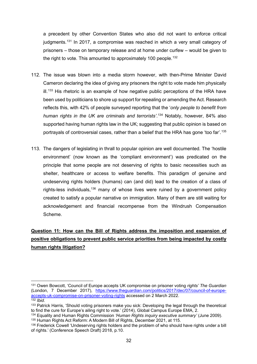a precedent by other Convention States who also did not want to enforce critical judgments.[131](#page-32-1) In 2017, a compromise was reached in which a very small category of prisoners – those on temporary release and at home under curfew – would be given to the right to vote. This amounted to approximately 100 people. [132](#page-32-2)

- 112. The issue was blown into a media storm however, with then-Prime Minister David Cameron declaring the idea of giving any prisoners the right to vote made him physically ill.<sup>[133](#page-32-3)</sup> His rhetoric is an example of how negative public perceptions of the HRA have been used by politicians to shore up support for repealing or amending the Act. Research reflects this, with 42% of people surveyed reporting that the '*only people to benefit from human rights in the UK are criminals and terrorists'*. [134](#page-32-4) Notably, however, 84% also supported having human rights law in the UK; suggesting that public opinion is based on portrayals of controversial cases, rather than a belief that the HRA has gone 'too far'. [135](#page-32-5)
- 113. The dangers of legislating in thrall to popular opinion are well documented. The 'hostile environment' (now known as the 'compliant environment') was predicated on the principle that some people are not deserving of rights to basic necessities such as shelter, healthcare or access to welfare benefits. This paradigm of genuine and undeserving rights holders (humans) can (and did) lead to the creation of a class of rights-less individuals,<sup>[136](#page-32-6)</sup> many of whose lives were ruined by a government policy created to satisfy a popular narrative on immigration. Many of them are still waiting for acknowledgement and financial recompense from the Windrush Compensation Scheme.

### <span id="page-32-0"></span>**Question 11: How can the Bill of Rights address the imposition and expansion of positive obligations to prevent public service priorities from being impacted by costly human rights litigation?**

<span id="page-32-1"></span><sup>131</sup> Owen Bowcott, 'Council of Europe accepts UK compromise on prisoner voting *rights' The Guardian* (London, 7 December 2017), [https://www.theguardian.com/politics/2017/dec/07/council-of-europe](https://www.theguardian.com/politics/2017/dec/07/council-of-europe-accepts-uk-compromise-on-prisoner-voting-rights)[accepts-uk-compromise-on-prisoner-voting-rights](https://www.theguardian.com/politics/2017/dec/07/council-of-europe-accepts-uk-compromise-on-prisoner-voting-rights) accessed on 2 March 2022. <sup>132</sup> *Ibid*.

<span id="page-32-3"></span><span id="page-32-2"></span><sup>&</sup>lt;sup>133</sup> Patrick Harris, 'Should voting prisoners make you sick: Developing the legal through the theoretical to find the cure for Europe's ailing right to vote.' (2014), Global Campus Europe EMA, 2.

<span id="page-32-4"></span><sup>134</sup> Equality and Human Rights Commission *'Human Rights inquiry executive summary'* (June 2009). <sup>135</sup> Human Rights Act Reform: A Modern Bill of Rights, December 2021, at 115.

<span id="page-32-6"></span><span id="page-32-5"></span><sup>&</sup>lt;sup>136</sup> Frederick Cowell 'Undeserving rights holders and the problem of who should have rights under a bill of rights.' (Conference Speech Draft) 2018, p.10.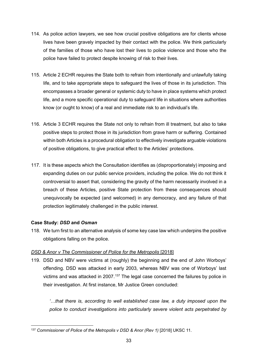- 114. As police action lawyers, we see how crucial positive obligations are for clients whose lives have been gravely impacted by their contact with the police. We think particularly of the families of those who have lost their lives to police violence and those who the police have failed to protect despite knowing of risk to their lives.
- 115. Article 2 ECHR requires the State both to refrain from intentionally and unlawfully taking life, and to take appropriate steps to safeguard the lives of those in its jurisdiction. This encompasses a broader general or systemic duty to have in place systems which protect life, and a more specific operational duty to safeguard life in situations where authorities know (or ought to know) of a real and immediate risk to an individual's life.
- 116. Article 3 ECHR requires the State not only to refrain from ill treatment, but also to take positive steps to protect those in its jurisdiction from grave harm or suffering. Contained within both Articles is a procedural obligation to effectively investigate arguable violations of positive obligations, to give practical effect to the Articles' protections.
- 117. It is these aspects which the Consultation identifies as (disproportionately) imposing and expanding duties on our public service providers, including the police. We do not think it controversial to assert that, considering the gravity of the harm necessarily involved in a breach of these Articles, positive State protection from these consequences should unequivocally be expected (and welcomed) in any democracy, and any failure of that protection legitimately challenged in the public interest.

### **Case Study:** *DSD* **and** *Osman*

118. We turn first to an alternative analysis of some key case law which underpins the positive obligations falling on the police.

### *DSD & Anor v The Commissioner of Police for the Metropolis* [2018]

119. DSD and NBV were victims at (roughly) the beginning and the end of John Worboys' offending. DSD was attacked in early 2003, whereas NBV was one of Worboys' last victims and was attacked in 2007. [137](#page-33-0) The legal case concerned the failures by police in their investigation. At first instance, Mr Justice Green concluded:

*'…that there is, according to well established case law, a duty imposed upon the police to conduct investigations into particularly severe violent acts perpetrated by* 

<span id="page-33-0"></span><sup>137</sup> *Commissioner of Police of the Metropolis v DSD & Anor (Rev 1)* [2018] UKSC 11.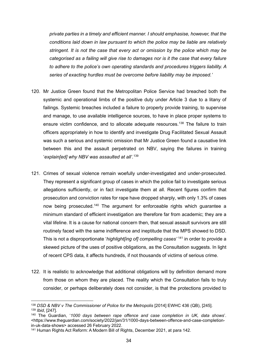*private parties in a timely and efficient manner. I should emphasise, however, that the conditions laid down in law pursuant to which the police may be liable are relatively stringent. It is not the case that every act or omission by the police which may be categorised as a failing will give rise to damages nor is it the case that every failure to adhere to the police's own operating standards and procedures triggers liability. A series of exacting hurdles must be overcome before liability may be imposed.'*

- 120. Mr Justice Green found that the Metropolitan Police Service had breached both the systemic and operational limbs of the positive duty under Article 3 due to a litany of failings. Systemic breaches included a failure to properly provide training, to supervise and manage, to use available intelligence sources, to have in place proper systems to ensure victim confidence, and to allocate adequate resources.<sup>[138](#page-34-0)</sup> The failure to train officers appropriately in how to identify and investigate Drug Facilitated Sexual Assault was such a serious and systemic omission that Mr Justice Green found a causative link between this and the assault perpetrated on NBV, saying the failures in training '*explain[ed] why NBV was assaulted at all'*. [139](#page-34-1)
- 121. Crimes of sexual violence remain woefully under-investigated and under-prosecuted. They represent a significant group of cases in which the police fail to investigate serious allegations sufficiently, or in fact investigate them at all. Recent figures confirm that prosecution and conviction rates for rape have dropped sharply, with only 1.3% of cases now being prosecuted.<sup>[140](#page-34-2)</sup> The argument for enforceable rights which guarantee a minimum standard of efficient investigation are therefore far from academic; they are a vital lifeline. It is a cause for national concern then, that sexual assault survivors are still routinely faced with the same indifference and ineptitude that the MPS showed to DSD. This is not a disproportionate '*highlight[ing of] compelling cases'* [141](#page-34-3) in order to provide a skewed picture of the uses of positive obligations, as the Consultation suggests. In light of recent CPS data, it affects hundreds, if not thousands of victims of serious crime.
- 122. It is realistic to acknowledge that additional obligations will by definition demand more from those on whom they are placed. The reality which the Consultation fails to truly consider, or perhaps deliberately does not consider, is that the protections provided to

<span id="page-34-0"></span><sup>138</sup> *DSD & NBV v The Commissioner of Police for the Metropolis* [2014] EWHC 436 (QB), [245]. <sup>139</sup> *Ibid*, [247].

<span id="page-34-2"></span><span id="page-34-1"></span><sup>140</sup> The Guardian, '*1000 days between rape offence and case completion in UK, data shows*'. <https://www.theguardian.com/society/2022/jan/31/1000-days-between-offence-and-case-completionin-uk-data-shows> accessed 26 February 2022.

<span id="page-34-3"></span><sup>141</sup> Human Rights Act Reform: A Modern Bill of Rights, December 2021, at para 142.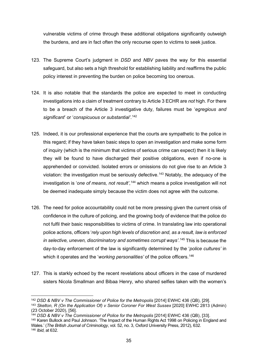vulnerable victims of crime through these additional obligations significantly outweigh the burdens, and are in fact often the only recourse open to victims to seek justice.

- 123. The Supreme Court's judgment in *DSD* and *NBV* paves the way for this essential safeguard, but also sets a high threshold for establishing liability and reaffirms the public policy interest in preventing the burden on police becoming too onerous.
- 124. It is also notable that the standards the police are expected to meet in conducting investigations into a claim of treatment contrary to Article 3 ECHR are *not* high. For there to be a breach of the Article 3 investigative duty, failures must be '*egregious and significant*' or '*conspicuous or substantial'*. [142](#page-35-0)
- 125. Indeed, it is our professional experience that the courts are sympathetic to the police in this regard; if they have taken basic steps to open an investigation and make some form of inquiry (which is the minimum that victims of serious crime can expect) then it is likely they will be found to have discharged their positive obligations, even if no-one is apprehended or convicted. Isolated errors or omissions do not give rise to an Article 3 violation: the investigation must be seriously defective.<sup>[143](#page-35-1)</sup> Notably, the adequacy of the investigation is '*one of means, not result'*, [144](#page-35-2) which means a police investigation will not be deemed inadequate simply because the victim does not agree with the outcome.
- 126. The need for police accountability could not be more pressing given the current crisis of confidence in the culture of policing, and the growing body of evidence that the police do not fulfil their basic responsibilities to victims of crime. In translating law into operational police actions, officers '*rely upon high levels of discretion and, as a result, law is enforced in selective, uneven, discriminatory and sometimes corrupt ways'*. [145](#page-35-3) This is because the day-to-day enforcement of the law is significantly determined by the '*police cultures'* in which it operates and the 'working personalities' of the police officers.<sup>[146](#page-35-4)</sup>
- 127. This is starkly echoed by the recent revelations about officers in the case of murdered sisters Nicola Smallman and Bibaa Henry, who shared selfies taken with the women's

<sup>142</sup> *DSD & NBV v The Commissioner of Police for the Metropolis* [2014] EWHC 436 (QB), [29].

<span id="page-35-1"></span><span id="page-35-0"></span><sup>143</sup> *Skelton, R (On the Application Of) v Senior Coroner For West Sussex* [2020] EWHC 2813 (Admin) (23 October 2020), [56].

<span id="page-35-2"></span><sup>144</sup> *DSD & NBV v The Commissioner of Police for the Metropolis* [2014] EWHC 436 (QB), [33].

<span id="page-35-4"></span><span id="page-35-3"></span><sup>145</sup> Karen Bullock and Paul Johnson. 'The Impact of the Human Rights Act 1998 on Policing in England and Wales.' (*The British Journal of Criminology*, vol. 52, no. 3, Oxford University Press, 2012), 632. <sup>146</sup> *Ibid*, at 632.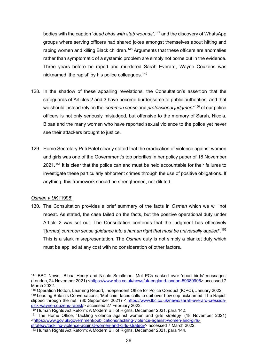bodies with the caption '*dead birds with stab wounds'*, [147](#page-36-0) and the discovery of WhatsApp groups where serving officers had shared jokes amongst themselves about hitting and raping women and killing Black children.<sup>[148](#page-36-1)</sup> Arguments that these officers are anomalies rather than symptomatic of a systemic problem are simply not borne out in the evidence. Three years before he raped and murdered Sarah Everard, Wayne Couzens was nicknamed 'the rapist' by his police colleagues.[149](#page-36-2)

- 128. In the shadow of these appalling revelations, the Consultation's assertion that the safeguards of Articles 2 and 3 have become burdensome to public authorities, and that we should instead rely on the '*common sense* and *professional judgment'* [150](#page-36-3) of our police officers is not only seriously misjudged, but offensive to the memory of Sarah, Nicola, Bibaa and the many women who have reported sexual violence to the police yet never see their attackers brought to justice.
- 129. Home Secretary Priti Patel clearly stated that the eradication of violence against women and girls was one of the Government's top priorities in her policy paper of 18 November 2021.[151](#page-36-4) It is clear that the police can and must be held accountable for their failures to investigate these particularly abhorrent crimes through the use of positive obligations. If anything, this framework should be strengthened, not diluted.

### *Osman v UK* [1998]

130. The Consultation provides a brief summary of the facts in *Osman* which we will not repeat. As stated, the case failed on the facts, but the positive operational duty under Article 2 was set out. The Consultation contends that the judgment has effectively '[*turned*] *common sense guidance into a human right that must be universally applied*'.[152](#page-36-5) This is a stark misrepresentation. The *Osman* duty is not simply a blanket duty which must be applied at any cost with no consideration of other factors.

<span id="page-36-0"></span><sup>147</sup> BBC News, 'Bibaa Henry and Nicole Smallman: Met PCs sacked over 'dead birds' messages' (London, 24 November 2021) [<https://www.bbc.co.uk/news/uk-england-london-59389906>](https://www.bbc.co.uk/news/uk-england-london-59389906) accessed 7 March 2022.<br><sup>148</sup> Operation Hotton, Learning Report, Independent Office for Police Conduct (IOPC), January 2022.

<span id="page-36-2"></span><span id="page-36-1"></span><sup>149</sup> Leading Britain's Conversations, 'Met chief faces calls to quit over how cop nicknamed 'The Rapist' slipped through the net.' (30 September 2021) < [https://www.lbc.co.uk/news/sarah-everard-cressida](https://www.lbc.co.uk/news/sarah-everard-cressida-dick-wayne-couzens-rapist/)[dick-wayne-couzens-rapist/>](https://www.lbc.co.uk/news/sarah-everard-cressida-dick-wayne-couzens-rapist/) accessed 27 February 2022.

<span id="page-36-3"></span><sup>150</sup> Human Rights Act Reform: A Modern Bill of Rights, December 2021, para 142.

<span id="page-36-4"></span><sup>151</sup> The Home Office, 'Tackling violence against women and girls *strategy'* (18 November 2021) [<https://www.gov.uk/government/publications/tackling-violence-against-women-and-girls-](https://www.gov.uk/government/publications/tackling-violence-against-women-and-girls-strategy/tackling-violence-against-women-and-girls-strategy)

<span id="page-36-5"></span>[strategy/tackling-violence-against-women-and-girls-strategy>](https://www.gov.uk/government/publications/tackling-violence-against-women-and-girls-strategy/tackling-violence-against-women-and-girls-strategy) accessed 7 March 2022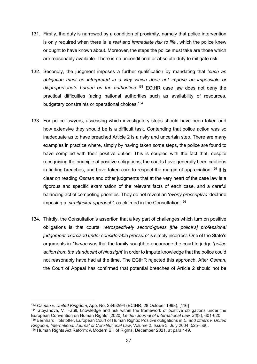- 131. Firstly, the duty is narrowed by a condition of proximity, namely that police intervention is only required when there is '*a real and immediate risk to life*', which the police knew or ought to have known about. Moreover, the steps the police must take are those which are reasonably available. There is no unconditional or absolute duty to mitigate risk.
- 132. Secondly, the judgment imposes a further qualification by mandating that '*such an obligation must be interpreted in a way which does not impose an impossible or disproportionate burden on the authorities'*. [153](#page-37-0) ECtHR case law does not deny the practical difficulties facing national authorities such as availability of resources, budgetary constraints or operational choices.<sup>[154](#page-37-1)</sup>
- 133. For police lawyers, assessing which investigatory steps should have been taken and how extensive they should be is a difficult task. Contending that police action was so inadequate as to have breached Article 2 is a risky and uncertain step. There are many examples in practice where, simply by having taken *some* steps, the police are found to have complied with their positive duties. This is coupled with the fact that, despite recognising the principle of positive obligations, the courts have generally been cautious in finding breaches, and have taken care to respect the margin of appreciation.<sup>[155](#page-37-2)</sup> It is clear on reading *Osman* and other judgments that at the very heart of the case law is a rigorous and specific examination of the relevant facts of each case, and a careful balancing act of competing priorities. They do not reveal an '*overly prescriptive'* doctrine imposing a '*straitjacket approach'*, as claimed in the Consultation.[156](#page-37-3)
- 134. Thirdly, the Consultation's assertion that a key part of challenges which turn on positive obligations is that courts '*retrospectively second-guess [the police's] professional judgement exercised under considerable pressure'* is simply incorrect. One of the State's arguments in *Osman* was that the family sought to encourage the court to judge '*police action from the standpoint of hindsight*' in order to impute knowledge that the police could not reasonably have had at the time. The ECtHR rejected this approach. After *Osman*, the Court of Appeal has confirmed that potential breaches of Article 2 should not be

<sup>153</sup> *Osman v. United Kingdom*, App. No. 23452/94 (ECtHR, 28 October 1998), [116]

<span id="page-37-3"></span><span id="page-37-2"></span><span id="page-37-1"></span><span id="page-37-0"></span><sup>154</sup> Stoyanova, V. 'Fault, knowledge and risk within the framework of positive obligations under the European Convention on Human Rights' [2020] *Leiden Journal of International Law, 33*(3), 601-620. <sup>155</sup> Bernhard Hofstötter, European Court of Human Rights: Positive obligations in *E. and others v. United Kingdom*, *International Journal of Constitutional Law*, Volume 2, Issue 3, July 2004, 525–560. <sup>156</sup> Human Rights Act Reform: A Modern Bill of Rights, December 2021, at para 149.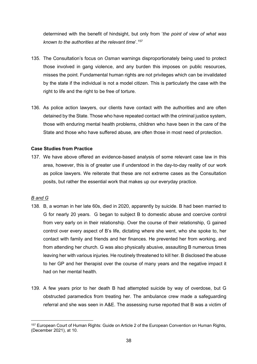determined with the benefit of hindsight, but only from '*the point of view of what was known to the authorities at the relevant time*'. [157](#page-38-0)

- 135. The Consultation's focus on *Osman* warnings disproportionately being used to protect those involved in gang violence, and any burden this imposes on public resources, misses the point. Fundamental human rights are not privileges which can be invalidated by the state if the individual is not a model citizen. This is particularly the case with the right to life and the right to be free of torture.
- 136. As police action lawyers, our clients have contact with the authorities and are often detained by the State. Those who have repeated contact with the criminal justice system, those with enduring mental health problems, children who have been in the care of the State and those who have suffered abuse, are often those in most need of protection.

### **Case Studies from Practice**

137. We have above offered an evidence-based analysis of some relevant case law in this area, however, this is of greater use if understood in the day-to-day reality of our work as police lawyers. We reiterate that these are not extreme cases as the Consultation posits, but rather the essential work that makes up our everyday practice.

### *B and G*

- 138. B, a woman in her late 60s, died in 2020, apparently by suicide. B had been married to G for nearly 20 years. G began to subject B to domestic abuse and coercive control from very early on in their relationship. Over the course of their relationship, G gained control over every aspect of B's life, dictating where she went, who she spoke to, her contact with family and friends and her finances. He prevented her from working, and from attending her church. G was also physically abusive, assaulting B numerous times leaving her with various injuries. He routinely threatened to kill her. B disclosed the abuse to her GP and her therapist over the course of many years and the negative impact it had on her mental health.
- 139. A few years prior to her death B had attempted suicide by way of overdose, but G obstructed paramedics from treating her. The ambulance crew made a safeguarding referral and she was seen in A&E. The assessing nurse reported that B was a victim of

<span id="page-38-0"></span><sup>157</sup> European Court of Human Rights: Guide on Article 2 of the European Convention on Human Rights, (December 2021), at 10.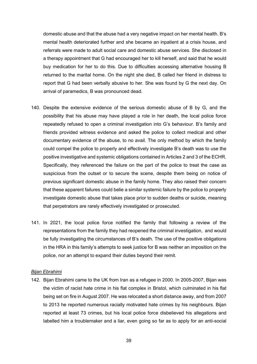domestic abuse and that the abuse had a very negative impact on her mental health. B's mental health deteriorated further and she became an inpatient at a crisis house, and referrals were made to adult social care and domestic abuse services. She disclosed in a therapy appointment that G had encouraged her to kill herself, and said that he would buy medication for her to do this. Due to difficulties accessing alternative housing B returned to the marital home. On the night she died, B called her friend in distress to report that G had been verbally abusive to her. She was found by G the next day. On arrival of paramedics, B was pronounced dead.

- 140. Despite the extensive evidence of the serious domestic abuse of B by G, and the possibility that his abuse may have played a role in her death, the local police force repeatedly refused to open a criminal investigation into G's behaviour. B's family and friends provided witness evidence and asked the police to collect medical and other documentary evidence of the abuse, to no avail. The only method by which the family could compel the police to properly and effectively investigate B's death was to use the positive investigative and systemic obligations contained in Articles 2 and 3 of the ECHR. Specifically, they referenced the failure on the part of the police to treat the case as suspicious from the outset or to secure the scene, despite them being on notice of previous significant domestic abuse in the family home. They also raised their concern that these apparent failures could belie a similar systemic failure by the police to properly investigate domestic abuse that takes place prior to sudden deaths or suicide, meaning that perpetrators are rarely effectively investigated or prosecuted.
- 141. In 2021, the local police force notified the family that following a review of the representations from the family they had reopened the criminal investigation, and would be fully investigating the circumstances of B's death. The use of the positive obligations in the HRA in this family's attempts to seek justice for B was neither an imposition on the police, nor an attempt to expand their duties beyond their remit.

#### *Bijan Ebrahimi*

142. Bijan Ebrahimi came to the UK from Iran as a refugee in 2000. In 2005-2007, Bijan was the victim of racist hate crime in his flat complex in Bristol, which culminated in his flat being set on fire in August 2007. He was relocated a short distance away, and from 2007 to 2013 he reported numerous racially motivated hate crimes by his neighbours. Bijan reported at least 73 crimes, but his local police force disbelieved his allegations and labelled him a troublemaker and a liar, even going so far as to apply for an anti-social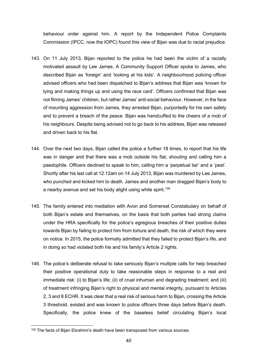behaviour order against him. A report by the Independent Police Complaints Commission (IPCC, now the IOPC) found this view of Bijan was due to racial prejudice.

- 143. On 11 July 2013, Bijan reported to the police he had been the victim of a racially motivated assault by Lee James. A Community Support Officer spoke to James, who described Bijan as 'foreign' and 'looking at his kids'. A neighbourhood policing officer advised officers who had been dispatched to Bijan's address that Bijan was 'known for lying and making things up and using the race card'. Officers confirmed that Bijan was not filming James' children, but rather James' anti-social behaviour. However, in the face of mounting aggression from James, they arrested Bijan, purportedly for his own safety and to prevent a breach of the peace. Bijan was handcuffed to the cheers of a mob of his neighbours. Despite being advised not to go back to his address, Bijan was released and driven back to his flat.
- 144. Over the next two days, Bijan called the police a further 18 times, to report that his life was in danger and that there was a mob outside his flat, shouting and calling him a paedophile. Officers declined to speak to him, calling him a 'perpetual liar' and a 'pest'. Shortly after his last call at 12.12am on 14 July 2013, Bijan was murdered by Lee James, who punched and kicked him to death. James and another man dragged Bijan's body to a nearby avenue and set his body alight using white spirit.<sup>[158](#page-40-0)</sup>
- 145. The family entered into mediation with Avon and Somerset Constabulary on behalf of both Bijan's estate and themselves, on the basis that both parties had strong claims under the HRA specifically for the police's egregious breaches of their positive duties towards Bijan by failing to protect him from torture and death, the risk of which they were on notice. In 2015, the police formally admitted that they failed to protect Bijan's life, and in doing so had violated both his and his family's Article 2 rights.
- 146. The police's deliberate refusal to take seriously Bijan's multiple calls for help breached their positive operational duty to take reasonable steps in response to a real and immediate risk: (i) to Bijan's life; (ii) of cruel inhuman and degrading treatment; and (iii) of treatment infringing Bijan's right to physical and mental integrity, pursuant to Articles 2, 3 and 8 ECHR. It was clear that a real risk of serious harm to Bijan, crossing the Article 3 threshold, existed and was known to police officers three days before Bijan's death. Specifically, the police knew of the baseless belief circulating Bijan's local

<span id="page-40-0"></span><sup>158</sup> The facts of Bijan Ebrahimi's death have been transposed from various sources.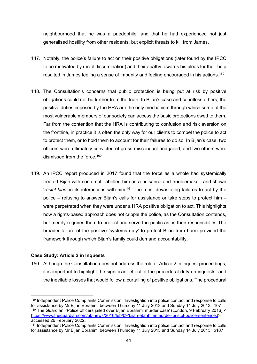neighbourhood that he was a paedophile, and that he had experienced not just generalised hostility from other residents, but explicit threats to kill from James.

- 147. Notably, the police's failure to act on their positive obligations (later found by the IPCC to be motivated by racial discrimination) and their apathy towards his pleas for their help resulted in James feeling a sense of impunity and feeling encouraged in his actions.<sup>[159](#page-41-0)</sup>
- 148. The Consultation's concerns that public protection is being put at risk by positive obligations could not be further from the truth. In Bijan's case and countless others, the positive duties imposed by the HRA are the only mechanism through which some of the most vulnerable members of our society can access the basic protections owed to them. Far from the contention that the HRA is contributing to confusion and risk aversion on the frontline, in practice it is often the only way for our clients to compel the police to act to protect them, or to hold them to account for their failures to do so. In Bijan's case, two officers were ultimately convicted of gross misconduct and jailed, and two others were dismissed from the force. [160](#page-41-1)
- 149. An IPCC report produced in 2017 found that the force as a whole had systemically treated Bijan with contempt, labelled him as a nuisance and troublemaker, and shown 'racial bias' in its interactions with him.<sup>[161](#page-41-2)</sup> The most devastating failures to act by the police – refusing to answer Bijan's calls for assistance or take steps to protect him – were perpetrated when they were under a HRA positive obligation to act. This highlights how a rights-based approach does not cripple the police, as the Consultation contends, but merely requires them to protect and serve the public as, is their responsibility. The broader failure of the positive 'systems duty' to protect Bijan from harm provided the framework through which Bijan's family could demand accountability.

### **Case Study: Article 2 in Inquests**

150. Although the Consultation does not address the role of Article 2 in inquest proceedings, it is important to highlight the significant effect of the procedural duty on inquests, and the inevitable losses that would follow a curtailing of positive obligations. The procedural

<span id="page-41-1"></span><span id="page-41-0"></span><sup>159</sup> Independent Police Complaints Commission: 'Investigation into police contact and response to calls for assistance by Mr Bijan Ebrahimi between Thursday 11 July 2013 and Sunday 14 July 2013', 107 <sup>160</sup> The Guardian, 'Police officers jailed over Bijan Ebrahimi murder case' (London, 9 February 2016) < [https://www.theguardian.com/uk-news/2016/feb/09/bijan-ebrahimi-murder-bristol-police-sentenced>](https://www.theguardian.com/uk-news/2016/feb/09/bijan-ebrahimi-murder-bristol-police-sentenced) accessed 26 February 2022.

<span id="page-41-2"></span><sup>161</sup> Independent Police Complaints Commission: 'Investigation into police contact and response to calls for assistance by Mr Bijan Ebrahimi between Thursday 11 July 2013 and Sunday 14 July 2013.' p107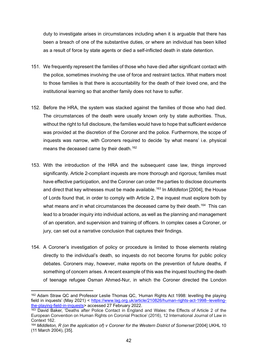duty to investigate arises in circumstances including when it is arguable that there has been a breach of one of the substantive duties, or where an individual has been killed as a result of force by state agents or died a self-inflicted death in state detention.

- 151. We frequently represent the families of those who have died after significant contact with the police, sometimes involving the use of force and restraint tactics. What matters most to those families is that there is accountability for the death of their loved one, and the institutional learning so that another family does not have to suffer.
- 152. Before the HRA, the system was stacked against the families of those who had died. The circumstances of the death were usually known only by state authorities. Thus, without the right to full disclosure, the families would have to hope that sufficient evidence was provided at the discretion of the Coroner and the police. Furthermore, the scope of inquests was narrow, with Coroners required to decide 'by what means' i.e. physical means the deceased came by their death. [162](#page-42-0)
- 153. With the introduction of the HRA and the subsequent case law, things improved significantly. Article 2-compliant inquests are more thorough and rigorous; families must have effective participation, and the Coroner can order the parties to disclose documents and direct that key witnesses must be made available.[163](#page-42-1) In *Middleton* [2004], the House of Lords found that, in order to comply with Article 2, the inquest must explore both by what means *and* in what circumstances the deceased came by their death. [164](#page-42-2) This can lead to a broader inquiry into individual actions, as well as the planning and management of an operation, and supervision and training of officers. In complex cases a Coroner, or jury, can set out a narrative conclusion that captures their findings.
- 154. A Coroner's investigation of policy or procedure is limited to those elements relating directly to the individual's death, so inquests do not become forums for public policy debates. Coroners may, however, make reports on the prevention of future deaths, if something of concern arises. A recent example of this was the inquest touching the death of teenage refugee Osman Ahmed-Nur, in which the Coroner directed the London

<span id="page-42-0"></span><sup>162</sup> Adam Straw QC and Professor Leslie Thomas QC, 'Human Rights Act 1998: levelling the playing field in inquests' (May 2021) < [https://www.lag.org.uk/article/210826/human-rights-act-1998--levelling](https://www.lag.org.uk/article/210826/human-rights-act-1998--levelling-the-playing-field-in-inquests)[the-playing-field-in-inquests>](https://www.lag.org.uk/article/210826/human-rights-act-1998--levelling-the-playing-field-in-inquests) accessed 27 February 2022.

<span id="page-42-1"></span><sup>163</sup> David Baker, 'Deaths after Police Contact in England and Wales: the Effects of Article 2 of the European Convention on Human Rights on Coronial Practice' (2016), 12 International Journal of Law in Context 162.

<span id="page-42-2"></span><sup>164</sup> *Middleton, R (on the application of) v Coroner for the Western District of Somerset* [2004] UKHL 10 (11 March 2004), [35].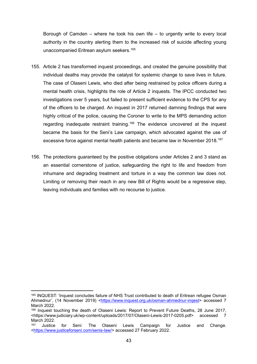Borough of Camden – where he took his own life – to urgently write to every local authority in the country alerting them to the increased risk of suicide affecting young unaccompanied Eritrean asylum seekers.[165](#page-43-0)

- 155. Article 2 has transformed inquest proceedings, and created the genuine possibility that individual deaths may provide the catalyst for systemic change to save lives in future. The case of Olaseni Lewis, who died after being restrained by police officers during a mental health crisis, highlights the role of Article 2 inquests. The IPCC conducted two investigations over 5 years, but failed to present sufficient evidence to the CPS for any of the officers to be charged. An inquest in 2017 returned damning findings that were highly critical of the police, causing the Coroner to write to the MPS demanding action regarding inadequate restraint training.<sup>[166](#page-43-1)</sup> The evidence uncovered at the inquest became the basis for the Seni's Law campaign, which advocated against the use of excessive force against mental health patients and became law in November 2018.<sup>[167](#page-43-2)</sup>
- 156. The protections guaranteed by the positive obligations under Articles 2 and 3 stand as an essential cornerstone of justice, safeguarding the right to life and freedom from inhumane and degrading treatment and torture in a way the common law does not. Limiting or removing their reach in any new Bill of Rights would be a regressive step, leaving individuals and families with no recourse to justice.

<span id="page-43-0"></span><sup>165</sup> INQUEST: 'Inquest concludes failure of NHS Trust contributed to death of Eritrean refugee Osman Ahmednur', (14 November 2019) <https://www.inquest.org.uk/osman-ahmednur-ingest> accessed 7 March 2022.

<span id="page-43-1"></span><sup>166</sup> Inquest touching the death of Olaseni Lewis: Report to Prevent Future Deaths, 28 June 2017, <https://www.judiciary.uk/wp-content/uploads/2017/07/Olaseni-Lewis-2017-0205.pdf> accessed 7 March 2022.

<span id="page-43-2"></span>Justice for Seni: The Olaseni Lewis Campaign for Justice and Change. [<https://www.justiceforseni.com/senis-law/>](https://www.justiceforseni.com/senis-law/) accessed 27 February 2022.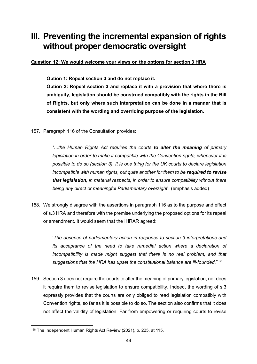# **III. Preventing the incremental expansion of rights without proper democratic oversight**

**Question 12: We would welcome your views on the options for section 3 HRA**

- **Option 1: Repeal section 3 and do not replace it.**
- **Option 2: Repeal section 3 and replace it with a provision that where there is ambiguity, legislation should be construed compatibly with the rights in the Bill of Rights, but only where such interpretation can be done in a manner that is consistent with the wording and overriding purpose of the legislation.**
- 157. Paragraph 116 of the Consultation provides:

*'…the Human Rights Act requires the courts to alter the meaning of primary legislation in order to make it compatible with the Convention rights, whenever it is possible to do so (section 3). It is one thing for the UK courts to declare legislation incompatible with human rights, but quite another for them to be required to revise that legislation, in material respects, in order to ensure compatibility without there being any direct or meaningful Parliamentary oversight*'. (emphasis added)

158. We strongly disagree with the assertions in paragraph 116 as to the purpose and effect of s.3 HRA and therefore with the premise underlying the proposed options for its repeal or amendment. It would seem that the IHRAR agreed:

> '*The absence of parliamentary action in response to section 3 interpretations and its acceptance of the need to take remedial action where a declaration of incompatibility is made might suggest that there is no real problem, and that suggestions that the HRA has upset the constitutional balance are ill-founded*.' [168](#page-44-0)

159. Section 3 does not require the courts to alter the meaning of primary legislation, nor does it require them to revise legislation to ensure compatibility. Indeed, the wording of s.3 expressly provides that the courts are only obliged to read legislation compatibly with Convention rights, so far as it is possible to do so. The section also confirms that it does not affect the validity of legislation. Far from empowering or requiring courts to revise

<span id="page-44-0"></span><sup>168</sup> The Independent Human Rights Act Review (2021), p. 225, at 115.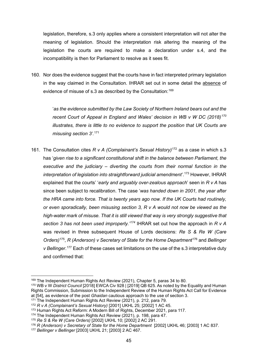legislation, therefore, s.3 only applies where a consistent interpretation will not alter the meaning of legislation. Should the interpretation risk altering the meaning of the legislation the courts are required to make a declaration under s.4, and the incompatibility is then for Parliament to resolve as it sees fit.

160. Nor does the evidence suggest that the courts have in fact interpreted primary legislation in the way claimed in the Consultation. IHRAR set out in some detail the absence of evidence of misuse of s.3 as described by the Consultation: [169](#page-45-0)

> '*as the evidence submitted by the Law Society of Northern Ireland bears out and the recent Court of Appeal in England and Wales' decision in WB v W DC (2018)[170](#page-45-1) illustrates, there is little to no evidence to support the position that UK Courts are misusing section 3'.* [171](#page-45-2)

161. The Consultation cites *R v A (Complainant's Sexual History)*[172](#page-45-3) as a case in which s.3 has '*given rise to a significant constitutional shift in the balance between Parliament, the executive and the judiciary – diverting the courts from their normal function in the interpretation of legislation into straightforward judicial amendment'*. [173](#page-45-4) However, IHRAR explained that the courts' '*early and arguably over-zealous approach*' seen in *R v A* has since been subject to recalibration. The case '*was handed down in 2001, the year after the HRA came into force. That is twenty years ago now. If the UK Courts had routinely, or even sporadically, been misusing section 3, R v A would not now be viewed as the high-water mark of misuse. That it is still viewed that way is very strongly suggestive that section 3 has not been used improperly.' [174](#page-45-5)* IHRAR set out how the approach in *R v A* was revised in three subsequent House of Lords decisions: *Re S & Re W (Care Orders)*[175,](#page-45-6) *R (Anderson) v Secretary of State for the Home Department*[176](#page-45-7) and *Bellinger v Bellinger*. [177](#page-45-8) Each of these cases set limitations on the use of the s.3 interpretative duty and confirmed that:

<span id="page-45-0"></span><sup>169</sup> The Independent Human Rights Act Review (2021), Chapter 5, paras 34 to 80.

<span id="page-45-1"></span><sup>170</sup> WB v W *District Council* [2018] EWCA Civ 928 | [2019] QB 625. As noted by the Equality and Human Rights Commission, Submission to the Independent Review of the Human Rights Act Call for Evidence at [54], as evidence of the post *Ghaidan* cautious approach to the use of section 3.

<span id="page-45-2"></span><sup>&</sup>lt;sup>171</sup> The Independent Human Rights Act Review (2021), p. 212, para 79.

<span id="page-45-3"></span><sup>172</sup> *R v A (Complainant's Sexual History)* [2001] UKHL 25; [2002] 1 AC 45.

<span id="page-45-4"></span><sup>173</sup> Human Rights Act Reform: A Modern Bill of Rights, December 2021, para 117.

<span id="page-45-5"></span><sup>&</sup>lt;sup>174</sup> The Independent Human Rights Act Review (2021), p. 198, para 47.

<span id="page-45-6"></span><sup>175</sup> *Re S & Re W (Care Orders)* [2002] UKHL 10; [2002] 2 AC 291.

<span id="page-45-7"></span><sup>176</sup> *R (Anderson) v Secretary of State for the Home Department* [2002] UKHL 46; [2003] 1 AC 837.

<span id="page-45-8"></span><sup>177</sup> *Bellinger v Bellinger* [2003] UKHL 21; [2003] 2 AC 467.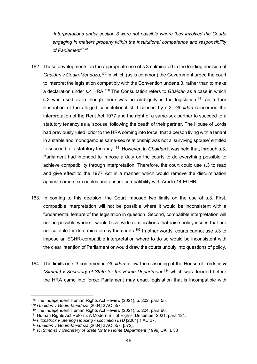'*Interpretations under section 3 were not possible where they involved the Courts engaging in matters properly within the institutional competence and responsibility of Parliament'.* [178](#page-46-0)

- 162. These developments on the appropriate use of s.3 culminated in the leading decision of *Ghaidan v Godin-Mendoza,* [179](#page-46-1) in which (as is common) the Government urged the court to interpret the legislation compatibly with the Convention under s.3, rather than to make a declaration under s.4 HRA.<sup>[180](#page-46-2)</sup> The Consultation refers to *Ghaidan* as a case in which s.3 was used even though there was no ambiguity in the legislation,<sup>[181](#page-46-3)</sup> as further illustration of the alleged constitutional shift caused by s.3. *Ghaidan* concerned the interpretation of the Rent Act 1977 and the right of a same-sex partner to succeed to a statutory tenancy as a 'spouse' following the death of their partner. The House of Lords had previously ruled, prior to the HRA coming into force, that a person living with a tenant in a stable and monogamous same-sex relationship was not a 'surviving spouse' entitled to succeed to a statutory tenancy.[182](#page-46-4) However, in *Ghaidan* it was held that, through s.3, Parliament had intended to impose a duty on the courts to do everything possible to achieve compatibility through interpretation. Therefore, the court could use s.3 to read and give effect to the 1977 Act in a manner which would remove the discrimination against same-sex couples and ensure compatibility with Article 14 ECHR.
- 163. In coming to this decision, the Court imposed two limits on the use of s.3. First, compatible interpretation will not be possible where it would be inconsistent with a fundamental feature of the legislation in question. Second, compatible interpretation will not be possible where it would have wide ramifications that raise policy issues that are not suitable for determination by the courts.<sup>[183](#page-46-5)</sup> In other words, courts cannot use s.3 to impose an ECHR-compatible interpretation where to do so would be inconsistent with the clear intention of Parliament or would draw the courts unduly into questions of policy.
- 164. The limits on s.3 confirmed in *Ghaidan* follow the reasoning of the House of Lords in *R (Simms) v Secretary of State for the Home Department*, [184](#page-46-6) which was decided before the HRA came into force: Parliament may enact legislation that is incompatible with

<sup>178</sup> The Independent Human Rights Act Review (2021), p. 202, para 55.

<span id="page-46-1"></span><span id="page-46-0"></span><sup>179</sup> *Ghaidan v Godin-Mendoza* [2004] 2 AC 557.

<span id="page-46-2"></span><sup>180</sup> The Independent Human Rights Act Review (2021), p. 204, para 60.

<span id="page-46-3"></span><sup>181</sup> Human Rights Act Reform: A Modern Bill of Rights, December 2021, para 121.

<span id="page-46-4"></span><sup>182</sup> *Fitzpatrick v Sterling Housing Association LTD* [2001] 1 AC 27.

<span id="page-46-5"></span><sup>183</sup> *Ghaidan v Godin-Mendoza* [2004] 2 AC 557, [572].

<span id="page-46-6"></span><sup>184</sup> *R (Simms) v Secretary of State for the Home Department* [1999] UKHL 33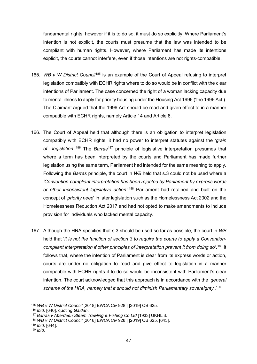fundamental rights, however if it is to do so, it must do so explicitly. Where Parliament's intention is not explicit, the courts must presume that the law was intended to be compliant with human rights. However, where Parliament has made its intentions explicit, the courts cannot interfere, even if those intentions are not rights-compatible.

- 165. *WB v W District Council*[185](#page-47-0) is an example of the Court of Appeal refusing to interpret legislation compatibly with ECHR rights where to do so would be in conflict with the clear intentions of Parliament. The case concerned the right of a woman lacking capacity due to mental illness to apply for priority housing under the Housing Act 1996 ('the 1996 Act'). The Claimant argued that the 1996 Act should be read and given effect to in a manner compatible with ECHR rights, namely Article 14 and Article 8.
- 166. The Court of Appeal held that although there is an obligation to interpret legislation compatibly with ECHR rights, it had no power to interpret statutes against the *'grain*  of...legislation<sup>', [186](#page-47-1)</sup> The *Barras*<sup>[187](#page-47-2)</sup> principle of legislative interpretation presumes that where a term has been interpreted by the courts and Parliament has made further legislation using the same term, Parliament had intended for the same meaning to apply. Following the *Barras* principle, the court in *WB* held that s.3 could not be used where a *'Convention-compliant interpretation has been rejected by Parliament by express words or other inconsistent legislative action'.* [188](#page-47-3) Parliament had retained and built on the concept of '*priority need*' in later legislation such as the Homelessness Act 2002 and the Homelessness Reduction Act 2017 and had not opted to make amendments to include provision for individuals who lacked mental capacity.
- 167. Although the HRA specifies that s.3 should be used so far as possible, the court in *WB*  held that '*it is not the function of section 3 to require the courts to apply a Conventioncompliant interpretation if other principles of interpretation prevent it from doing so'*. [189](#page-47-4) It follows that, where the intention of Parliament is clear from its express words or action, courts are under no obligation to read and give effect to legislation in a manner compatible with ECHR rights if to do so would be inconsistent with Parliament's clear intention. The court acknowledged that this approach is in accordance with the '*general scheme of the HRA, namely that it should not diminish Parliamentary sovereignty*'. [190](#page-47-5)

<span id="page-47-0"></span><sup>185</sup> *WB v W District Council* [2018] EWCA Civ 928 | [2019] QB 625.

<span id="page-47-1"></span><sup>186</sup> *Ibid,* [640], quoting *Gaidan*.

<span id="page-47-2"></span><sup>187</sup> *Barras v Aberdeen Steam Trawling & Fishing Co Ltd* [1933] UKHL 3.

<span id="page-47-3"></span><sup>188</sup> *WB v W District Council* [2018] EWCA Civ 928 | [2019] QB 625, [643].

<span id="page-47-4"></span><sup>189</sup> *Ibid,* [644].

<span id="page-47-5"></span><sup>190</sup> *Ibid.*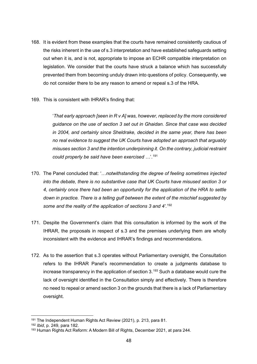- 168. It is evident from these examples that the courts have remained consistently cautious of the risks inherent in the use of s.3 interpretation and have established safeguards setting out when it is, and is not, appropriate to impose an ECHR compatible interpretation on legislation. We consider that the courts have struck a balance which has successfully prevented them from becoming unduly drawn into questions of policy. Consequently, we do not consider there to be any reason to amend or repeal s.3 of the HRA.
- 169. This is consistent with IHRAR's finding that:

'*That early approach [seen in R v A] was, however, replaced by the more considered guidance on the use of section 3 set out in Ghaidan. Since that case was decided in 2004, and certainly since Sheldrake, decided in the same year, there has been no real evidence to suggest the UK Courts have adopted an approach that arguably misuses section 3 and the intention underpinning it. On the contrary, judicial restraint could properly be said have been exercised …*'. [191](#page-48-0)

- 170. The Panel concluded that: '…*notwithstanding the degree of feeling sometimes injected into the debate, there is no substantive case that UK Courts have misused section 3 or 4, certainly once there had been an opportunity for the application of the HRA to settle down in practice. There is a telling gulf between the extent of the mischief suggested by some and the reality of the application of sections 3 and 4'.* [192](#page-48-1)
- 171. Despite the Government's claim that this consultation is informed by the work of the IHRAR, the proposals in respect of s.3 and the premises underlying them are wholly inconsistent with the evidence and IHRAR's findings and recommendations.
- 172. As to the assertion that s.3 operates without Parliamentary oversight, the Consultation refers to the IHRAR Panel's recommendation to create a judgments database to increase transparency in the application of section  $3.193$  $3.193$  Such a database would cure the lack of oversight identified in the Consultation simply and effectively. There is therefore no need to repeal or amend section 3 on the grounds that there is a lack of Parliamentary oversight.

<span id="page-48-0"></span><sup>191</sup> The Independent Human Rights Act Review (2021), p. 213, para 81.

<span id="page-48-1"></span><sup>192</sup> *Ibid*, p. 249, para 182.

<span id="page-48-2"></span><sup>193</sup> Human Rights Act Reform: A Modern Bill of Rights, December 2021, at para 244.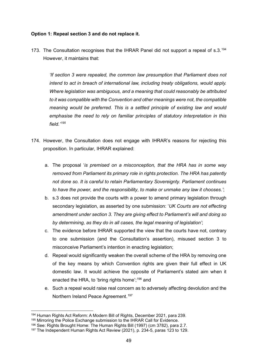### **Option 1: Repeal section 3 and do not replace it.**

173. The Consultation recognises that the IHRAR Panel did not support a repeal of s.3.<sup>[194](#page-49-0)</sup> However, it maintains that:

*'If section 3 were repealed, the common law presumption that Parliament does not intend to act in breach of international law, including treaty obligations, would apply. Where legislation was ambiguous, and a meaning that could reasonably be attributed to it was compatible with the Convention and other meanings were not, the compatible meaning would be preferred. This is a settled principle of existing law and would emphasise the need to rely on familiar principles of statutory interpretation in this field.' [195](#page-49-1)*

- 174. However, the Consultation does not engage with IHRAR's reasons for rejecting this proposition. In particular, IHRAR explained:
	- a. The proposal '*is premised on a misconception, that the HRA has in some way removed from Parliament its primary role in rights protection. The HRA has patently not done so. It is careful to retain Parliamentary Sovereignty. Parliament continues to have the power, and the responsibility, to make or unmake any law it chooses.'*;
	- b. s.3 does not provide the courts with a power to amend primary legislation through secondary legislation, as asserted by one submission: '*UK Courts are not effecting amendment under section 3. They are giving effect to Parliament's will and doing so by determining, as they do in all cases, the legal meaning of legislation'*;
	- c. The evidence before IHRAR supported the view that the courts have not, contrary to one submission (and the Consultation's assertion), misused section 3 to misconceive Parliament's intention in enacting legislation;
	- d. Repeal would significantly weaken the overall scheme of the HRA by removing one of the key means by which Convention rights are given their full effect in UK domestic law. It would achieve the opposite of Parliament's stated aim when it enacted the HRA, to 'bring rights home'; [196](#page-49-2) and
	- e. Such a repeal would raise real concern as to adversely affecting devolution and the Northern Ireland Peace Agreement.[197](#page-49-3)

<span id="page-49-0"></span><sup>194</sup> Human Rights Act Reform: A Modern Bill of Rights, December 2021, para 239.

<span id="page-49-1"></span><sup>&</sup>lt;sup>195</sup> Mirroring the Police Exchange submission to the IHRAR Call for Evidence.

<span id="page-49-2"></span><sup>196</sup> See: Rights Brought Home: The Human Rights Bill (1997) (cm 3782), para 2.7.

<span id="page-49-3"></span><sup>197</sup> The Independent Human Rights Act Review (2021), p. 234-5, paras 123 to 129.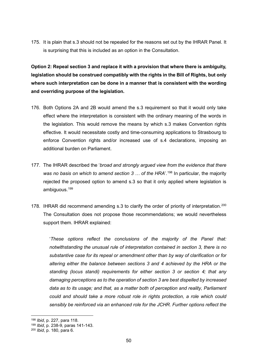175. It is plain that s.3 should not be repealed for the reasons set out by the IHRAR Panel. It is surprising that this is included as an option in the Consultation.

**Option 2: Repeal section 3 and replace it with a provision that where there is ambiguity, legislation should be construed compatibly with the rights in the Bill of Rights, but only where such interpretation can be done in a manner that is consistent with the wording and overriding purpose of the legislation.**

- 176. Both Options 2A and 2B would amend the s.3 requirement so that it would only take effect where the interpretation is consistent with the ordinary meaning of the words in the legislation. This would remove the means by which s.3 makes Convention rights effective. It would necessitate costly and time-consuming applications to Strasbourg to enforce Convention rights and/or increased use of s.4 declarations, imposing an additional burden on Parliament.
- 177. The IHRAR described the '*broad and strongly argued view from the evidence that there*  was no basis on which to amend section 3 ... of the HRA'.<sup>[198](#page-50-0)</sup> In particular, the majority rejected the proposed option to amend s.3 so that it only applied where legislation is ambiguous.[199](#page-50-1)
- 178. IHRAR did recommend amending s.3 to clarify the order of priority of interpretation. [200](#page-50-2) The Consultation does not propose those recommendations; we would nevertheless support them. IHRAR explained:

'*These options reflect the conclusions of the majority of the Panel that: notwithstanding the unusual rule of interpretation contained in section 3, there is no substantive case for its repeal or amendment other than by way of clarification or for altering either the balance between sections 3 and 4 achieved by the HRA or the standing (locus standi) requirements for either section 3 or section 4; that any damaging perceptions as to the operation of section 3 are best dispelled by increased data as to its usage; and that, as a matter both of perception and reality, Parliament could and should take a more robust role in rights protection, a role which could sensibly be reinforced via an enhanced role for the JCHR. Further options reflect the* 

<span id="page-50-0"></span><sup>198</sup> *Ibid*, p. 227, para 118.

<span id="page-50-1"></span><sup>199</sup> *Ibid*, p. 238-9, paras 141-143.

<span id="page-50-2"></span><sup>200</sup> *Ibid*, p. 180, para 6.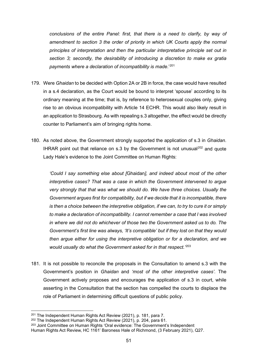*conclusions of the entire Panel: first, that there is a need to clarify, by way of*  amendment to section 3 the order of priority in which UK Courts apply the normal *principles of interpretation and then the particular interpretative principle set out in section 3; secondly, the desirability of introducing a discretion to make ex gratia payments where a declaration of incompatibility is made*.' [201](#page-51-0)

- 179. Were *Ghaidan* to be decided with Option 2A or 2B in force, the case would have resulted in a s.4 declaration, as the Court would be bound to interpret 'spouse' according to its ordinary meaning at the time; that is, by reference to heterosexual couples only, giving rise to an obvious incompatibility with Article 14 ECHR. This would also likely result in an application to Strasbourg. As with repealing s.3 altogether, the effect would be directly counter to Parliament's aim of bringing rights home.
- 180. As noted above, the Government strongly supported the application of s.3 in *Ghaidan*. IHRAR point out that reliance on s.3 by the Government is not unusual<sup>[202](#page-51-1)</sup> and quote Lady Hale's evidence to the Joint Committee on Human Rights:

*'Could I say something else about [*Ghaidan*], and indeed about most of the other interpretive cases? That was a case in which the Government intervened to argue very strongly that that was what we should do. We have three choices. Usually the Government argues first for compatibility, but if we decide that it is incompatible, there is then a choice between the interpretive obligation, if we can, to try to cure it or simply to make a declaration of incompatibility. I cannot remember a case that I was involved in where we did not do whichever of those two the Government asked us to do. The Government's first line was always, 'It's compatible' but if they lost on that they would then argue either for using the interpretive obligation or for a declaration, and we would usually do what the Government asked for in that respect.'* [203](#page-51-2)

181. It is not possible to reconcile the proposals in the Consultation to amend s.3 with the Government's position in *Ghaidan* and *'most of the other interpretive cases'.* The Government actively proposes and encourages the application of s.3 in court, while asserting in the Consultation that the section has compelled the courts to displace the role of Parliament in determining difficult questions of public policy.

<span id="page-51-0"></span><sup>201</sup> The Independent Human Rights Act Review (2021), p. 181, para 7.

<span id="page-51-1"></span><sup>202</sup> The Independent Human Rights Act Review (2021), p. 204, para 61.

<span id="page-51-2"></span><sup>203</sup> Joint Committee on Human Rights 'Oral evidence: The Government's Independent Human Rights Act Review, HC 1161' Baroness Hale of Richmond, (3 February 2021), Q27.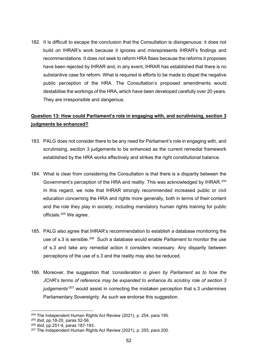182. It is difficult to escape the conclusion that the Consultation is disingenuous: it does not build on IHRAR's work because it ignores and misrepresents IHRAR's findings and recommendations. It does not seek to reform HRA flaws because the reforms it proposes have been rejected by IHRAR and, in any event, IHRAR has established that there is no substantive case for reform. What is required is efforts to be made to dispel the negative public perception of the HRA. The Consultation's proposed amendments would destabilise the workings of the HRA, which have been developed carefully over 20 years. They are irresponsible and dangerous.

### **Question 13: How could Parliament's role in engaging with, and scrutinising, section 3 judgments be enhanced?**

- 183. PALG does not consider there to be any need for Parliament's role in engaging with, and scrutinising, section 3 judgements to be enhanced as the current remedial framework established by the HRA works effectively and strikes the right constitutional balance.
- 184. What is clear from considering the Consultation is that there is a disparity between the Government's perception of the HRA and reality. This was acknowledged by IHRAR*.* [204](#page-52-0) In this regard, we note that IHRAR strongly recommended increased public or civil education concerning the HRA and rights more generally, both in terms of their content and the role they play in society, including mandatory human rights training for public officials.[205](#page-52-1) We agree.
- 185. PALG also agree that IHRAR's recommendation to establish a database monitoring the use of s.3 is sensible.<sup>[206](#page-52-2)</sup> Such a database would enable Parliament to monitor the use of s.3 and take any remedial action it considers necessary. Any disparity between perceptions of the use of s.3 and the reality may also be reduced.
- 186. Moreover, the suggestion that *'consideration is given by Parliament as to how the JCHR's terms of reference may be expanded to enhance its scrutiny role of section 3 judgements'* [207](#page-52-3) would assist in correcting the mistaken perception that s.3 undermines Parliamentary Sovereignty. As such we endorse this suggestion.

<span id="page-52-0"></span><sup>204</sup> The Independent Human Rights Act Review (2021), p. 254, para 195.

<span id="page-52-1"></span><sup>205</sup> *Ibid*, pp.18-20, paras 52-56.

<span id="page-52-2"></span><sup>206</sup> *Ibid*, pp.251-4, paras 187-193.

<span id="page-52-3"></span><sup>207</sup> The Independent Human Rights Act Review (2021), p. 255, para 200.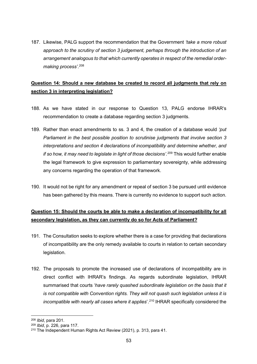187. Likewise, PALG support the recommendation that the Government *'take a more robust approach to the scrutiny of section 3 judgement, perhaps through the introduction of an arrangement analogous to that which currently operates in respect of the remedial ordermaking process'*. [208](#page-53-0)

### **Question 14: Should a new database be created to record all judgments that rely on section 3 in interpreting legislation?**

- 188. As we have stated in our response to Question 13, PALG endorse IHRAR's recommendation to create a database regarding section 3 judgments.
- 189. Rather than enact amendments to ss. 3 and 4, the creation of a database would *'put Parliament in the best possible position to scrutinise judgments that involve section 3 interpretations and section 4 declarations of incompatibility and determine whether, and if so how, it may need to legislate in light of those decisions'.* [209](#page-53-1) This would further enable the legal framework to give expression to parliamentary sovereignty, while addressing any concerns regarding the operation of that framework.
- 190. It would not be right for any amendment or repeal of section 3 be pursued until evidence has been gathered by this means. There is currently no evidence to support such action.

### **Question 15: Should the courts be able to make a declaration of incompatibility for all secondary legislation, as they can currently do so for Acts of Parliament?**

- 191. The Consultation seeks to explore whether there is a case for providing that declarations of incompatibility are the only remedy available to courts in relation to certain secondary legislation.
- 192. The proposals to promote the increased use of declarations of incompatibility are in direct conflict with IHRAR's findings. As regards subordinate legislation, IHRAR summarised that courts '*have rarely quashed subordinate legislation on the basis that it is not compatible with Convention rights. They will not quash such legislation unless it is incompatible with nearly all cases where it applies*<sup>'</sup>.<sup>[210](#page-53-2)</sup> IHRAR specifically considered the

<span id="page-53-0"></span><sup>208</sup> *Ibid*, para 201.

<span id="page-53-1"></span><sup>209</sup> *Ibid*, p. 226, para 117.

<span id="page-53-2"></span><sup>210</sup> The Independent Human Rights Act Review (2021), p. 313, para 41.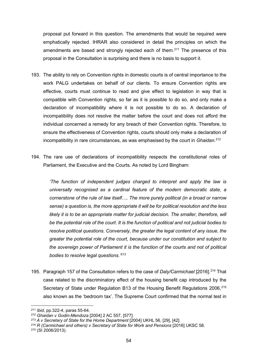proposal put forward in this question. The amendments that would be required were emphatically rejected. IHRAR also considered in detail the principles on which the amendments are based and strongly rejected each of them.<sup>[211](#page-54-0)</sup> The presence of this proposal in the Consultation is surprising and there is no basis to support it.

- 193. The ability to rely on Convention rights in domestic courts is of central importance to the work PALG undertakes on behalf of our clients. To ensure Convention rights are effective, courts must continue to read and give effect to legislation in way that is compatible with Convention rights, so far as it is possible to do so, and only make a declaration of incompatibility where it is not possible to do so. A declaration of incompatibility does not resolve the matter before the court and does not afford the individual concerned a remedy for any breach of their Convention rights. Therefore, to ensure the effectiveness of Convention rights, courts should only make a declaration of incompatibility in rare circumstances, as was emphasised by the court in *Ghaidan*. [212](#page-54-1)
- 194. The rare use of declarations of incompatibility respects the constitutional roles of Parliament, the Executive and the Courts. As noted by Lord Bingham:

*'The function of independent judges charged to interpret and apply the law is universally recognised as a cardinal feature of the modern democratic state, a cornerstone of the rule of law itself…. The more purely political (in a broad or narrow sense) a question is, the more appropriate it will be for political resolution and the less likely it is to be an appropriate matter for judicial decision. The smaller, therefore, will be the potential role of the court. It is the function of political and not judicial bodies to resolve political questions. Conversely, the greater the legal content of any issue, the greater the potential role of the court, because under our constitution and subject to the sovereign power of Parliament it is the function of the courts and not of political bodies to resolve legal questions.'* [213](#page-54-2)

195. Paragraph 157 of the Consultation refers to the case of *Daly/Carmichael* [2016].[214](#page-54-3) That case related to the discriminatory effect of the housing benefit cap introduced by the Secretary of State under Regulation B13 of the Housing Benefit Regulations 2006,<sup>[215](#page-54-4)</sup> also known as the 'bedroom tax'. The Supreme Court confirmed that the normal test in

<span id="page-54-0"></span><sup>211</sup> *Ibid*, pp.322-4, paras 55-64.

<span id="page-54-1"></span><sup>212</sup> *Ghaidan v Godin-Mendoza* [2004] 2 AC 557, [577].

<span id="page-54-3"></span><span id="page-54-2"></span><sup>&</sup>lt;sup>214</sup> R (Carmichael and others) v Secretary of State for Work and Pensions [2016] UKSC 58.

<span id="page-54-4"></span><sup>215</sup> (SI 2006/2013).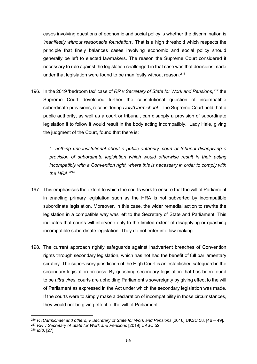cases involving questions of economic and social policy is whether the discrimination is *'manifestly without reasonable foundation'*. That is a high threshold which respects the principle that finely balances cases involving economic and social policy should generally be left to elected lawmakers. The reason the Supreme Court considered it necessary to rule against the legislation challenged in that case was that decisions made under that legislation were found to be manifestly without reason.<sup>[216](#page-55-0)</sup>

196. In the 2019 'bedroom tax' case of *RR v Secretary of State for Work and Pensions*, [217](#page-55-1) the Supreme Court developed further the constitutional question of incompatible subordinate provisions, reconsidering *Daly*/*Carmichael*. The Supreme Court held that a public authority, as well as a court or tribunal, can disapply a provision of subordinate legislation if to follow it would result in the body acting incompatibly. Lady Hale, giving the judgment of the Court, found that there is:

*'…nothing unconstitutional about a public authority, court or tribunal disapplying a provision of subordinate legislation which would otherwise result in their acting incompatibly with a Convention right, where this is necessary in order to comply with the HRA.' [218](#page-55-2)*

- 197. This emphasises the extent to which the courts work to ensure that the will of Parliament in enacting primary legislation such as the HRA is not subverted by incompatible subordinate legislation. Moreover, in this case, the wider remedial action to rewrite the legislation in a compatible way was left to the Secretary of State and Parliament. This indicates that courts will intervene only to the limited extent of disapplying or quashing incompatible subordinate legislation. They do not enter into law-making.
- 198. The current approach rightly safeguards against inadvertent breaches of Convention rights through secondary legislation, which has not had the benefit of full parliamentary scrutiny. The supervisory jurisdiction of the High Court is an established safeguard in the secondary legislation process. By quashing secondary legislation that has been found to be *ultra vires*, courts are upholding Parliament's sovereignty by giving effect to the will of Parliament as expressed in the Act under which the secondary legislation was made. If the courts were to simply make a declaration of incompatibility in those circumstances, they would not be giving effect to the will of Parliament.

<span id="page-55-0"></span><sup>&</sup>lt;sup>216</sup> R (Carmichael and others) v Secretary of State for Work and Pensions [2016] UKSC 58, [46 – 49]. <sup>217</sup> *RR v Secretary of State for Work and Pensions* [2019] UKSC 52.

<span id="page-55-2"></span><span id="page-55-1"></span><sup>218</sup> *Ibid*, [27].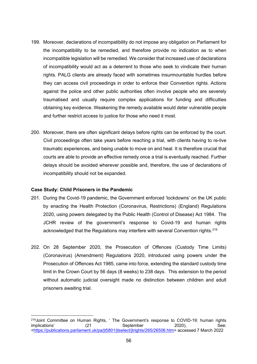- 199. Moreover, declarations of incompatibility do not impose any obligation on Parliament for the incompatibility to be remedied, and therefore provide no indication as to when incompatible legislation will be remedied. We consider that increased use of declarations of incompatibility would act as a deterrent to those who seek to vindicate their human rights. PALG clients are already faced with sometimes insurmountable hurdles before they can access civil proceedings in order to enforce their Convention rights. Actions against the police and other public authorities often involve people who are severely traumatised and usually require complex applications for funding and difficulties obtaining key evidence. Weakening the remedy available would deter vulnerable people and further restrict access to justice for those who need it most.
- 200. Moreover, there are often significant delays before rights can be enforced by the court. Civil proceedings often take years before reaching a trial, with clients having to re-live traumatic experiences, and being unable to move on and heal. It is therefore crucial that courts are able to provide an effective remedy once a trial is eventually reached. Further delays should be avoided wherever possible and, therefore, the use of declarations of incompatibility should not be expanded.

#### **Case Study: Child Prisoners in the Pandemic**

- 201. During the Covid-19 pandemic, the Government enforced 'lockdowns' on the UK public by enacting the Health Protection (Coronavirus, Restrictions) (England) Regulations 2020, using powers delegated by the Public Health (Control of Disease) Act 1984. The JCHR review of the government's response to Covid-19 and human rights acknowledged that the Regulations may interfere with several Convention rights.<sup>[219](#page-56-0)</sup>
- 202. On 28 September 2020, the Prosecution of Offences (Custody Time Limits) (Coronavirus) (Amendment) Regulations 2020, introduced using powers under the Prosecution of Offences Act 1985, came into force, extending the standard custody time limit in the Crown Court by 56 days (8 weeks) to 238 days. This extension to the period without automatic judicial oversight made no distinction between children and adult prisoners awaiting trial.

<span id="page-56-0"></span><sup>&</sup>lt;sup>219</sup>Joint Committee on Human Rights, ' The Government's response to COVID-19: human rights<br>
implications' (21 September 2020). See: implications' (21 September 2020), See: <u><https://publications.parliament.uk/pa/jt5801/jtselect/jtrights/265/26506.htm</u>> accessed 7 March 2022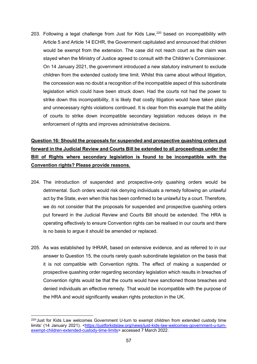203. Following a legal challenge from Just for Kids Law,<sup>[220](#page-57-0)</sup> based on incompatibility with Article 5 and Article 14 ECHR, the Government capitulated and announced that children would be exempt from the extension. The case did not reach court as the claim was stayed when the Ministry of Justice agreed to consult with the Children's Commissioner. On 14 January 2021, the government introduced a new statutory instrument to exclude children from the extended custody time limit. Whilst this came about without litigation, the concession was no doubt a recognition of the incompatible aspect of this subordinate legislation which could have been struck down. Had the courts not had the power to strike down this incompatibility, it is likely that costly litigation would have taken place and unnecessary rights violations continued. It is clear from this example that the ability of courts to strike down incompatible secondary legislation reduces delays in the enforcement of rights and improves administrative decisions.

# **Question 16: Should the proposals for suspended and prospective quashing orders put forward in the Judicial Review and Courts Bill be extended to all proceedings under the Bill of Rights where secondary legislation is found to be incompatible with the Convention rights? Please provide reasons.**

- 204. The introduction of suspended and prospective-only quashing orders would be detrimental. Such orders would risk denying individuals a remedy following an unlawful act by the State, even when this has been confirmed to be unlawful by a court. Therefore, we do not consider that the proposals for suspended and prospective quashing orders put forward in the Judicial Review and Courts Bill should be extended. The HRA is operating effectively to ensure Convention rights can be realised in our courts and there is no basis to argue it should be amended or replaced.
- 205. As was established by IHRAR, based on extensive evidence, and as referred to in our answer to Question 15, the courts rarely quash subordinate legislation on the basis that it is not compatible with Convention rights. The effect of making a suspended or prospective quashing order regarding secondary legislation which results in breaches of Convention rights would be that the courts would have sanctioned those breaches and denied individuals an effective remedy. That would be incompatible with the purpose of the HRA and would significantly weaken rights protection in the UK.

<span id="page-57-0"></span> $220<sup>6</sup>$  Just for Kids Law welcomes Government U-turn to exempt children from extended custody time limits' (14 January 2021). [<https://justforkidslaw.org/news/just-kids-law-welcomes-government-u-turn](https://justforkidslaw.org/news/just-kids-law-welcomes-government-u-turn-exempt-children-extended-custody-time-limits)[exempt-children-extended-custody-time-limits>](https://justforkidslaw.org/news/just-kids-law-welcomes-government-u-turn-exempt-children-extended-custody-time-limits) accessed 7 March 2022.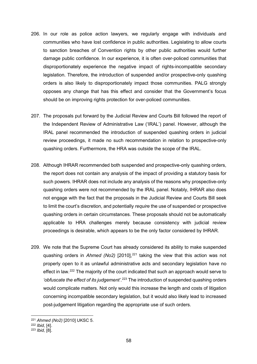- 206. In our role as police action lawyers, we regularly engage with individuals and communities who have lost confidence in public authorities. Legislating to allow courts to sanction breaches of Convention rights by other public authorities would further damage public confidence. In our experience, it is often over-policed communities that disproportionately experience the negative impact of rights-incompatible secondary legislation. Therefore, the introduction of suspended and/or prospective-only quashing orders is also likely to disproportionately impact those communities. PALG strongly opposes any change that has this effect and consider that the Government's focus should be on improving rights protection for over-policed communities.
- 207. The proposals put forward by the Judicial Review and Courts Bill followed the report of the Independent Review of Administrative Law ('IRAL') panel. However, although the IRAL panel recommended the introduction of suspended quashing orders in judicial review proceedings, it made no such recommendation in relation to prospective-only quashing orders. Furthermore, the HRA was outside the scope of the IRAL.
- 208. Although IHRAR recommended both suspended and prospective-only quashing orders, the report does not contain any analysis of the impact of providing a statutory basis for such powers. IHRAR does not include any analysis of the reasons why prospective-only quashing orders were not recommended by the IRAL panel. Notably, IHRAR also does not engage with the fact that the proposals in the Judicial Review and Courts Bill seek to limit the court's discretion, and potentially *require* the use of suspended or prospective quashing orders in certain circumstances. These proposals should not be automatically applicable to HRA challenges merely because consistency with judicial review proceedings is desirable, which appears to be the only factor considered by IHRAR.
- 209. We note that the Supreme Court has already considered its ability to make suspended quashing orders in *Ahmed (No2)* [2010],<sup>[221](#page-58-0)</sup> taking the view that this action was not properly open to it as unlawful administrative acts and secondary legislation have no effect in law.<sup>[222](#page-58-1)</sup> The majority of the court indicated that such an approach would serve to *'obfuscate the effect of its judgement'*. [223](#page-58-2) The introduction of suspended quashing orders would complicate matters. Not only would this increase the length and costs of litigation concerning incompatible secondary legislation, but it would also likely lead to increased post-judgement litigation regarding the appropriate use of such orders.

<span id="page-58-0"></span><sup>221</sup> *Ahmed (No2)* [2010] UKSC 5.

<span id="page-58-1"></span><sup>222</sup> *Ibid,* [4].

<span id="page-58-2"></span><sup>223</sup> *Ibid,* [8].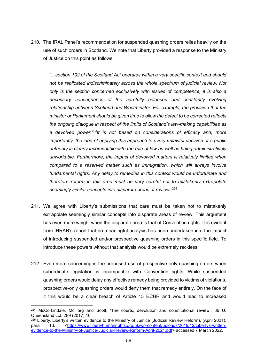210. The IRAL Panel's recommendation for suspended quashing orders relies heavily on the use of such orders in Scotland. We note that Liberty provided a response to the Ministry of Justice on this point as follows:

*'…section 102 of the Scotland Act operates within a very specific context and should not be replicated indiscriminately across the whole spectrum of judicial review, Not only is the section concerned exclusively with issues of competence, it is also a necessary consequence of the carefully balanced and constantly evolving relationship between Scotland and Westminster. For example, the provision that the minister or Parliament should be given time to allow the defect to be corrected reflects the ongoing dialogue in respect of the limits of Scotland's law-making capabilities as a devolved power.[224](#page-59-0)It is not based on considerations of efficacy and, more importantly, the idea of applying this approach to every unlawful decision of a public authority is clearly incompatible with the rule of law as well as being administratively unworkable. Furthermore, the impact of devolved matters is relatively limited when compared to a reserved matter such as immigration, which will always involve*  fundamental rights. Any delay to remedies in this context would be unfortunate and *therefore reform in this area must be very careful not to mistakenly extrapolate seemingly similar concepts into disparate areas of review.'* [225](#page-59-1)

- 211. We agree with Liberty's submissions that care must be taken not to mistakenly extrapolate seemingly similar concepts into disparate areas of review. This argument has even more weight when the disparate area is that of Convention rights. It is evident from IHRAR's report that no meaningful analysis has been undertaken into the impact of introducing suspended and/or prospective quashing orders in this specific field. To introduce these powers without that analysis would be extremely reckless.
- 212. Even more concerning is the proposed use of prospective-only quashing orders when subordinate legislation is incompatible with Convention rights. While suspended quashing orders would delay any effective remedy being provided to victims of violations, prospective-only quashing orders would deny them that remedy entirely. On the face of it this would be a clear breach of Article 13 ECHR and would lead to increased

<span id="page-59-0"></span><sup>224</sup> McCorkindale, McHarg and Scott, 'The courts, devolution and constitutional review', 36 U. Queensland L.J. 289 (2017),10.

<span id="page-59-1"></span><sup>&</sup>lt;sup>225</sup> Liberty, Liberty's written evidence to the Ministry of Justice (Judicial Review Reform), (April 2021), para 13. [<https://www.libertyhumanrights.org.uk/wp-content/uploads/2019/12/Libertys-written](https://www.libertyhumanrights.org.uk/wp-content/uploads/2019/12/Libertys-written-evidence-to-the-Ministry-of-Justice-Judicial-Review-Reform-April-2021.pdf)[evidence-to-the-Ministry-of-Justice-Judicial-Review-Reform-April-2021.pdf>](https://www.libertyhumanrights.org.uk/wp-content/uploads/2019/12/Libertys-written-evidence-to-the-Ministry-of-Justice-Judicial-Review-Reform-April-2021.pdf) accessed 7 March 2022.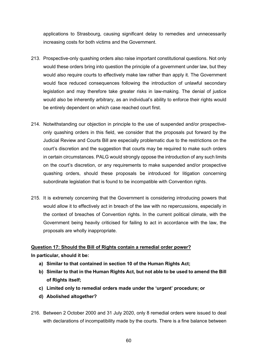applications to Strasbourg, causing significant delay to remedies and unnecessarily increasing costs for both victims and the Government.

- 213. Prospective-only quashing orders also raise important constitutional questions. Not only would these orders bring into question the principle of a government under law, but they would also require courts to effectively make law rather than apply it. The Government would face reduced consequences following the introduction of unlawful secondary legislation and may therefore take greater risks in law-making. The denial of justice would also be inherently arbitrary, as an individual's ability to enforce their rights would be entirely dependent on which case reached court first.
- 214. Notwithstanding our objection in principle to the use of suspended and/or prospectiveonly quashing orders in this field, we consider that the proposals put forward by the Judicial Review and Courts Bill are especially problematic due to the restrictions on the court's discretion and the suggestion that courts may be required to make such orders in certain circumstances. PALG would strongly oppose the introduction of any such limits on the court's discretion, or any requirements to make suspended and/or prospective quashing orders, should these proposals be introduced for litigation concerning subordinate legislation that is found to be incompatible with Convention rights.
- 215. It is extremely concerning that the Government is considering introducing powers that would allow it to effectively act in breach of the law with no repercussions, especially in the context of breaches of Convention rights. In the current political climate, with the Government being heavily criticised for failing to act in accordance with the law, the proposals are wholly inappropriate.

# **Question 17: Should the Bill of Rights contain a remedial order power?**

**In particular, should it be:**

- **a) Similar to that contained in section 10 of the Human Rights Act;**
- **b) Similar to that in the Human Rights Act, but not able to be used to amend the Bill of Rights itself;**
- **c) Limited only to remedial orders made under the 'urgent' procedure; or**
- **d) Abolished altogether?**
- 216. Between 2 October 2000 and 31 July 2020, only 8 remedial orders were issued to deal with declarations of incompatibility made by the courts. There is a fine balance between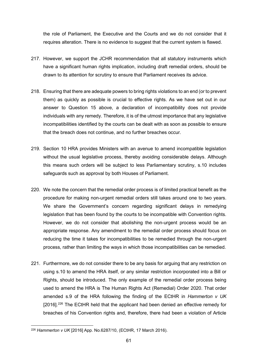the role of Parliament, the Executive and the Courts and we do not consider that it requires alteration. There is no evidence to suggest that the current system is flawed.

- 217. However, we support the JCHR recommendation that all statutory instruments which have a significant human rights implication, including draft remedial orders, should be drawn to its attention for scrutiny to ensure that Parliament receives its advice.
- 218. Ensuring that there are adequate powers to bring rights violations to an end (or to prevent them) as quickly as possible is crucial to effective rights. As we have set out in our answer to Question 15 above, a declaration of incompatibility does not provide individuals with any remedy. Therefore, it is of the utmost importance that any legislative incompatibilities identified by the courts can be dealt with as soon as possible to ensure that the breach does not continue, and no further breaches occur.
- 219. Section 10 HRA provides Ministers with an avenue to amend incompatible legislation without the usual legislative process, thereby avoiding considerable delays. Although this means such orders will be subject to less Parliamentary scrutiny, s.10 includes safeguards such as approval by both Houses of Parliament.
- 220. We note the concern that the remedial order process is of limited practical benefit as the procedure for making non-urgent remedial orders still takes around one to two years. We share the Government's concern regarding significant delays in remedying legislation that has been found by the courts to be incompatible with Convention rights. However, we do not consider that abolishing the non-urgent process would be an appropriate response. Any amendment to the remedial order process should focus on reducing the time it takes for incompatibilities to be remedied through the non-urgent process, rather than limiting the ways in which those incompatibilities can be remedied.
- 221. Furthermore, we do not consider there to be any basis for arguing that any restriction on using s.10 to amend the HRA itself, or any similar restriction incorporated into a Bill or Rights, should be introduced. The only example of the remedial order process being used to amend the HRA is The Human Rights Act (Remedial) Order 2020. That order amended s.9 of the HRA following the finding of the ECtHR in *Hammerton v UK*  $[2016]$ .<sup>[226](#page-61-0)</sup> The ECtHR held that the applicant had been denied an effective remedy for breaches of his Convention rights and, therefore, there had been a violation of Article

<span id="page-61-0"></span><sup>226</sup> *Hammerton v UK* [2016] App. No.6287/10, (ECtHR, 17 March 2016).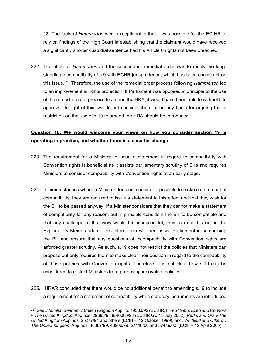13. The facts of *Hammerton* were exceptional in that it was possible for the ECtHR to rely on findings of the High Court in establishing that the claimant would have received a significantly shorter custodial sentence had his Article 6 rights not been breached.

222. The effect of *Hammerton* and the subsequent remedial order was to rectify the longstanding incompatibility of s.9 with ECHR jurisprudence, which has been consistent on this issue.[227](#page-62-0) Therefore, the use of the remedial order process following *Hammerton* led to an improvement in rights protection. If Parliament was opposed in principle to the use of the remedial order process to amend the HRA, it would have been able to withhold its approval. In light of this, we do not consider there to be any basis for arguing that a restriction on the use of s.10 to amend the HRA should be introduced.

### **Question 18: We would welcome your views on how you consider section 19 is operating in practice, and whether there is a case for change**

- 223. The requirement for a Minister to issue a statement in regard to compatibility with Convention rights is beneficial as it assists parliamentary scrutiny of Bills and requires Ministers to consider compatibility with Convention rights at an early stage.
- 224. In circumstances where a Minister does not consider it possible to make a statement of compatibility, they are required to issue a statement to this effect and that they wish for the Bill to be passed anyway. If a Minister considers that they cannot make a statement of compatibility for any reason, but in principle considers the Bill to be compatible and that any challenge to that view would be unsuccessful, they can set this out in the Explanatory Memorandum. This information will then assist Parliament in scrutinising the Bill and ensure that any questions of incompatibility with Convention rights are afforded greater scrutiny. As such, s.19 does not restrict the policies that Ministers can propose but only requires them to make clear their position in regard to the compatibility of those policies with Convention rights. Therefore, it is not clear how s.19 can be considered to restrict Ministers from proposing innovative policies.
- 225. IHRAR concluded that there would be no additional benefit to amending s.19 to include a requirement for a statement of compatibility when statutory instruments are introduced

<span id="page-62-0"></span><sup>227</sup> See *inter alia*; *Benham v United Kingdom* App no. 19380/92 (ECtHR, 8 Feb 1995); *Ezeh and Connors v The United Kingdom* App nos. 29665/98 & 40086/98 (ECtHR GC 15 July 2002); *Perks and Ors v The United Kingdom* App nos. 25277/94 and others (ECtHR, 12 October 1999); and, *Whitfield and Others v The United Kingdom* App nos. 46387/99, 48906/99, 57410/00 and 57419/00, (ECtHR 12 April 2005).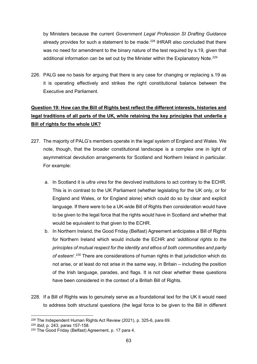by Ministers because the current *Government Legal Profession SI Drafting Guidance* already provides for such a statement to be made.<sup>[228](#page-63-0)</sup> IHRAR also concluded that there was no need for amendment to the binary nature of the test required by s.19, given that additional information can be set out by the Minister within the Explanatory Note.<sup>[229](#page-63-1)</sup>

226. PALG see no basis for arguing that there is any case for changing or replacing s.19 as it is operating effectively and strikes the right constitutional balance between the Executive and Parliament.

# **Question 19: How can the Bill of Rights best reflect the different interests, histories and legal traditions of all parts of the UK, while retaining the key principles that underlie a Bill of rights for the whole UK?**

- 227. The majority of PALG's members operate in the legal system of England and Wales. We note, though, that the broader constitutional landscape is a complex one in light of asymmetrical devolution arrangements for Scotland and Northern Ireland in particular. For example:
	- a. In Scotland it is *ultra vires* for the devolved institutions to act contrary to the ECHR. This is in contrast to the UK Parliament (whether legislating for the UK only, or for England and Wales, or for England alone) which could do so by clear and explicit language. If there were to be a UK-wide Bill of Rights then consideration would have to be given to the legal force that the rights would have in Scotland and whether that would be equivalent to that given to the ECHR.
	- b. In Northern Ireland, the Good Friday (Belfast) Agreement anticipates a Bill of Rights for Northern Ireland which would include the ECHR and '*additional rights to the principles of mutual respect for the identity and ethos of both communities and parity of esteem*'. [230](#page-63-2) There are considerations of human rights in that jurisdiction which do not arise, or at least do not arise in the same way, in Britain – including the position of the Irish language, parades, and flags. It is not clear whether these questions have been considered in the context of a British Bill of Rights.
- 228. If a Bill of Rights was to genuinely serve as a foundational text for the UK it would need to address both structural questions (the legal force to be given to the Bill in different

<span id="page-63-0"></span><sup>228</sup> The Independent Human Rights Act Review (2021), p. 325-6, para 69.

<span id="page-63-1"></span><sup>229</sup> *Ibid*, p. 243, paras 157-158.

<span id="page-63-2"></span><sup>230</sup> The Good Friday (Belfast) Agreement, p. 17 para 4.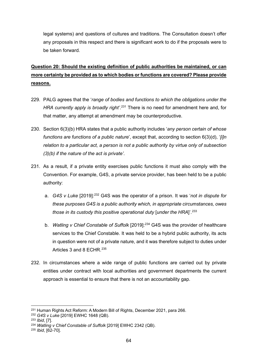legal systems) and questions of cultures and traditions. The Consultation doesn't offer any proposals in this respect and there is significant work to do if the proposals were to be taken forward.

# **Question 20: Should the existing definition of public authorities be maintained, or can more certainty be provided as to which bodies or functions are covered? Please provide reasons.**

- 229. PALG agrees that the '*range of bodies and functions to which the obligations under the*  HRA currently apply is broadly right'.<sup>[231](#page-64-0)</sup> There is no need for amendment here and, for that matter, any attempt at amendment may be counterproductive.
- 230. Section 6(3)(b) HRA states that a public authority includes '*any person certain of whose functions are functions of a public nature*', except that, according to section 6(3)(d), '*[i]n relation to a particular act, a person is not a public authority by virtue only of subsection (3)(b) if the nature of the act is private'*.
- 231. As a result, if a private entity exercises public functions it must also comply with the Convention. For example, G4S, a private service provider, has been held to be a public authority:
	- a. *G4S v Luke* [2019]:[232](#page-64-1) G4S was the operator of a prison. It was '*not in dispute for these purposes G4S is a public authority which, in appropriate circumstances, owes those in its custody this positive operational duty* [*under the HRA*]'. [233](#page-64-2)
	- b. *Watling v Chief Constable of Suffolk* [2019]:[234](#page-64-3) G4S was the provider of healthcare services to the Chief Constable. It was held to be a hybrid public authority, its acts in question were not of a private nature, and it was therefore subject to duties under Articles 3 and 8 ECHR.<sup>[235](#page-64-4)</sup>
- 232. In circumstances where a wide range of public functions are carried out by private entities under contract with local authorities and government departments the current approach is essential to ensure that there is not an accountability gap.

<span id="page-64-0"></span><sup>231</sup> Human Rights Act Reform: A Modern Bill of Rights, December 2021, para 266.

<span id="page-64-1"></span><sup>232</sup> *G4S v Luke* [2019] EWHC 1648 (QB).

<span id="page-64-2"></span><sup>233</sup> *Ibid*, [7].

<span id="page-64-3"></span><sup>234</sup> *Watling v Chief Constable of Suffolk* [2019] EWHC 2342 (QB).

<span id="page-64-4"></span><sup>235</sup> *Ibid*, [62-70].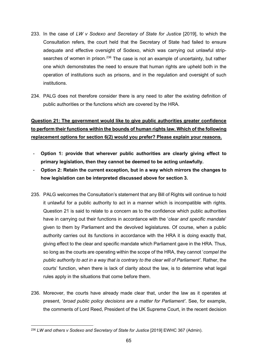- 233. In the case of *LW v Sodexo and Secretary of State for Justice* [2019], to which the Consultation refers, the court held that the Secretary of State had failed to ensure adequate and effective oversight of Sodexo, which was carrying out unlawful strip-searches of women in prison.<sup>[236](#page-65-0)</sup> The case is not an example of uncertainty, but rather one which demonstrates the need to ensure that human rights are upheld both in the operation of institutions such as prisons, and in the regulation and oversight of such institutions.
- 234. PALG does not therefore consider there is any need to alter the existing definition of public authorities or the functions which are covered by the HRA.

# **Question 21: The government would like to give public authorities greater confidence to perform their functions within the bounds of human rights law. Which of the following replacement options for section 6(2) would you prefer? Please explain your reasons.**

- **Option 1: provide that wherever public authorities are clearly giving effect to primary legislation, then they cannot be deemed to be acting unlawfully.**
- **Option 2: Retain the current exception, but in a way which mirrors the changes to how legislation can be interpreted discussed above for section 3.**
- 235. PALG welcomes the Consultation's statement that any Bill of Rights will continue to hold it unlawful for a public authority to act in a manner which is incompatible with rights. Question 21 is said to relate to a concern as to the confidence which public authorities have in carrying out their functions in accordance with the '*clear and specific mandate*' given to them by Parliament and the devolved legislatures. Of course, when a public authority carries out its functions in accordance with the HRA it is doing exactly that, giving effect to the clear and specific mandate which Parliament gave in the HRA. Thus, so long as the courts are operating within the scope of the HRA, they cannot '*compel the public authority to act in a way that is contrary to the clear will of Parliament'*. Rather, the courts' function, when there is lack of clarity about the law, is to determine what legal rules apply in the situations that come before them.
- 236. Moreover, the courts have already made clear that, under the law as it operates at present, '*broad public policy decisions are a matter for Parliament'*. See, for example, the comments of Lord Reed, President of the UK Supreme Court, in the recent decision

<span id="page-65-0"></span><sup>&</sup>lt;sup>236</sup> LW and others v Sodexo and Secretary of State for Justice [2019] EWHC 367 (Admin).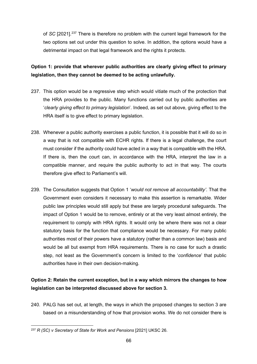of *SC* [2021]. [237](#page-66-0) There is therefore no problem with the current legal framework for the two options set out under this question to solve. In addition, the options would have a detrimental impact on that legal framework and the rights it protects.

**Option 1: provide that wherever public authorities are clearly giving effect to primary legislation, then they cannot be deemed to be acting unlawfully.**

- 237. This option would be a regressive step which would vitiate much of the protection that the HRA provides to the public. Many functions carried out by public authorities are '*clearly giving effect to primary legislation*'. Indeed, as set out above, giving effect to the HRA itself is to give effect to primary legislation.
- 238. Whenever a public authority exercises a public function, it is possible that it will do so in a way that is not compatible with ECHR rights. If there is a legal challenge, the court must consider if the authority could have acted in a way that is compatible with the HRA. If there is, then the court can, in accordance with the HRA, interpret the law in a compatible manner, and require the public authority to act in that way. The courts therefore give effect to Parliament's will.
- 239. The Consultation suggests that Option 1 '*would not remove all accountability'*. That the Government even considers it necessary to make this assertion is remarkable. Wider public law principles would still apply but these are largely procedural safeguards. The impact of Option 1 would be to remove, entirely or at the very least almost entirely, the requirement to comply with HRA rights. It would only be where there was not a clear statutory basis for the function that compliance would be necessary. For many public authorities most of their powers have a statutory (rather than a common law) basis and would be all but exempt from HRA requirements. There is no case for such a drastic step, not least as the Government's concern is limited to the '*confidence*' that public authorities have in their own decision-making.

### **Option 2: Retain the current exception, but in a way which mirrors the changes to how legislation can be interpreted discussed above for section 3.**

240. PALG has set out, at length, the ways in which the proposed changes to section 3 are based on a misunderstanding of how that provision works. We do not consider there is

<span id="page-66-0"></span><sup>237</sup> *R (SC) v Secretary of State for Work and Pensions* [2021] UKSC 26.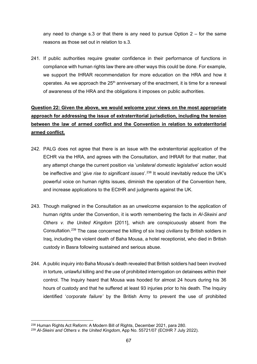any need to change s.3 or that there is any need to pursue Option  $2 -$  for the same reasons as those set out in relation to s.3.

241. If public authorities require greater confidence in their performance of functions in compliance with human rights law there are other ways this could be done. For example, we support the IHRAR recommendation for more education on the HRA and how it operates. As we approach the  $25<sup>th</sup>$  anniversary of the enactment, it is time for a renewal of awareness of the HRA and the obligations it imposes on public authorities.

# **Question 22: Given the above, we would welcome your views on the most appropriate approach for addressing the issue of extraterritorial jurisdiction, including the tension between the law of armed conflict and the Convention in relation to extraterritorial armed conflict.**

- 242. PALG does not agree that there is an issue with the extraterritorial application of the ECHR via the HRA, and agrees with the Consultation, and IHRAR for that matter, that any attempt change the current position via '*unilateral domestic legislative*' action would be ineffective and '*give rise to significant issues*'. [238](#page-67-0) It would inevitably reduce the UK's powerful voice on human rights issues, diminish the operation of the Convention here, and increase applications to the ECtHR and judgments against the UK.
- 243. Though maligned in the Consultation as an unwelcome expansion to the application of human rights under the Convention, it is worth remembering the facts in *Al-Skeini and Others v. the United Kingdom* [2011], which are conspicuously absent from the Consultation. [239](#page-67-1) The case concerned the killing of six Iraqi *civilians* by British soldiers in Iraq, including the violent death of Baha Mousa, a hotel receptionist, who died in British custody in Basra following sustained and serious abuse.
- 244. A public inquiry into Baha Mousa's death revealed that British soldiers had been involved in torture, unlawful killing and the use of prohibited interrogation on detainees within their control. The Inquiry heard that Mousa was hooded for almost 24 hours during his 36 hours of custody and that he suffered at least 93 injuries prior to his death. The Inquiry identified '*corporate failure'* by the British Army to prevent the use of prohibited

<span id="page-67-0"></span><sup>238</sup> Human Rights Act Reform: A Modern Bill of Rights, December 2021, para 280.

<span id="page-67-1"></span><sup>239</sup> *Al-Skeini and Others v. the United Kingdom*, App No. 55721/07 (ECtHR 7 July 2022).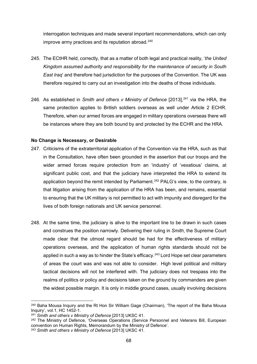interrogation techniques and made several important recommendations, which can only improve army practices and its reputation abroad.<sup>[240](#page-68-0)</sup>

- 245. The ECtHR held, correctly, that as a matter of both legal and practical reality, '*the United Kingdom assumed authority and responsibility for the maintenance of security in South East Iraq*' and therefore had jurisdiction for the purposes of the Convention. The UK was therefore required to carry out an investigation into the deaths of those individuals.
- 246. As established in *Smith and others v Ministry of Defence* [2013], [241](#page-68-1) via the HRA, the same protection applies to British soldiers overseas as well under Article 2 ECHR. Therefore, when our armed forces are engaged in military operations overseas there will be instances where they are both bound by and protected by the ECHR and the HRA.

### **No Change is Necessary, or Desirable**

- 247. Criticisms of the extraterritorial application of the Convention via the HRA, such as that in the Consultation, have often been grounded in the assertion that our troops and the wider armed forces require protection from an 'industry' of 'vexatious' claims, at significant public cost, and that the judiciary have interpreted the HRA to extend its application beyond the remit intended by Parliament.<sup>[242](#page-68-2)</sup> PALG's view, to the contrary, is that litigation arising from the application of the HRA has been, and remains, essential to ensuring that the UK military is not permitted to act with impunity and disregard for the lives of both foreign nationals and UK service personnel.
- 248. At the same time, the judiciary is alive to the important line to be drawn in such cases and construes the position narrowly. Delivering their ruling in *Smith*, the Supreme Court made clear that the utmost regard should be had for the effectiveness of military operations overseas, and the application of human rights standards should not be applied in such a way as to hinder the State's efficacy.<sup>[243](#page-68-3)</sup> Lord Hope set clear parameters of areas the court was and was not able to consider. High level political and military tactical decisions will not be interfered with. The judiciary does not trespass into the realms of politics or policy and decisions taken on the ground by commanders are given the widest possible margin. It is only in middle ground cases, usually involving decisions

<span id="page-68-0"></span><sup>&</sup>lt;sup>240</sup> Baha Mousa Inquiry and the Rt Hon Sir William Gage (Chairman), 'The report of the Baha Mousa Inquiry', vol.1, HC 1452-1.

<span id="page-68-1"></span><sup>241</sup> *Smith and others v Ministry of Defence* [2013] UKSC 41.

<span id="page-68-2"></span><sup>242</sup> The Ministry of Defence, 'Overseas Operations (Service Personnel and Veterans Bill, European convention on Human Rights, Memorandum by the Ministry of Defence'.

<span id="page-68-3"></span><sup>243</sup> *Smith and others v Ministry of Defence* [2013] UKSC 41.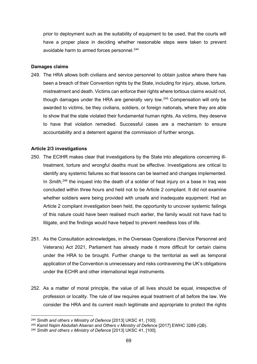prior to deployment such as the suitability of equipment to be used, that the courts will have a proper place in deciding whether reasonable steps were taken to prevent avoidable harm to armed forces personnel.<sup>[244](#page-69-0)</sup>

#### **Damages claims**

249. The HRA allows both civilians and service personnel to obtain justice where there has been a breach of their Convention rights by the State, including for injury, abuse, torture, mistreatment and death. Victims can enforce their rights where tortious claims would not, though damages under the HRA are generally very low. [245](#page-69-1) Compensation will only be awarded to victims, be they civilians, soldiers, or foreign nationals, where they are able to show that the state violated their fundamental human rights. As victims, they deserve to have that violation remedied. Successful cases are a mechanism to ensure accountability and a deterrent against the commission of further wrongs.

### **Article 2/3 investigations**

- 250. The ECtHR makes clear that investigations by the State into allegations concerning illtreatment, torture and wrongful deaths must be effective. Investigations are critical to identify any systemic failures so that lessons can be learned and changes implemented. In Smith,<sup>[246](#page-69-2)</sup> the inquest into the death of a soldier of heat injury on a base in Iraq was concluded within three hours and held not to be Article 2 compliant. It did not examine whether soldiers were being provided with unsafe and inadequate equipment. Had an Article 2 compliant investigation been held, the opportunity to uncover systemic failings of this nature could have been realised much earlier, the family would not have had to litigate, and the findings would have helped to prevent needless loss of life.
- 251. As the Consultation acknowledges, in the Overseas Operations (Service Personnel and Veterans) Act 2021, Parliament has already made it more difficult for certain claims under the HRA to be brought. Further change to the territorial as well as temporal application of the Convention is unnecessary and risks contravening the UK's obligations under the ECHR and other international legal instruments.
- 252. As a matter of moral principle, the value of all lives should be equal, irrespective of profession or locality. The rule of law requires equal treatment of all before the law. We consider the HRA and its current reach legitimate and appropriate to protect the rights

<span id="page-69-0"></span><sup>244</sup> *Smith and others v Ministry of Defence* [2013] UKSC 41, [100].

<span id="page-69-1"></span><sup>245</sup> *Kamil Najim Abdullah Alseran and Others v Ministry of Defence* [2017] EWHC 3289 (QB).

<span id="page-69-2"></span><sup>246</sup> *Smith and others v Ministry of Defence* [2013] UKSC 41, [100].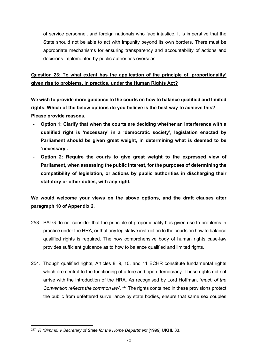of service personnel, and foreign nationals who face injustice. It is imperative that the State should not be able to act with impunity beyond its own borders. There must be appropriate mechanisms for ensuring transparency and accountability of actions and decisions implemented by public authorities overseas.

# **Question 23: To what extent has the application of the principle of 'proportionality' given rise to problems, in practice, under the Human Rights Act?**

**We wish to provide more guidance to the courts on how to balance qualified and limited rights. Which of the below options do you believe is the best way to achieve this? Please provide reasons.** 

- Option 1: Clarify that when the courts are deciding whether an interference with a **qualified right is 'necessary' in a 'democratic society', legislation enacted by Parliament should be given great weight, in determining what is deemed to be 'necessary'.**
- **Option 2: Require the courts to give great weight to the expressed view of Parliament, when assessing the public interest, for the purposes of determining the compatibility of legislation, or actions by public authorities in discharging their statutory or other duties, with any right.**

### **We would welcome your views on the above options, and the draft clauses after paragraph 10 of Appendix 2.**

- 253. PALG do not consider that the principle of proportionality has given rise to problems in practice under the HRA, or that any legislative instruction to the courts on how to balance qualified rights is required. The now comprehensive body of human rights case-law provides sufficient guidance as to how to balance qualified and limited rights.
- 254. Though qualified rights, Articles 8, 9, 10, and 11 ECHR constitute fundamental rights which are central to the functioning of a free and open democracy. These rights did not arrive with the introduction of the HRA. As recognised by Lord Hoffman, *'much of the Convention reflects the common law*'*.* [247](#page-70-0) The rights contained in these provisions protect the public from unfettered surveillance by state bodies, ensure that same sex couples

<span id="page-70-0"></span><sup>247</sup> *R (Simms) v Secretary of State for the Home Department* [1999] UKHL 33.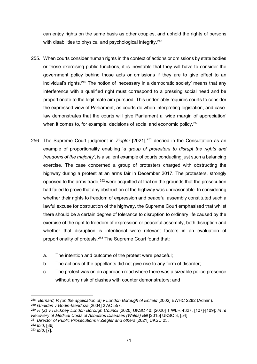can enjoy rights on the same basis as other couples, and uphold the rights of persons with disabilities to physical and psychological integrity.<sup>[248](#page-71-0)</sup>

- 255. When courts consider human rights in the context of actions or omissions by state bodies or those exercising public functions, it is inevitable that they will have to consider the government policy behind those acts or omissions if they are to give effect to an individual's rights.<sup>[249](#page-71-1)</sup> The notion of 'necessary in a democratic society' means that any interference with a qualified right must correspond to a pressing social need and be proportionate to the legitimate aim pursued. This undeniably requires courts to consider the expressed view of Parliament, as courts do when interpreting legislation, and caselaw demonstrates that the courts will give Parliament a 'wide margin of appreciation' when it comes to, for example, decisions of social and economic policy.<sup>[250](#page-71-2)</sup>
- 256. The Supreme Court judgment in *Ziegler* [2021], [251](#page-71-3) decried in the Consultation as an example of proportionality enabling '*a group of protesters to disrupt the rights and freedoms of the majority*', is a salient example of courts conducting just such a balancing exercise. The case concerned a group of protesters charged with obstructing the highway during a protest at an arms fair in December 2017. The protesters, strongly opposed to the arms trade,  $252$  were acquitted at trial on the grounds that the prosecution had failed to prove that any obstruction of the highway was unreasonable. In considering whether their rights to freedom of expression and peaceful assembly constituted such a lawful excuse for obstruction of the highway, the Supreme Court emphasised that whilst there should be a certain degree of tolerance to disruption to ordinary life caused by the exercise of the right to freedom of expression or peaceful assembly, both disruption and whether that disruption is intentional were relevant factors in an evaluation of proportionality of protests.<sup>[253](#page-71-5)</sup> The Supreme Court found that:
	- a. The intention and outcome of the protest were peaceful;
	- b. The actions of the appellants did not give rise to any form of disorder;
	- c. The protest was on an approach road where there was a sizeable police presence without any risk of clashes with counter demonstrators; and

<span id="page-71-0"></span><sup>&</sup>lt;sup>248</sup> *Bernard, R (on the application of) v London Borough of Enfield* [2002] EWHC 2282 (Admin). <sup>249</sup> *Ghaidan v Godin-Mendoza* [2004] 2 AC 557.

<span id="page-71-2"></span><span id="page-71-1"></span><sup>250</sup> *R (Z) v Hackney London Borough Council* [2020] UKSC 40; [2020] 1 WLR 4327, [107]-[109]; *In re Recovery of Medical Costs of Asbestos Diseases (Wales) Bill* [2015] UKSC 3, [54].

<span id="page-71-3"></span><sup>251</sup> *Director of Public Prosecutions v Ziegler and others* [2021] UKSC 23.

<span id="page-71-4"></span><sup>252</sup> *Ibid*, [86].

<span id="page-71-5"></span><sup>253</sup> *Ibid*, [7].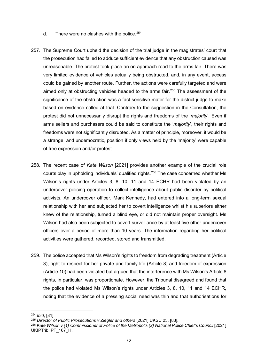- d. There were no clashes with the police.  $254$
- 257. The Supreme Court upheld the decision of the trial judge in the magistrates' court that the prosecution had failed to adduce sufficient evidence that any obstruction caused was unreasonable. The protest took place an on approach road to the arms fair. There was very limited evidence of vehicles actually being obstructed, and, in any event, access could be gained by another route. Further, the actions were carefully targeted and were aimed only at obstructing vehicles headed to the arms fair.<sup>[255](#page-72-1)</sup> The assessment of the significance of the obstruction was a fact-sensitive mater for the district judge to make based on evidence called at trial. Contrary to the suggestion in the Consultation, the protest did not unnecessarily disrupt the rights and freedoms of the '*majority*'. Even if arms sellers and purchasers could be said to constitute the '*majority*', their rights and freedoms were not significantly disrupted. As a matter of principle, moreover, it would be a strange, and undemocratic, position if only views held by the 'majority' were capable of free expression and/or protest.
- 258. The recent case of *Kate Wilson* [2021] provides another example of the crucial role courts play in upholding individuals' qualified rights.<sup>[256](#page-72-2)</sup> The case concerned whether Ms Wilson's rights under Articles 3, 8, 10, 11 and 14 ECHR had been violated by an undercover policing operation to collect intelligence about public disorder by political activists. An undercover officer, Mark Kennedy, had entered into a long-term sexual relationship with her and subjected her to covert intelligence whilst his superiors either knew of the relationship, turned a blind eye, or did not maintain proper oversight. Ms Wilson had also been subjected to covert surveillance by at least five other undercover officers over a period of more than 10 years. The information regarding her political activities were gathered, recorded, stored and transmitted.
- 259. The police accepted that Ms Wilson's rights to freedom from degrading treatment (Article 3), right to respect for her private and family life (Article 8) and freedom of expression (Article 10) had been violated but argued that the interference with Ms Wilson's Article 8 rights, in particular, was proportionate. However, the Tribunal disagreed and found that the police had violated Ms Wilson's rights under Articles 3, 8, 10, 11 and 14 ECHR, noting that the evidence of a pressing social need was thin and that authorisations for

<span id="page-72-0"></span><sup>254</sup> *Ibid*, [81].

<span id="page-72-1"></span><sup>255</sup> *Director of Public Prosecutions v Ziegler and others* [2021] UKSC 23, [83].

<span id="page-72-2"></span><sup>256</sup> *Kate Wilson v (1) Commissioner of Police of the Metropolis (2) National Police Chief's Council* [2021] UKIPTrib IPT\_167\_H.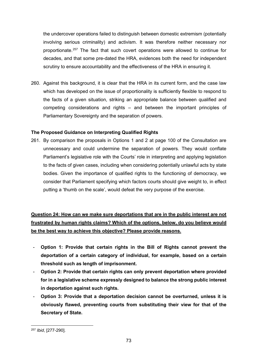the undercover operations failed to distinguish between domestic extremism (potentially involving serious criminality) and activism. It was therefore neither necessary nor proportionate.[257](#page-73-0) The fact that such covert operations were allowed to continue for decades, and that some pre-dated the HRA, evidences both the need for independent scrutiny to ensure accountability and the effectiveness of the HRA in ensuring it.

260. Against this background, it is clear that the HRA in its current form, and the case law which has developed on the issue of proportionality is sufficiently flexible to respond to the facts of a given situation, striking an appropriate balance between qualified and competing considerations and rights – and between the important principles of Parliamentary Sovereignty and the separation of powers.

## **The Proposed Guidance on Interpreting Qualified Rights**

261. By comparison the proposals in Options 1 and 2 at page 100 of the Consultation are unnecessary and could undermine the separation of powers. They would conflate Parliament's legislative role with the Courts' role in interpreting and applying legislation to the facts of given cases, including when considering potentially unlawful acts by state bodies. Given the importance of qualified rights to the functioning of democracy, we consider that Parliament specifying which factors courts should give weight to, in effect putting a 'thumb on the scale', would defeat the very purpose of the exercise.

**Question 24: How can we make sure deportations that are in the public interest are not frustrated by human rights claims? Which of the options, below, do you believe would be the best way to achieve this objective? Please provide reasons.**

- **Option 1: Provide that certain rights in the Bill of Rights cannot prevent the deportation of a certain category of individual, for example, based on a certain threshold such as length of imprisonment.**
- **Option 2: Provide that certain rights can only prevent deportation where provided for in a legislative scheme expressly designed to balance the strong public interest in deportation against such rights.**
- **Option 3: Provide that a deportation decision cannot be overturned, unless it is obviously flawed, preventing courts from substituting their view for that of the Secretary of State.**

<span id="page-73-0"></span><sup>257</sup> *Ibid*, [277-290].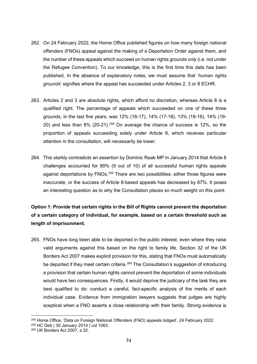- 262. On 24 February 2022, the Home Office published figures on how many foreign national offenders (FNOs) appeal against the making of a Deportation Order against them, and the number of these appeals which succeed on human rights grounds *only* (i.e. not under the Refugee Convention). To our knowledge, this is the first time this data has been published. In the absence of explanatory notes, we must assume that '*human rights grounds*' signifies where the appeal has succeeded under Articles 2, 3 or 8 ECHR.
- 263. Articles 2 and 3 are absolute rights, which afford no discretion, whereas Article 8 is a qualified right. The percentage of appeals which succeeded on one of these three grounds, in the last five years, was 12% (16-17), 14% (17-18), 13% (18-19), 14% (19- 20) and less than  $8\%$  (20-21).<sup>[258](#page-74-0)</sup> On average the chance of success is 12%, so the proportion of appeals succeeding solely under Article 8, which receives particular attention in the consultation, will necessarily be lower.
- 264. This starkly contradicts an assertion by Dominic Raab MP in January 2014 that Article 8 challenges accounted for 89% (9 out of 10) of all successful human rights appeals against deportations by FNOs.<sup>[259](#page-74-1)</sup> There are two possibilities: either those figures were inaccurate, or the success of Article 8-based appeals has decreased by 87%. It poses an interesting question as to why the Consultation places so much weight on this point.

# **Option 1: Provide that certain rights in the Bill of Rights cannot prevent the deportation of a certain category of individual, for example, based on a certain threshold such as length of imprisonment.**

265. FNOs have long been able to be deported in the public interest, even where they raise valid arguments against this based on the right to family life. Section 32 of the UK Borders Act 2007 makes explicit provision for this, stating that FNOs must automatically be deported if they meet certain criteria.<sup>[260](#page-74-2)</sup> The Consultation's suggestion of introducing a provision that certain human rights cannot prevent the deportation of some individuals would have two consequences. Firstly, it would deprive the judiciary of the task they are best qualified to do: conduct a careful, fact-specific analysis of the merits of each individual case. Evidence from immigration lawyers suggests that judges are highly sceptical when a FNO asserts a close relationship with their family. Strong evidence is

<span id="page-74-0"></span><sup>258</sup> Home Office, 'Data on Foreign National Offenders (FNO) appeals lodged', 24 February 2022.

<span id="page-74-1"></span><sup>259</sup> HC Deb | 30 January 2014 | col 1063.

<span id="page-74-2"></span><sup>260</sup> UK Borders Act 2007, s.32.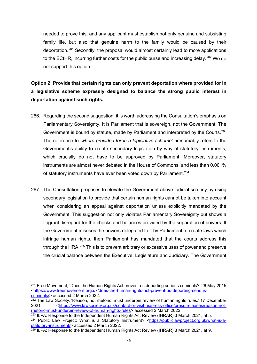needed to prove this, and any applicant must establish not only genuine and subsisting family life, but also that genuine harm to the family would be caused by their deportation.[261](#page-75-0) Secondly, the proposal would almost certainly lead to more applications to the ECtHR, incurring further costs for the public purse and increasing delay.<sup>[262](#page-75-1)</sup> We do not support this option.

**Option 2: Provide that certain rights can only prevent deportation where provided for in a legislative scheme expressly designed to balance the strong public interest in deportation against such rights.** 

- 266. Regarding the second suggestion, it is worth addressing the Consultation's emphasis on Parliamentary Sovereignty. It is Parliament that is sovereign, not the Government. The Government is bound by statute, made by Parliament and interpreted by the Courts.<sup>[263](#page-75-2)</sup> The reference to '*where provided for in a legislative scheme'* presumably refers to the Government's ability to create secondary legislation by way of statutory instruments, which crucially do not have to be approved by Parliament. Moreover, statutory instruments are almost never debated in the House of Commons, and less than 0.001% of statutory instruments have ever been voted down by Parliament.<sup>[264](#page-75-3)</sup>
- 267. The Consultation proposes to elevate the Government above judicial scrutiny by using secondary legislation to provide that certain human rights cannot be taken into account when considering an appeal against deportation unless explicitly mandated by the Government. This suggestion not only violates Parliamentary Sovereignty but shows a flagrant disregard for the checks and balances provided by the separation of powers. If the Government misuses the powers delegated to it by Parliament to create laws which infringe human rights, then Parliament has mandated that the courts address this through the HRA.<sup>[265](#page-75-4)</sup> This is to prevent arbitrary or excessive uses of power and preserve the crucial balance between the Executive, Legislature and Judiciary. The Government

<span id="page-75-0"></span><sup>261</sup> Free Movement, 'Does the Human Rights Act prevent us deporting serious criminals?' 26 May 2015 [<https://www.freemovement.org.uk/does-the-human-rights-act-prevent-us-deporting-serious](https://www.freemovement.org.uk/does-the-human-rights-act-prevent-us-deporting-serious-criminals/)[criminals/>](https://www.freemovement.org.uk/does-the-human-rights-act-prevent-us-deporting-serious-criminals/) accessed 2 March 2022.

<span id="page-75-1"></span> $262$  The Law Society, 'Reason, not rhetoric, must underpin review of human rights rules.' 17 December 2021 [<https://www.lawsociety.org.uk/contact-or-visit-us/press-office/press-releases/reason-not](https://www.lawsociety.org.uk/contact-or-visit-us/press-office/press-releases/reason-not-rhetoric-must-underpin-review-of-human-rights-rules)[rhetoric-must-underpin-review-of-human-rights-rules>](https://www.lawsociety.org.uk/contact-or-visit-us/press-office/press-releases/reason-not-rhetoric-must-underpin-review-of-human-rights-rules) accessed 2 March 2022.

<span id="page-75-3"></span><span id="page-75-2"></span><sup>&</sup>lt;sup>263</sup> ILPA: Response to the Independent Human Rights Act Review (IHRAR) 3 March 2021, at 5. <sup>264</sup> Public Law Project: What is a Statutory Instrument? [<https://publiclawproject.org.uk/what-is-a](https://publiclawproject.org.uk/what-is-a-statutory-instrument/)[statutory-instrument/>](https://publiclawproject.org.uk/what-is-a-statutory-instrument/) accessed 2 March 2022.

<span id="page-75-4"></span> $265$  ILPA: Response to the Independent Human Rights Act Review (IHRAR) 3 March 2021, at 9.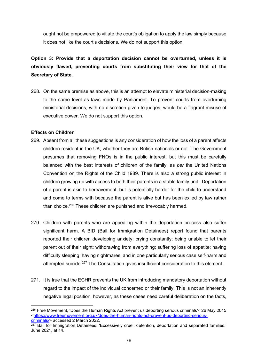ought not be empowered to vitiate the court's obligation to apply the law simply because it does not like the court's decisions. We do not support this option.

**Option 3: Provide that a deportation decision cannot be overturned, unless it is obviously flawed, preventing courts from substituting their view for that of the Secretary of State.**

268. On the same premise as above, this is an attempt to elevate ministerial decision-making to the same level as laws made by Parliament. To prevent courts from overturning ministerial decisions, with no discretion given to judges, would be a flagrant misuse of executive power. We do not support this option.

### **Effects on Children**

- 269. Absent from all these suggestions is any consideration of how the loss of a parent affects children resident in the UK, whether they are British nationals or not. The Government presumes that removing FNOs is in the public interest, but this must be carefully balanced with the best interests of children of the family, as *per* the United Nations Convention on the Rights of the Child 1989. There is also a strong public interest in children growing up with access to both their parents in a stable family unit. Deportation of a parent is akin to bereavement, but is potentially harder for the child to understand and come to terms with because the parent is alive but has been exiled by law rather than choice.<sup>[266](#page-76-0)</sup> These children are punished and irrevocably harmed.
- 270. Children with parents who are appealing within the deportation process also suffer significant harm. A BID (Bail for Immigration Detainees) report found that parents reported their children developing anxiety; crying constantly; being unable to let their parent out of their sight; withdrawing from everything; suffering loss of appetite; having difficulty sleeping; having nightmares; and in one particularly serious case self-harm and attempted suicide.<sup>[267](#page-76-1)</sup> The Consultation gives insufficient consideration to this element.
- 271. It is true that the ECHR prevents the UK from introducing mandatory deportation without regard to the impact of the individual concerned or their family. This is not an inherently negative legal position, however, as these cases need careful deliberation on the facts,

<span id="page-76-0"></span><sup>266</sup> Free Movement, 'Does the Human Rights Act prevent us deporting serious criminals?' 26 May 2015 [<https://www.freemovement.org.uk/does-the-human-rights-act-prevent-us-deporting-serious](https://www.freemovement.org.uk/does-the-human-rights-act-prevent-us-deporting-serious-criminals/)[criminals/>](https://www.freemovement.org.uk/does-the-human-rights-act-prevent-us-deporting-serious-criminals/) accessed 2 March 2022.

<span id="page-76-1"></span> $267$  Bail for Immigration Detainees: 'Excessively cruel: detention, deportation and separated families.' June 2021, at 14.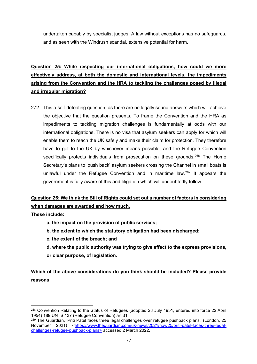undertaken capably by specialist judges. A law without exceptions has no safeguards, and as seen with the Windrush scandal, extensive potential for harm.

**Question 25: While respecting our international obligations, how could we more effectively address, at both the domestic and international levels, the impediments arising from the Convention and the HRA to tackling the challenges posed by illegal and irregular migration?**

272. This a self-defeating question, as there are no legally sound answers which will achieve the objective that the question presents. To frame the Convention and the HRA as impediments to tackling migration challenges is fundamentally at odds with our international obligations. There is no visa that asylum seekers can apply for which will enable them to reach the UK safely and make their claim for protection. They therefore have to get to the UK by whichever means possible, and the Refugee Convention specifically protects individuals from prosecution on these grounds.<sup>[268](#page-77-0)</sup> The Home Secretary's plans to 'push back' asylum seekers crossing the Channel in small boats is unlawful under the Refugee Convention and in maritime law. $^{269}$  $^{269}$  $^{269}$  It appears the government is fully aware of this and litigation which will undoubtedly follow.

# **Question 26: We think the Bill of Rights could set out a number of factors in considering when damages are awarded and how much.**

**These include:**

- **a. the impact on the provision of public services;**
- **b. the extent to which the statutory obligation had been discharged;**
- **c. the extent of the breach; and**
- **d. where the public authority was trying to give effect to the express provisions, or clear purpose, of legislation.**

**Which of the above considerations do you think should be included? Please provide reasons**.

<span id="page-77-0"></span><sup>268</sup> Convention Relating to the Status of Refugees (adopted 28 July 1951, entered into force 22 April 1954) 189 UNTS 137 (Refugee Convention) art 31.

<span id="page-77-1"></span><sup>&</sup>lt;sup>269</sup> The Guardian, 'Priti Patel faces three legal challenges over refugee pushback plans.' (London, 25 November 2021) [<https://www.theguardian.com/uk-news/2021/nov/25/priti-patel-faces-three-legal](https://www.theguardian.com/uk-news/2021/nov/25/priti-patel-faces-three-legal-challenges-refugee-pushback-plans)[challenges-refugee-pushback-plans>](https://www.theguardian.com/uk-news/2021/nov/25/priti-patel-faces-three-legal-challenges-refugee-pushback-plans) accessed 2 March 2022.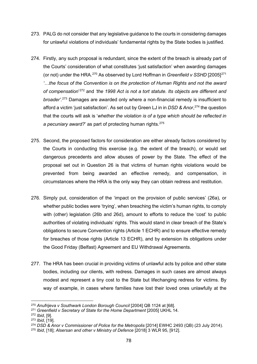- 273. PALG do not consider that any legislative guidance to the courts in considering damages for unlawful violations of individuals' fundamental rights by the State bodies is justified.
- 274. Firstly, any such proposal is redundant, since the extent of the breach is already part of the Courts' consideration of what constitutes 'just satisfaction' when awarding damages (or not) under the HRA.[270](#page-78-0) As observed by Lord Hoffman in *Greenfield v SSHD* [2005][271](#page-78-1) *'…the focus of the Convention is on the protection of Human Rights and not the award of compensation*' [272](#page-78-2) and *'the 1998 Act is not a tort statute. Its objects are different and broader'.* [273](#page-78-3) Damages are awarded only where a non-financial remedy is insufficient to afford a victim 'just satisfaction'. As set out by Green LJ in in *DSD & Anor*, [274](#page-78-4) the question that the courts will ask is '*whether the violation is of a type which should be reflected in a pecuniary award?*' as part of protecting human rights.[275](#page-78-5)
- 275. Second, the proposed factors for consideration are either already factors considered by the Courts in conducting this exercise (e.g. the extent of the breach), or would set dangerous precedents and allow abuses of power by the State. The effect of the proposal set out in Question 26 is that victims of human rights violations would be prevented from being awarded an effective remedy, and compensation, in circumstances where the HRA is the only way they can obtain redress and restitution.
- 276. Simply put, consideration of the 'impact on the provision of public services' (26a), or whether public bodies were 'trying', when breaching the victim's human rights, to comply with (other) legislation (26b and 26d), amount to efforts to reduce the 'cost' to public authorities of violating individuals' rights. This would stand in clear breach of the State's obligations to secure Convention rights (Article 1 ECHR) and to ensure effective remedy for breaches of those rights (Article 13 ECHR), and by extension its obligations under the Good Friday (Belfast) Agreement and EU Withdrawal Agreements.
- 277. The HRA has been crucial in providing victims of unlawful acts by police and other state bodies, including our clients, with redress. Damages in such cases are almost always modest and represent a tiny cost to the State but lifechanging redress for victims. By way of example, in cases where families have lost their loved ones unlawfully at the

<span id="page-78-0"></span><sup>270</sup> *Anufrijeva v Southwark London Borough Council* [2004] QB 1124 at [68].

<span id="page-78-1"></span><sup>271</sup> *Greenfield v Secretary of State for the Home Department* [2005] UKHL 14.

<span id="page-78-2"></span><sup>272</sup> *Ibid*, [9].

<span id="page-78-3"></span><sup>273</sup> *Ibid*, [19].

<span id="page-78-4"></span><sup>274</sup> *DSD & Anor v Commissioner of Police for the Metropolis* [2014] EWHC 2493 (QB) (23 July 2014).

<span id="page-78-5"></span><sup>275</sup> *Ibid*, [18]; *Alsersan and other v Ministry of Defence* [2018] 3 WLR 95, [912].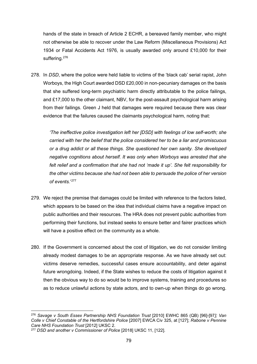hands of the state in breach of Article 2 ECHR, a bereaved family member, who might not otherwise be able to recover under the Law Reform (Miscellaneous Provisions) Act 1934 or Fatal Accidents Act 1976, is usually awarded only around £10,000 for their suffering.<sup>[276](#page-79-0)</sup>

278. In *DSD*, where the police were held liable to victims of the 'black cab' serial rapist, John Worboys, the High Court awarded DSD £20,000 in non-pecuniary damages on the basis that she suffered long-term psychiatric harm directly attributable to the police failings, and £17,000 to the other claimant, NBV, for the post-assault psychological harm arising from their failings. Green J held that damages were required because there was clear evidence that the failures caused the claimants psychological harm, noting that:

*'The ineffective police investigation left her [DSD] with feelings of low self-worth; she carried with her the belief that the police considered her to be a liar and promiscuous or a drug addict or all these things. She questioned her own sanity. She developed negative cognitions about herself. It was only when Worboys was arrested that she felt relief and a confirmation that she had not 'made it up'. She felt responsibility for the other victims because she had not been able to persuade the police of her version of events.*' [277](#page-79-1)

- 279. We reject the premise that damages could be limited with reference to the factors listed, which appears to be based on the idea that individual claims have a negative impact on public authorities and their resources. The HRA does not prevent public authorities from performing their functions, but instead seeks to ensure better and fairer practices which will have a positive effect on the community as a whole.
- 280. If the Government is concerned about the cost of litigation, we do not consider limiting already modest damages to be an appropriate response. As we have already set out: victims deserve remedies, successful cases ensure accountability, and deter against future wrongdoing. Indeed, if the State wishes to reduce the costs of litigation against it then the obvious way to do so would be to improve systems, training and procedures so as to reduce unlawful actions by state actors, and to own-up when things do go wrong.

<span id="page-79-0"></span><sup>276</sup> *Savage v South Essex Partnership NHS Foundation Trust* [2010] EWHC 865 (QB) [96]-[97*]; Van Colle v Chief Constable of the Hertfordshire Police* [2007] EWCA Civ 325, at [127]; *Rabone v Pennine Care NHS Foundation Trust* [2012] UKSC 2.

<span id="page-79-1"></span><sup>277</sup> *DSD and another v Commissioner of Police* [2018] UKSC 11, [122].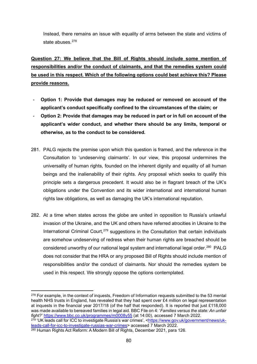Instead, there remains an issue with equality of arms between the state and victims of state abuses. [278](#page-80-0)

**Question 27: We believe that the Bill of Rights should include some mention of responsibilities and/or the conduct of claimants, and that the remedies system could be used in this respect. Which of the following options could best achieve this? Please provide reasons.**

- **Option 1: Provide that damages may be reduced or removed on account of the applicant's conduct specifically confined to the circumstances of the claim; or**
- **Option 2: Provide that damages may be reduced in part or in full on account of the applicant's wider conduct, and whether there should be any limits, temporal or otherwise, as to the conduct to be considered.**
- 281. PALG rejects the premise upon which this question is framed, and the reference in the Consultation to 'undeserving claimants'. In our view, this proposal undermines the universality of human rights, founded on the inherent dignity and equality of all human beings and the inalienability of their rights. Any proposal which seeks to qualify this principle sets a dangerous precedent. It would also be in flagrant breach of the UK's obligations under the Convention and its wider international and international human rights law obligations, as well as damaging the UK's international reputation.
- 282. At a time when states across the globe are united in opposition to Russia's unlawful invasion of the Ukraine, and the UK and others have referred atrocities in Ukraine to the International Criminal Court.<sup>[279](#page-80-1)</sup> suggestions in the Consultation that certain individuals are somehow undeserving of redress when their human rights are breached should be considered unworthy of our national legal system and international legal order.<sup>[280](#page-80-2)</sup> PALG does not consider that the HRA or any proposed Bill of Rights should include mention of responsibilities and/or the conduct of claimants. Nor should the remedies system be used in this respect. We strongly oppose the options contemplated.

<span id="page-80-0"></span><sup>&</sup>lt;sup>278</sup> For example, in the context of inquests, Freedom of Information requests submitted to the 53 mental health NHS trusts in England, has revealed that they had spent over £4 million on legal representation at inquests in the financial year 2017/18 (of the half that responded). It is reported that just £118,000 was made available to bereaved families in legal aid. BBC File on 4: '*Families versus the state: An unfair fight?'* <https://www.bbc.co.uk/programmes/m0008y55> (at 14:00), accessed 7 March 2022.

<span id="page-80-1"></span><sup>279</sup> 'UK leads call for ICC to investigate Russia's war crimes', [<https://www.gov.uk/government/news/uk](https://www.gov.uk/government/news/uk-leads-call-for-icc-to-investigate-russias-war-crimes)[leads-call-for-icc-to-investigate-russias-war-crimes>](https://www.gov.uk/government/news/uk-leads-call-for-icc-to-investigate-russias-war-crimes) accessed 7 March 2022.

<span id="page-80-2"></span><sup>280</sup> Human Rights Act Reform: A Modern Bill of Rights, December 2021, para 126.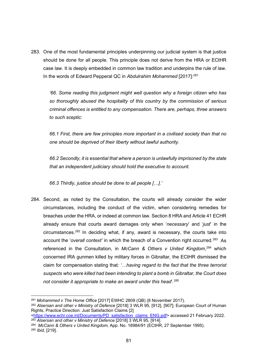283. One of the most fundamental principles underpinning our judicial system is that justice should be done for all people. This principle does not derive from the HRA or ECtHR case law. It is deeply embedded in common law tradition and underpins the rule of law. In the words of Edward Pepperal QC in *Abdulrahim Mohammed* [2017]: [281](#page-81-0)

*'66. Some reading this judgment might well question why a foreign citizen who has so thoroughly abused the hospitality of this country by the commission of serious criminal offences is entitled to any compensation. There are, perhaps, three answers to such sceptic:*

*66.1 First, there are few principles more important in a civilised society than that no one should be deprived of their liberty without lawful authority.*

*66.2 Secondly, it is essential that where a person is unlawfully imprisoned by the state that an independent judiciary should hold the executive to account.*

*66.3 Thirdly, justice should be done to all people […].'*

284. Second, as noted by the Consultation, the courts will already consider the wider circumstances, including the conduct of the victim, when considering remedies for breaches under the HRA, or indeed at common law. Section 8 HRA and Article 41 ECHR already ensure that courts award damages only when '*necessary*' and '*just*' in the  $circumstances.<sup>282</sup>$  $circumstances.<sup>282</sup>$  $circumstances.<sup>282</sup>$  In deciding what, if any, award is necessary, the courts take into account the '*overall context'* in which the breach of a Convention right occurred.[283](#page-81-2) As referenced in the Consultation, in *McCann & Others v United Kingdom*, [284](#page-81-3) which concerned IRA gunmen killed by military forces in Gibraltar, the ECtHR dismissed the claim for compensation stating that*: '…having regard to the fact that the three terrorist suspects who were killed had been intending to plant a bomb in Gibraltar, the Court does not consider it appropriate to make an award under this head*'*.* [285](#page-81-4)

<span id="page-81-0"></span><sup>281</sup> *Mohammed v The Home Office* [2017] EWHC 2809 (QB) (8 November 2017).

<span id="page-81-1"></span><sup>282</sup> *Alsersan and other v Ministry of Defence* [2018] 3 WLR 95, [912], [907]; European Court of Human Rights, Practice Direction: Just Satisfaction Claims [2]

[<sup>&</sup>lt;https://www.echr.coe.int/Documents/PD\\_satisfaction\\_claims\\_ENG.pdf>](https://www.echr.coe.int/Documents/PD_satisfaction_claims_ENG.pdf) accessed 21 February 2022. <sup>283</sup> *Alsersan and other v Ministry of Defence* [2018] 3 WLR 95, [914].

<span id="page-81-4"></span><span id="page-81-3"></span><span id="page-81-2"></span><sup>284</sup> *McCann & Others v United Kingdom,* App. No. 18984/91 (ECtHR, 27 September 1995). <sup>285</sup> *Ibid,* [219].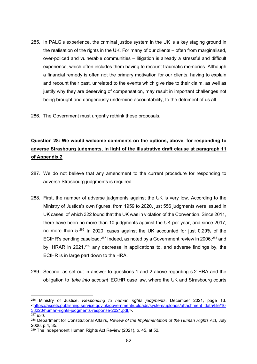285. In PALG's experience, the criminal justice system in the UK is a key staging ground in the realisation of the rights in the UK. For many of our clients – often from marginalised, over-policed and vulnerable communities – litigation is already a stressful and difficult experience, which often includes them having to recount traumatic memories. Although a financial remedy is often not the primary motivation for our clients, having to explain and recount their past, unrelated to the events which give rise to their claim, as well as justify why they are deserving of compensation, may result in important challenges not being brought and dangerously undermine accountability, to the detriment of us all.

286. The Government must urgently rethink these proposals.

# **Question 28: We would welcome comments on the options, above, for responding to adverse Strasbourg judgments, in light of the illustrative draft clause at paragraph 11 of Appendix 2**

- 287. We do not believe that any amendment to the current procedure for responding to adverse Strasbourg judgments is required.
- 288. First, the number of adverse judgments against the UK is very low. According to the Ministry of Justice's own figures, from 1959 to 2020, just 556 judgments were issued in UK cases, of which 322 found that the UK was in violation of the Convention. Since 2011, there have been no more than 10 judgments against the UK per year, and since 2017, no more than 5.[286](#page-82-0) In 2020, cases against the UK accounted for just 0.29% of the ECtHR's pending caseload.<sup>[287](#page-82-1)</sup> Indeed, as noted by a Government review in 2006.<sup>[288](#page-82-2)</sup> and by IHRAR in 2021,<sup>[289](#page-82-3)</sup> any decrease in applications to, and adverse findings by, the ECtHR is in large part down to the HRA.
- 289. Second, as set out in answer to questions 1 and 2 above regarding s.2 HRA and the obligation to '*take into account'* ECtHR case law, where the UK and Strasbourg courts

<span id="page-82-0"></span><sup>286</sup> Ministry of Justice, *Responding to human rights judgments*, December 2021, page 13. [<https://assets.publishing.service.gov.uk/government/uploads/system/uploads/attachment\\_data/file/10](https://assets.publishing.service.gov.uk/government/uploads/system/uploads/attachment_data/file/1038220/human-rights-judgments-response-2021.pdf) [38220/human-rights-judgments-response-2021.pdf.](https://assets.publishing.service.gov.uk/government/uploads/system/uploads/attachment_data/file/1038220/human-rights-judgments-response-2021.pdf)>.

<span id="page-82-1"></span><sup>287</sup> *Ibid.*

<span id="page-82-2"></span><sup>288</sup> Department for Constitutional Affairs, *Review of the Implementation of the Human Rights Act*, July 2006, p.4, 35.

<span id="page-82-3"></span><sup>289</sup> The Independent Human Rights Act Review (2021), p. 45, at 52.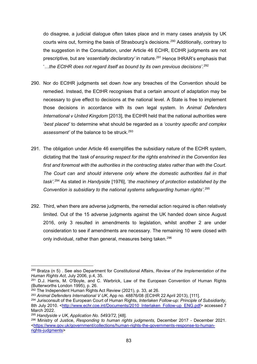do disagree, a judicial dialogue often takes place and in many cases analysis by UK courts wins out, forming the basis of Strasbourg's decisions.[290](#page-83-0) Additionally, contrary to the suggestion in the Consultation, under Article 46 ECHR, ECtHR judgments are not prescriptive, but are '*essentially declaratory'* in nature.[291](#page-83-1) Hence IHRAR's emphasis that '*…the ECtHR does not regard itself as bound by its own previous decisions'*. [292](#page-83-2)

- 290. Nor do ECtHR judgments set down *how* any breaches of the Convention should be remedied. Instead, the ECtHR recognises that a certain amount of adaptation may be necessary to give effect to decisions at the national level. A State is free to implement those decisions in accordance with its own legal system. In *Animal Defenders International v United Kingdom* [2013], the ECtHR held that the national authorities were '*best placed'* to determine what should be regarded as a *'country specific and complex assessment'* of the balance to be struck.[293](#page-83-3)
- 291. The obligation under Article 46 exemplifies the subsidiary nature of the ECHR system, dictating that the '*task of ensuring respect for the rights enshrined in the Convention lies first and foremost with the authorities in the contracting states rather than with the Court. The Court can and should intervene only where the domestic authorities fail in that task'*. [294](#page-83-4) As stated in *Handyside* [1976], '*the machinery of protection established by the Convention is subsidiary to the national systems safeguarding human rights'*. [295](#page-83-5)
- 292. Third, when there are adverse judgments, the remedial action required is often relatively limited. Out of the 15 adverse judgments against the UK handed down since August 2016, only 3 resulted in amendments to legislation, whilst another 2 are under consideration to see if amendments are necessary. The remaining 10 were closed with only individual, rather than general, measures being taken.<sup>[296](#page-83-6)</sup>

<span id="page-83-0"></span><sup>290</sup> Bratza (n 5) . See also Department for Constitutional Affairs, *Review of the Implementation of the Human Rights Act*, July 2006, p.4, 35.

<span id="page-83-1"></span><sup>291</sup> D.J. Harris, M. O'Boyle, and C. Warbrick, Law of the European Convention of Human Rights (Butterworths London 1995), p. 26.

<span id="page-83-2"></span> $292$  The Independent Human Rights Act Review (2021), p. 33, at 26.

<span id="page-83-3"></span><sup>293</sup> *Animal Defenders International V UK*, App no. 48876/08 (ECtHR 22 April 2013), [111].

<span id="page-83-4"></span><sup>294</sup> Jurisconsult of the European Court of Human Rights, *Interlaken Follow-up: Principle of Subsidiarity*, 8th July 2010. [<http://www.echr.coe.int/Documents/2010\\_Interlaken\\_Follow-up\\_ENG.pdf>](http://www.echr.coe.int/Documents/2010_Interlaken_Follow-up_ENG.pdf) accessed 7 March 2022.

<span id="page-83-5"></span><sup>295</sup> *Handyside v UK, Application No. 5493/72*, [48].

<span id="page-83-6"></span><sup>296</sup> Ministry of Justice, *Responding to human rights judgments,* December 2017 - December 2021. <https://www.gov.uk/government/collections/human-rights-the-governments-response-to-humanrights-judgments>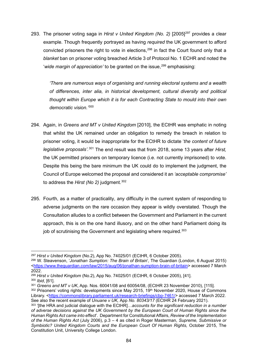293. The prisoner voting saga in *Hirst v United Kingdom (No. 2)* [2005]<sup>[297](#page-84-0)</sup> provides a clear example. Though frequently portrayed as having *required* the UK government to afford convicted prisoners the right to vote in elections.<sup>[298](#page-84-1)</sup> in fact the Court found only that a *blanket* ban on prisoner voting breached Article 3 of Protocol No. 1 ECHR and noted the *'wide margin of appreciation'* to be granted on the issue,<sup>[299](#page-84-2)</sup> emphasising:

*'There are numerous ways of organising and running electoral systems and a wealth of differences, inter alia, in historical development, cultural diversity and political thought within Europe which it is for each Contracting State to mould into their own democratic vision.'* [300](#page-84-3)

- 294. Again, in *Greens and MT v United Kingdom* [2010], the ECtHR was emphatic in noting that whilst the UK remained under an obligation to remedy the breach in relation to prisoner voting, it would be inappropriate for the ECtHR to dictate '*the content of future legislative proposals'.*[301](#page-84-4) The end result was that from 2018, some 13 years after *Hirst,*  the UK permitted prisoners on temporary licence (i.e. not currently imprisoned) to vote. Despite this being the bare minimum the UK could do to implement the judgment, the Council of Europe welcomed the proposal and considered it an *'acceptable compromise'*  to address the *Hirst (No 2)* judgment.<sup>[302](#page-84-5)</sup>
- 295. Fourth, as a matter of practicality, any difficulty in the current system of responding to adverse judgments on the rare occasion they appear is wildly overstated. Though the Consultation alludes to a conflict between the Government and Parliament in the current approach, this is on the one hand illusory, and on the other hand Parliament doing its job of scrutinising the Government and legislating where required.<sup>[303](#page-84-6)</sup>

See also the recent example of *Unuane v UK,* App *No. 80343/17* (ECtHR 24 February 2021).

<span id="page-84-0"></span><sup>297</sup> *Hirst v United Kingdom* (No.2), App No. 74025/01 (ECtHR, 6 October 2005).

<span id="page-84-1"></span><sup>298</sup> W. Steavenson, '*Jonathan Sumption: The Brain of Britain*'*,* The Guardian (London, 6 August 2015) [<https://www.theguardian.com/law/2015/aug/06/jonathan-sumption-brain-of-britain>](https://www.theguardian.com/law/2015/aug/06/jonathan-sumption-brain-of-britain) accessed 7 March 2022.

<span id="page-84-2"></span><sup>299</sup> *Hirst v United Kingdom* (No.2), App No. 74025/01 (ECtHR, 6 October 2005), [41].

<span id="page-84-3"></span><sup>300</sup> *Ibid*, [61].

<span id="page-84-5"></span><span id="page-84-4"></span><sup>301</sup> *Greens and MT v UK*, App. Nos. 60041/08 and 60054/08, (ECtHR 23 November 2010), [115]. <sup>302</sup> Prisoners' voting rights: developments since May 2015, 19<sup>th</sup> November 2020, House of Commons Library. [<https://commonslibrary.parliament.uk/research-briefings/cbp-7461/>](https://commonslibrary.parliament.uk/research-briefings/cbp-7461/) accessed 7 March 2022.

<span id="page-84-6"></span><sup>303</sup> '[the HRA and judicial dialogue with the ECtHR]…*accounts for the significant reduction in a number of adverse decisions against the UK Government by the European Court of Human Rights since the Human Rights Act came into effect*'. Department for Constitutional Affairs, *Review of the Implementation of the Human Rights Act* (July 2006), p.3 – 4 as cited in Roger Masterman, *Supreme, Submissive or Symbiotic? United Kingdom Courts and the European Court Of Human Rights,* October 2015, The Constitution Unit, University College London.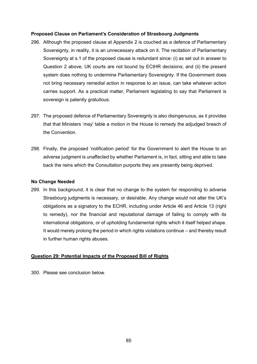#### **Proposed Clause on Parliament's Consideration of Strasbourg Judgments**

- 296. Although the proposed clause at Appendix 2 is couched as a defence of Parliamentary Sovereignty, in reality, it is an unnecessary attack on it. The recitation of Parliamentary Sovereignty at s.1 of the proposed clause is redundant since: (i) as set out in answer to Question 2 above, UK courts are not bound by ECtHR decisions; and (ii) the present system does nothing to undermine Parliamentary Sovereignty. If the Government does not bring necessary remedial action in response to an issue, can take whatever action carries support. As a practical matter, Parliament legislating to say that Parliament is sovereign is patently gratuitous.
- 297. The proposed defence of Parliamentary Sovereignty is also disingenuous, as it provides that that Ministers '*may*' table a motion in the House to remedy the adjudged breach of the Convention.
- 298. Finally, the proposed 'notification period' for the Government to alert the House to an adverse judgment is unaffected by whether Parliament is, in fact, sitting and able to take back the reins which the Consultation purports they are presently being deprived.

#### **No Change Needed**

299. In this background, it is clear that no change to the system for responding to adverse Strasbourg judgments is necessary, or desirable. Any change would not alter the UK's obligations as a signatory to the ECHR, including under Article 46 and Article 13 (right to remedy), nor the financial and reputational damage of failing to comply with its international obligations, or of upholding fundamental rights which it itself helped shape. It would merely prolong the period in which rights violations continue – and thereby result in further human rights abuses.

## **Question 29: Potential Impacts of the Proposed Bill of Rights**

300. Please see conclusion below.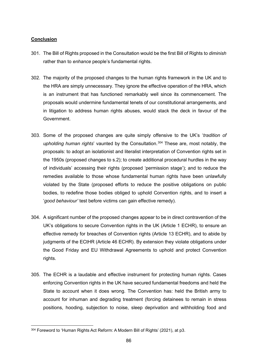### **Conclusion**

- 301. The Bill of Rights proposed in the Consultation would be the first Bill of Rights to *diminish*  rather than to *enhance* people's fundamental rights.
- 302. The majority of the proposed changes to the human rights framework in the UK and to the HRA are simply unnecessary. They ignore the effective operation of the HRA, which is an instrument that has functioned remarkably well since its commencement. The proposals would undermine fundamental tenets of our constitutional arrangements, and in litigation to address human rights abuses, would stack the deck in favour of the Government.
- 303. Some of the proposed changes are quite simply offensive to the UK's '*tradition of upholding human rights*' vaunted by the Consultation. [304](#page-86-0) These are, most notably, the proposals: to adopt an isolationist and literalist interpretation of Convention rights set in the 1950s (proposed changes to s.2); to create additional procedural hurdles in the way of individuals' accessing their rights (proposed 'permission stage'); and to reduce the remedies available to those whose fundamental human rights have been unlawfully violated by the State (proposed efforts to reduce the positive obligations on public bodies, to redefine those bodies obliged to uphold Convention rights, and to insert a '*good behaviour'* test before victims can gain effective remedy).
- 304. A significant number of the proposed changes appear to be in direct contravention of the UK's obligations to secure Convention rights in the UK (Article 1 ECHR), to ensure an effective remedy for breaches of Convention rights (Article 13 ECHR), and to abide by judgments of the ECtHR (Article 46 ECHR). By extension they violate obligations under the Good Friday and EU Withdrawal Agreements to uphold and protect Convention rights.
- 305. The ECHR is a laudable and effective instrument for protecting human rights. Cases enforcing Convention rights in the UK have secured fundamental freedoms and held the State to account when it does wrong. The Convention has: held the British army to account for inhuman and degrading treatment (forcing detainees to remain in stress positions, hooding, subjection to noise, sleep deprivation and withholding food and

<span id="page-86-0"></span><sup>304</sup> Foreword to 'Human Rights Act Reform: A Modern Bill of Rights' (2021), at p3.